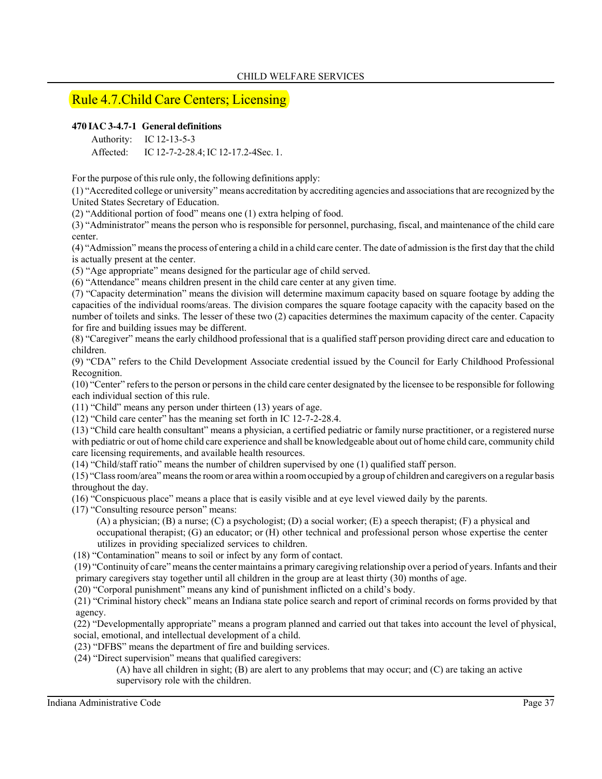# Rule 4.7.Child Care Centers; Licensing

## **470 IAC 3-4.7-1 General definitions**

Authority: IC 12-13-5-3

Affected: IC 12-7-2-28.4; IC 12-17.2-4Sec. 1.

For the purpose of this rule only, the following definitions apply:

(1) "Accredited college or university" means accreditation by accrediting agencies and associations that are recognized by the United States Secretary of Education.

(2) "Additional portion of food" means one (1) extra helping of food.

(3) "Administrator" means the person who is responsible for personnel, purchasing, fiscal, and maintenance of the child care center.

(4) "Admission" means the process of entering a child in a child care center. The date of admission is the first day that the child is actually present at the center.

(5) "Age appropriate" means designed for the particular age of child served.

(6) "Attendance" means children present in the child care center at any given time.

(7) "Capacity determination" means the division will determine maximum capacity based on square footage by adding the capacities of the individual rooms/areas. The division compares the square footage capacity with the capacity based on the number of toilets and sinks. The lesser of these two (2) capacities determines the maximum capacity of the center. Capacity for fire and building issues may be different.

(8) "Caregiver" means the early childhood professional that is a qualified staff person providing direct care and education to children.

(9) "CDA" refers to the Child Development Associate credential issued by the Council for Early Childhood Professional Recognition.

(10) "Center" refers to the person or persons in the child care center designated by the licensee to be responsible for following each individual section of this rule.

(11) "Child" means any person under thirteen (13) years of age.

(12) "Child care center" has the meaning set forth in IC 12-7-2-28.4.

(13) "Child care health consultant" means a physician, a certified pediatric or family nurse practitioner, or a registered nurse with pediatric or out of home child care experience and shall be knowledgeable about out of home child care, community child care licensing requirements, and available health resources.

(14) "Child/staff ratio" means the number of children supervised by one (1) qualified staff person.

(15) "Class room/area" means the room or area within a room occupied by a group of children and caregivers on a regular basis throughout the day.

(16) "Conspicuous place" means a place that is easily visible and at eye level viewed daily by the parents.

(17) "Consulting resource person" means:

- (A) a physician; (B) a nurse; (C) a psychologist; (D) a social worker; (E) a speech therapist; (F) a physical and occupational therapist; (G) an educator; or (H) other technical and professional person whose expertise the center utilizes in providing specialized services to children.
- (18) "Contamination" means to soil or infect by any form of contact.

 (19) "Continuity of care" means the center maintains a primary caregiving relationship over a period of years. Infants and their primary caregivers stay together until all children in the group are at least thirty (30) months of age.

(20) "Corporal punishment" means any kind of punishment inflicted on a child's body.

 (21) "Criminal history check" means an Indiana state police search and report of criminal records on forms provided by that agency.

 (22) "Developmentally appropriate" means a program planned and carried out that takes into account the level of physical, social, emotional, and intellectual development of a child.

- (23) "DFBS" means the department of fire and building services.
- (24) "Direct supervision" means that qualified caregivers:

 (A) have all children in sight; (B) are alert to any problems that may occur; and (C) are taking an active supervisory role with the children.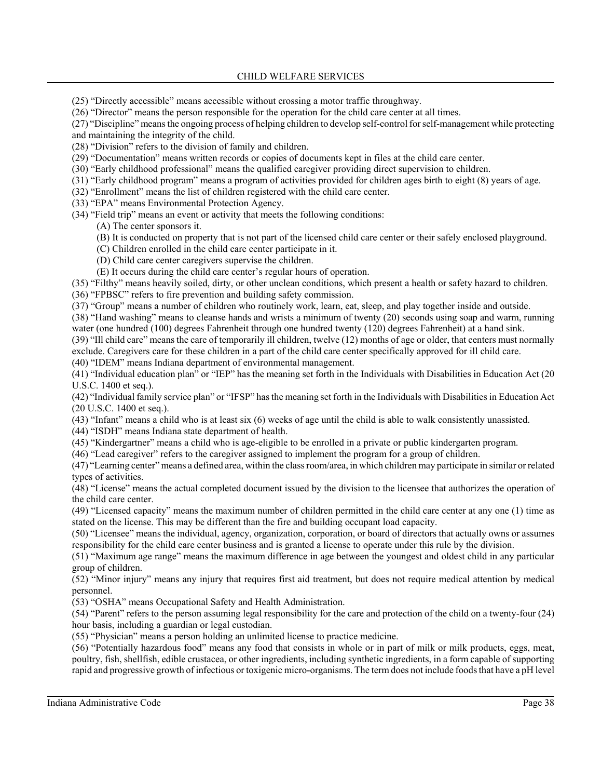(25) "Directly accessible" means accessible without crossing a motor traffic throughway.

(26) "Director" means the person responsible for the operation for the child care center at all times.

(27) "Discipline" means the ongoing process of helping children to develop self-control for self-management while protecting and maintaining the integrity of the child.

(28) "Division" refers to the division of family and children.

(29) "Documentation" means written records or copies of documents kept in files at the child care center.

(30) "Early childhood professional" means the qualified caregiver providing direct supervision to children.

(31) "Early childhood program" means a program of activities provided for children ages birth to eight (8) years of age.

(32) "Enrollment" means the list of children registered with the child care center.

(33) "EPA" means Environmental Protection Agency.

(34) "Field trip" means an event or activity that meets the following conditions:

(A) The center sponsors it.

(B) It is conducted on property that is not part of the licensed child care center or their safely enclosed playground.

(C) Children enrolled in the child care center participate in it.

(D) Child care center caregivers supervise the children.

(E) It occurs during the child care center's regular hours of operation.

(35) "Filthy" means heavily soiled, dirty, or other unclean conditions, which present a health or safety hazard to children.

(36) "FPBSC" refers to fire prevention and building safety commission.

(37) "Group" means a number of children who routinely work, learn, eat, sleep, and play together inside and outside.

(38) "Hand washing" means to cleanse hands and wrists a minimum of twenty (20) seconds using soap and warm, running water (one hundred (100) degrees Fahrenheit through one hundred twenty (120) degrees Fahrenheit) at a hand sink.

(39) "Ill child care" means the care of temporarily ill children, twelve (12) months of age or older, that centers must normally exclude. Caregivers care for these children in a part of the child care center specifically approved for ill child care.

(40) "IDEM" means Indiana department of environmental management.

(41) "Individual education plan" or "IEP" has the meaning set forth in the Individuals with Disabilities in Education Act (20 U.S.C. 1400 et seq.).

(42) "Individual family service plan" or "IFSP" has the meaning set forth in the Individuals with Disabilities in Education Act (20 U.S.C. 1400 et seq.).

(43) "Infant" means a child who is at least six (6) weeks of age until the child is able to walk consistently unassisted.

(44) "ISDH" means Indiana state department of health.

(45) "Kindergartner" means a child who is age-eligible to be enrolled in a private or public kindergarten program.

(46) "Lead caregiver" refers to the caregiver assigned to implement the program for a group of children.

(47) "Learning center" means a defined area, within the class room/area, in which children may participate in similar or related types of activities.

(48) "License" means the actual completed document issued by the division to the licensee that authorizes the operation of the child care center.

(49) "Licensed capacity" means the maximum number of children permitted in the child care center at any one (1) time as stated on the license. This may be different than the fire and building occupant load capacity.

(50) "Licensee" means the individual, agency, organization, corporation, or board of directors that actually owns or assumes responsibility for the child care center business and is granted a license to operate under this rule by the division.

(51) "Maximum age range" means the maximum difference in age between the youngest and oldest child in any particular group of children.

(52) "Minor injury" means any injury that requires first aid treatment, but does not require medical attention by medical personnel.

(53) "OSHA" means Occupational Safety and Health Administration.

(54) "Parent" refers to the person assuming legal responsibility for the care and protection of the child on a twenty-four (24) hour basis, including a guardian or legal custodian.

(55) "Physician" means a person holding an unlimited license to practice medicine.

(56) "Potentially hazardous food" means any food that consists in whole or in part of milk or milk products, eggs, meat, poultry, fish, shellfish, edible crustacea, or other ingredients, including synthetic ingredients, in a form capable of supporting rapid and progressive growth of infectious or toxigenic micro-organisms. The term does not include foods that have a pH level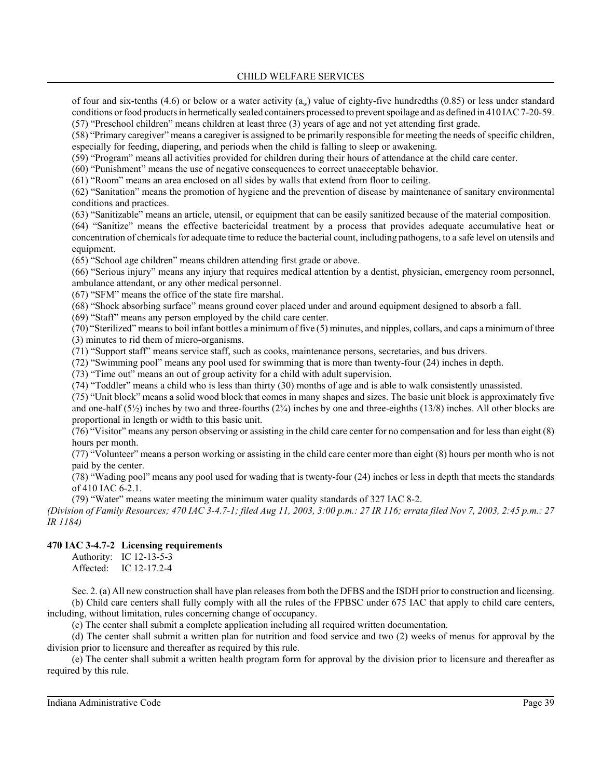of four and six-tenths (4.6) or below or a water activity ( $a_w$ ) value of eighty-five hundredths (0.85) or less under standard conditions or food products in hermetically sealed containers processed to prevent spoilage and as defined in 410 IAC 7-20-59. (57) "Preschool children" means children at least three (3) years of age and not yet attending first grade.

(58) "Primary caregiver" means a caregiver is assigned to be primarily responsible for meeting the needs of specific children, especially for feeding, diapering, and periods when the child is falling to sleep or awakening.

(59) "Program" means all activities provided for children during their hours of attendance at the child care center.

(60) "Punishment" means the use of negative consequences to correct unacceptable behavior.

(61) "Room" means an area enclosed on all sides by walls that extend from floor to ceiling.

(62) "Sanitation" means the promotion of hygiene and the prevention of disease by maintenance of sanitary environmental conditions and practices.

(63) "Sanitizable" means an article, utensil, or equipment that can be easily sanitized because of the material composition.

(64) "Sanitize" means the effective bactericidal treatment by a process that provides adequate accumulative heat or concentration of chemicals for adequate time to reduce the bacterial count, including pathogens, to a safe level on utensils and equipment.

(65) "School age children" means children attending first grade or above.

(66) "Serious injury" means any injury that requires medical attention by a dentist, physician, emergency room personnel, ambulance attendant, or any other medical personnel.

(67) "SFM" means the office of the state fire marshal.

(68) "Shock absorbing surface" means ground cover placed under and around equipment designed to absorb a fall.

(69) "Staff" means any person employed by the child care center.

(70) "Sterilized" means to boil infant bottles a minimum of five (5) minutes, and nipples, collars, and caps a minimum of three (3) minutes to rid them of micro-organisms.

(71) "Support staff" means service staff, such as cooks, maintenance persons, secretaries, and bus drivers.

(72) "Swimming pool" means any pool used for swimming that is more than twenty-four (24) inches in depth.

(73) "Time out" means an out of group activity for a child with adult supervision.

(74) "Toddler" means a child who is less than thirty (30) months of age and is able to walk consistently unassisted.

(75) "Unit block" means a solid wood block that comes in many shapes and sizes. The basic unit block is approximately five and one-half  $(5\frac{1}{2})$  inches by two and three-fourths  $(2\frac{3}{4})$  inches by one and three-eighths  $(13/8)$  inches. All other blocks are proportional in length or width to this basic unit.

(76) "Visitor" means any person observing or assisting in the child care center for no compensation and for less than eight (8) hours per month.

(77) "Volunteer" means a person working or assisting in the child care center more than eight (8) hours per month who is not paid by the center.

(78) "Wading pool" means any pool used for wading that is twenty-four (24) inches or less in depth that meets the standards of 410 IAC 6-2.1.

(79) "Water" means water meeting the minimum water quality standards of 327 IAC 8-2.

*(Division of Family Resources; 470 IAC 3-4.7-1; filed Aug 11, 2003, 3:00 p.m.: 27 IR 116; errata filed Nov 7, 2003, 2:45 p.m.: 27 IR 1184)*

#### **470 IAC 3-4.7-2 Licensing requirements**

Authority: IC 12-13-5-3 Affected: IC 12-17.2-4

Sec. 2. (a) All new construction shall have plan releases from both the DFBS and the ISDH prior to construction and licensing. (b) Child care centers shall fully comply with all the rules of the FPBSC under 675 IAC that apply to child care centers, including, without limitation, rules concerning change of occupancy.

(c) The center shall submit a complete application including all required written documentation.

(d) The center shall submit a written plan for nutrition and food service and two (2) weeks of menus for approval by the division prior to licensure and thereafter as required by this rule.

(e) The center shall submit a written health program form for approval by the division prior to licensure and thereafter as required by this rule.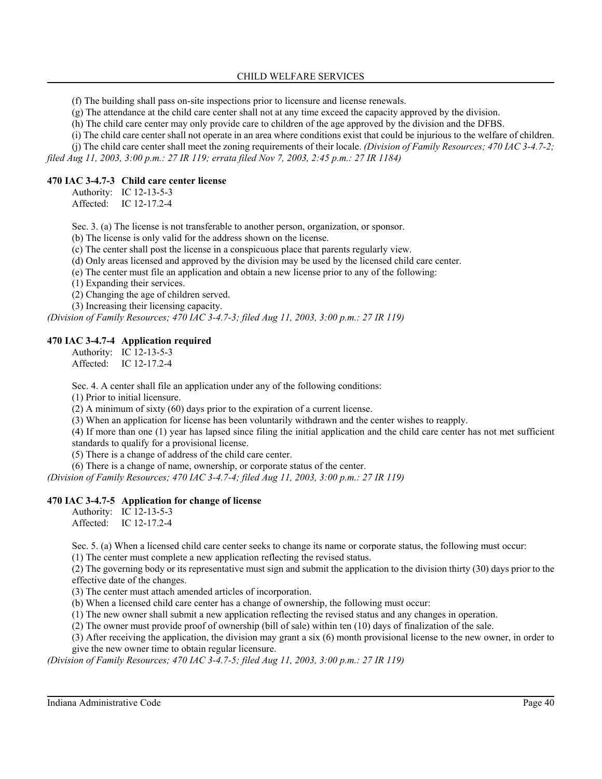(f) The building shall pass on-site inspections prior to licensure and license renewals.

(g) The attendance at the child care center shall not at any time exceed the capacity approved by the division.

(h) The child care center may only provide care to children of the age approved by the division and the DFBS.

(i) The child care center shall not operate in an area where conditions exist that could be injurious to the welfare of children.

(j) The child care center shall meet the zoning requirements of their locale. *(Division of Family Resources; 470 IAC 3-4.7-2; filed Aug 11, 2003, 3:00 p.m.: 27 IR 119; errata filed Nov 7, 2003, 2:45 p.m.: 27 IR 1184)*

### **470 IAC 3-4.7-3 Child care center license**

Authority: IC 12-13-5-3 Affected: IC 12-17.2-4

Sec. 3. (a) The license is not transferable to another person, organization, or sponsor.

(b) The license is only valid for the address shown on the license.

(c) The center shall post the license in a conspicuous place that parents regularly view.

(d) Only areas licensed and approved by the division may be used by the licensed child care center.

(e) The center must file an application and obtain a new license prior to any of the following:

(1) Expanding their services.

(2) Changing the age of children served.

(3) Increasing their licensing capacity.

*(Division of Family Resources; 470 IAC 3-4.7-3; filed Aug 11, 2003, 3:00 p.m.: 27 IR 119)*

#### **470 IAC 3-4.7-4 Application required**

Authority: IC 12-13-5-3 Affected: IC 12-17.2-4

Sec. 4. A center shall file an application under any of the following conditions:

(1) Prior to initial licensure.

(2) A minimum of sixty (60) days prior to the expiration of a current license.

(3) When an application for license has been voluntarily withdrawn and the center wishes to reapply.

(4) If more than one (1) year has lapsed since filing the initial application and the child care center has not met sufficient standards to qualify for a provisional license.

(5) There is a change of address of the child care center.

(6) There is a change of name, ownership, or corporate status of the center.

*(Division of Family Resources; 470 IAC 3-4.7-4; filed Aug 11, 2003, 3:00 p.m.: 27 IR 119)*

#### **470 IAC 3-4.7-5 Application for change of license**

Authority: IC 12-13-5-3 Affected: IC 12-17.2-4

Sec. 5. (a) When a licensed child care center seeks to change its name or corporate status, the following must occur:

(1) The center must complete a new application reflecting the revised status.

(2) The governing body or its representative must sign and submit the application to the division thirty (30) days prior to the effective date of the changes.

(3) The center must attach amended articles of incorporation.

(b) When a licensed child care center has a change of ownership, the following must occur:

(1) The new owner shall submit a new application reflecting the revised status and any changes in operation.

(2) The owner must provide proof of ownership (bill of sale) within ten (10) days of finalization of the sale.

(3) After receiving the application, the division may grant a six (6) month provisional license to the new owner, in order to give the new owner time to obtain regular licensure.

*(Division of Family Resources; 470 IAC 3-4.7-5; filed Aug 11, 2003, 3:00 p.m.: 27 IR 119)*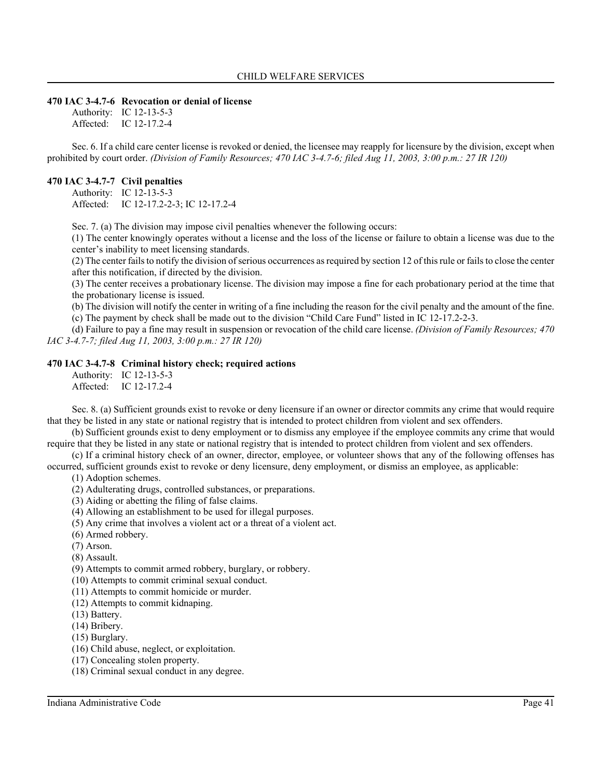#### **470 IAC 3-4.7-6 Revocation or denial of license**

Authority: IC 12-13-5-3 Affected: IC 12-17.2-4

Sec. 6. If a child care center license is revoked or denied, the licensee may reapply for licensure by the division, except when prohibited by court order. *(Division of Family Resources; 470 IAC 3-4.7-6; filed Aug 11, 2003, 3:00 p.m.: 27 IR 120)*

#### **470 IAC 3-4.7-7 Civil penalties**

Authority: IC 12-13-5-3 Affected: IC 12-17.2-2-3; IC 12-17.2-4

Sec. 7. (a) The division may impose civil penalties whenever the following occurs:

(1) The center knowingly operates without a license and the loss of the license or failure to obtain a license was due to the center's inability to meet licensing standards.

(2) The center fails to notify the division of serious occurrences as required by section 12 of this rule or fails to close the center after this notification, if directed by the division.

(3) The center receives a probationary license. The division may impose a fine for each probationary period at the time that the probationary license is issued.

(b) The division will notify the center in writing of a fine including the reason for the civil penalty and the amount of the fine. (c) The payment by check shall be made out to the division "Child Care Fund" listed in IC 12-17.2-2-3.

(d) Failure to pay a fine may result in suspension or revocation of the child care license. *(Division of Family Resources; 470 IAC 3-4.7-7; filed Aug 11, 2003, 3:00 p.m.: 27 IR 120)*

#### **470 IAC 3-4.7-8 Criminal history check; required actions**

Authority: IC 12-13-5-3 Affected: IC 12-17.2-4

Sec. 8. (a) Sufficient grounds exist to revoke or deny licensure if an owner or director commits any crime that would require that they be listed in any state or national registry that is intended to protect children from violent and sex offenders.

(b) Sufficient grounds exist to deny employment or to dismiss any employee if the employee commits any crime that would require that they be listed in any state or national registry that is intended to protect children from violent and sex offenders.

(c) If a criminal history check of an owner, director, employee, or volunteer shows that any of the following offenses has occurred, sufficient grounds exist to revoke or deny licensure, deny employment, or dismiss an employee, as applicable:

(1) Adoption schemes.

- (2) Adulterating drugs, controlled substances, or preparations.
- (3) Aiding or abetting the filing of false claims.
- (4) Allowing an establishment to be used for illegal purposes.
- (5) Any crime that involves a violent act or a threat of a violent act.
- (6) Armed robbery.
- (7) Arson.
- (8) Assault.

(9) Attempts to commit armed robbery, burglary, or robbery.

- (10) Attempts to commit criminal sexual conduct.
- (11) Attempts to commit homicide or murder.
- (12) Attempts to commit kidnaping.
- (13) Battery.
- (14) Bribery.
- (15) Burglary.
- (16) Child abuse, neglect, or exploitation.
- (17) Concealing stolen property.
- (18) Criminal sexual conduct in any degree.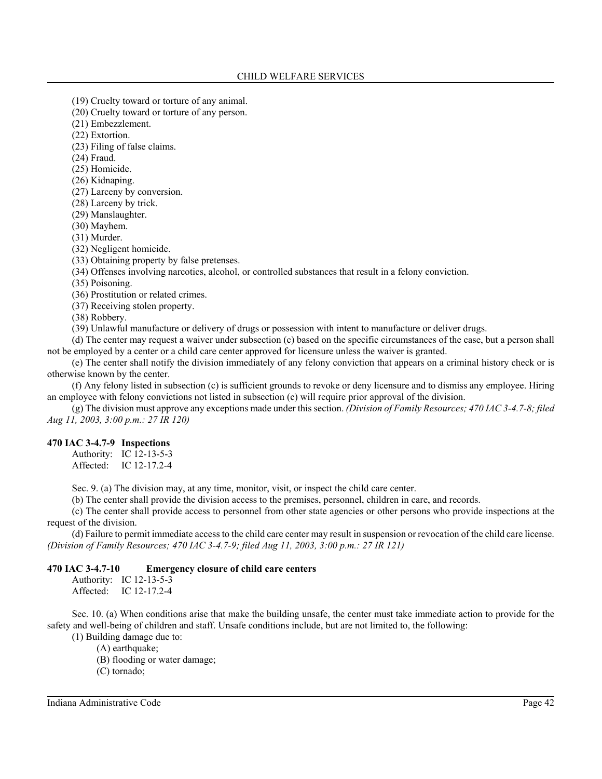- (19) Cruelty toward or torture of any animal.
- (20) Cruelty toward or torture of any person.
- (21) Embezzlement.

(22) Extortion.

(23) Filing of false claims.

(24) Fraud.

(25) Homicide.

(26) Kidnaping.

(27) Larceny by conversion.

(28) Larceny by trick.

(29) Manslaughter.

(30) Mayhem.

(31) Murder.

(32) Negligent homicide.

(33) Obtaining property by false pretenses.

(34) Offenses involving narcotics, alcohol, or controlled substances that result in a felony conviction.

(35) Poisoning.

(36) Prostitution or related crimes.

(37) Receiving stolen property.

(38) Robbery.

(39) Unlawful manufacture or delivery of drugs or possession with intent to manufacture or deliver drugs.

(d) The center may request a waiver under subsection (c) based on the specific circumstances of the case, but a person shall not be employed by a center or a child care center approved for licensure unless the waiver is granted.

(e) The center shall notify the division immediately of any felony conviction that appears on a criminal history check or is otherwise known by the center.

(f) Any felony listed in subsection (c) is sufficient grounds to revoke or deny licensure and to dismiss any employee. Hiring an employee with felony convictions not listed in subsection (c) will require prior approval of the division.

(g) The division must approve any exceptions made under this section. *(Division of Family Resources; 470 IAC 3-4.7-8; filed Aug 11, 2003, 3:00 p.m.: 27 IR 120)*

## **470 IAC 3-4.7-9 Inspections**

Authority: IC 12-13-5-3 Affected: IC 12-17.2-4

Sec. 9. (a) The division may, at any time, monitor, visit, or inspect the child care center.

(b) The center shall provide the division access to the premises, personnel, children in care, and records.

(c) The center shall provide access to personnel from other state agencies or other persons who provide inspections at the request of the division.

(d) Failure to permit immediate access to the child care center may result in suspension or revocation of the child care license. *(Division of Family Resources; 470 IAC 3-4.7-9; filed Aug 11, 2003, 3:00 p.m.: 27 IR 121)*

## **470 IAC 3-4.7-10 Emergency closure of child care centers**

Authority: IC 12-13-5-3 Affected: IC 12-17.2-4

Sec. 10. (a) When conditions arise that make the building unsafe, the center must take immediate action to provide for the safety and well-being of children and staff. Unsafe conditions include, but are not limited to, the following:

(1) Building damage due to:

(A) earthquake;

(B) flooding or water damage;

(C) tornado;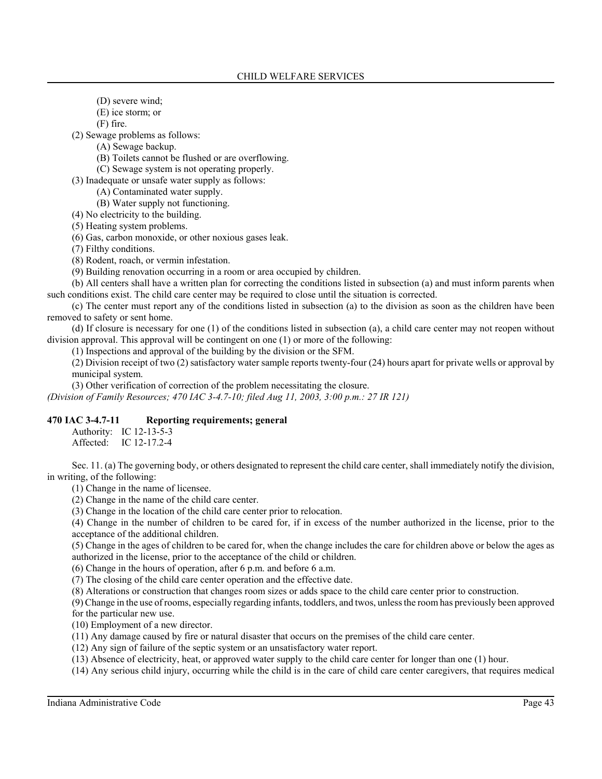- (D) severe wind;
- (E) ice storm; or

(F) fire.

(2) Sewage problems as follows:

- (A) Sewage backup.
- (B) Toilets cannot be flushed or are overflowing.
- (C) Sewage system is not operating properly.
- (3) Inadequate or unsafe water supply as follows:
	- (A) Contaminated water supply.

(B) Water supply not functioning.

(4) No electricity to the building.

(5) Heating system problems.

(6) Gas, carbon monoxide, or other noxious gases leak.

(7) Filthy conditions.

(8) Rodent, roach, or vermin infestation.

(9) Building renovation occurring in a room or area occupied by children.

(b) All centers shall have a written plan for correcting the conditions listed in subsection (a) and must inform parents when such conditions exist. The child care center may be required to close until the situation is corrected.

(c) The center must report any of the conditions listed in subsection (a) to the division as soon as the children have been removed to safety or sent home.

(d) If closure is necessary for one (1) of the conditions listed in subsection (a), a child care center may not reopen without division approval. This approval will be contingent on one (1) or more of the following:

(1) Inspections and approval of the building by the division or the SFM.

(2) Division receipt of two (2) satisfactory water sample reports twenty-four (24) hours apart for private wells or approval by municipal system.

(3) Other verification of correction of the problem necessitating the closure.

*(Division of Family Resources; 470 IAC 3-4.7-10; filed Aug 11, 2003, 3:00 p.m.: 27 IR 121)*

#### **470 IAC 3-4.7-11 Reporting requirements; general**

Authority: IC 12-13-5-3 Affected: IC 12-17.2-4

Sec. 11. (a) The governing body, or others designated to represent the child care center, shall immediately notify the division, in writing, of the following:

(1) Change in the name of licensee.

(2) Change in the name of the child care center.

(3) Change in the location of the child care center prior to relocation.

(4) Change in the number of children to be cared for, if in excess of the number authorized in the license, prior to the acceptance of the additional children.

(5) Change in the ages of children to be cared for, when the change includes the care for children above or below the ages as authorized in the license, prior to the acceptance of the child or children.

(6) Change in the hours of operation, after 6 p.m. and before 6 a.m.

(7) The closing of the child care center operation and the effective date.

(8) Alterations or construction that changes room sizes or adds space to the child care center prior to construction.

(9) Change in the use of rooms, especially regarding infants, toddlers, and twos, unless the room has previously been approved for the particular new use.

(10) Employment of a new director.

(11) Any damage caused by fire or natural disaster that occurs on the premises of the child care center.

(12) Any sign of failure of the septic system or an unsatisfactory water report.

(13) Absence of electricity, heat, or approved water supply to the child care center for longer than one (1) hour.

(14) Any serious child injury, occurring while the child is in the care of child care center caregivers, that requires medical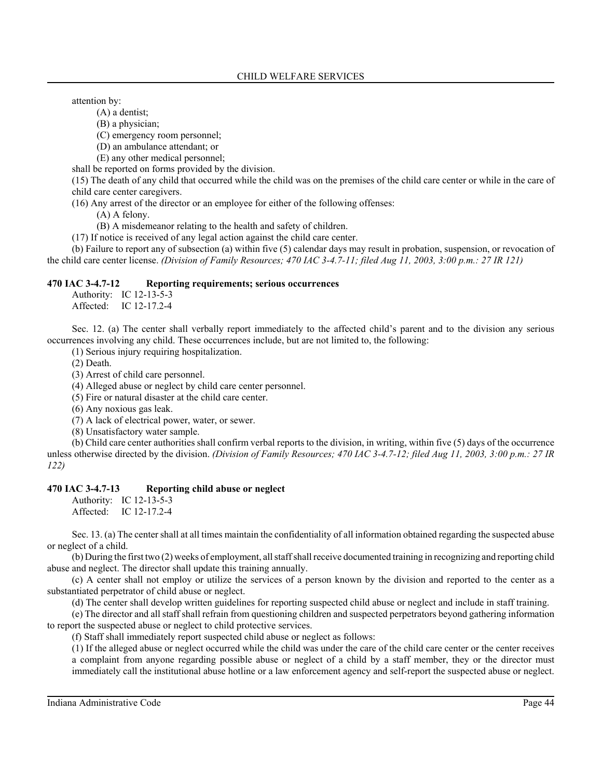attention by:

(A) a dentist;

(B) a physician;

(C) emergency room personnel;

(D) an ambulance attendant; or

(E) any other medical personnel;

shall be reported on forms provided by the division.

(15) The death of any child that occurred while the child was on the premises of the child care center or while in the care of child care center caregivers.

(16) Any arrest of the director or an employee for either of the following offenses:

(A) A felony.

(B) A misdemeanor relating to the health and safety of children.

(17) If notice is received of any legal action against the child care center.

(b) Failure to report any of subsection (a) within five (5) calendar days may result in probation, suspension, or revocation of the child care center license. *(Division of Family Resources; 470 IAC 3-4.7-11; filed Aug 11, 2003, 3:00 p.m.: 27 IR 121)*

#### **470 IAC 3-4.7-12 Reporting requirements; serious occurrences**

Authority: IC 12-13-5-3 Affected: IC 12-17.2-4

Sec. 12. (a) The center shall verbally report immediately to the affected child's parent and to the division any serious occurrences involving any child. These occurrences include, but are not limited to, the following:

(1) Serious injury requiring hospitalization.

(2) Death.

(3) Arrest of child care personnel.

(4) Alleged abuse or neglect by child care center personnel.

(5) Fire or natural disaster at the child care center.

(6) Any noxious gas leak.

(7) A lack of electrical power, water, or sewer.

(8) Unsatisfactory water sample.

(b) Child care center authorities shall confirm verbal reports to the division, in writing, within five (5) days of the occurrence unless otherwise directed by the division. *(Division of Family Resources; 470 IAC 3-4.7-12; filed Aug 11, 2003, 3:00 p.m.: 27 IR 122)*

## **470 IAC 3-4.7-13 Reporting child abuse or neglect**

Authority: IC 12-13-5-3 Affected: IC 12-17.2-4

Sec. 13. (a) The center shall at all times maintain the confidentiality of all information obtained regarding the suspected abuse or neglect of a child.

(b) During the first two (2) weeks of employment, all staff shall receive documented training in recognizing and reporting child abuse and neglect. The director shall update this training annually.

(c) A center shall not employ or utilize the services of a person known by the division and reported to the center as a substantiated perpetrator of child abuse or neglect.

(d) The center shall develop written guidelines for reporting suspected child abuse or neglect and include in staff training.

(e) The director and all staff shall refrain from questioning children and suspected perpetrators beyond gathering information to report the suspected abuse or neglect to child protective services.

(f) Staff shall immediately report suspected child abuse or neglect as follows:

(1) If the alleged abuse or neglect occurred while the child was under the care of the child care center or the center receives a complaint from anyone regarding possible abuse or neglect of a child by a staff member, they or the director must immediately call the institutional abuse hotline or a law enforcement agency and self-report the suspected abuse or neglect.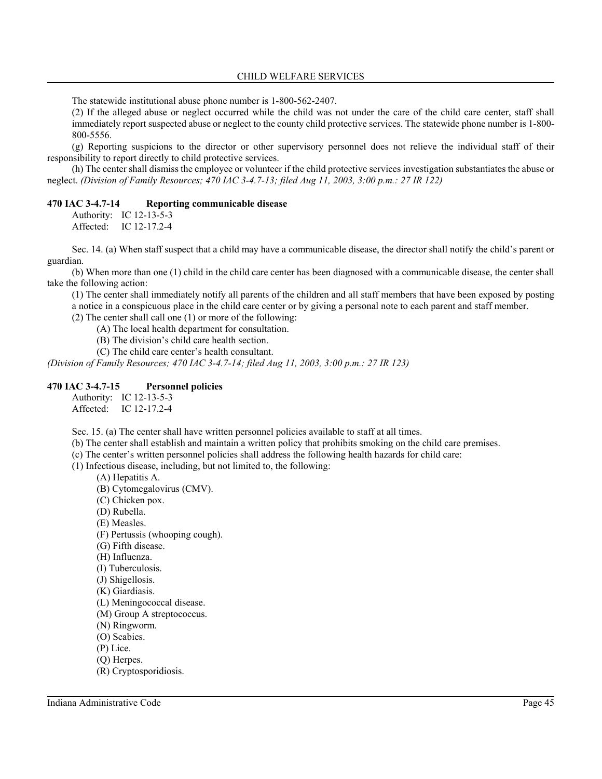The statewide institutional abuse phone number is 1-800-562-2407.

(2) If the alleged abuse or neglect occurred while the child was not under the care of the child care center, staff shall immediately report suspected abuse or neglect to the county child protective services. The statewide phone number is 1-800- 800-5556.

(g) Reporting suspicions to the director or other supervisory personnel does not relieve the individual staff of their responsibility to report directly to child protective services.

(h) The center shall dismiss the employee or volunteer if the child protective services investigation substantiates the abuse or neglect. *(Division of Family Resources; 470 IAC 3-4.7-13; filed Aug 11, 2003, 3:00 p.m.: 27 IR 122)*

#### **470 IAC 3-4.7-14 Reporting communicable disease**

Authority: IC 12-13-5-3 Affected: IC 12-17.2-4

Sec. 14. (a) When staff suspect that a child may have a communicable disease, the director shall notify the child's parent or guardian.

(b) When more than one (1) child in the child care center has been diagnosed with a communicable disease, the center shall take the following action:

(1) The center shall immediately notify all parents of the children and all staff members that have been exposed by posting a notice in a conspicuous place in the child care center or by giving a personal note to each parent and staff member.

(2) The center shall call one (1) or more of the following:

(A) The local health department for consultation.

(B) The division's child care health section.

(C) The child care center's health consultant.

*(Division of Family Resources; 470 IAC 3-4.7-14; filed Aug 11, 2003, 3:00 p.m.: 27 IR 123)*

#### **470 IAC 3-4.7-15 Personnel policies**

Authority: IC 12-13-5-3 Affected: IC 12-17.2-4

Sec. 15. (a) The center shall have written personnel policies available to staff at all times.

(b) The center shall establish and maintain a written policy that prohibits smoking on the child care premises.

(c) The center's written personnel policies shall address the following health hazards for child care:

(1) Infectious disease, including, but not limited to, the following:

- (A) Hepatitis A.
- (B) Cytomegalovirus (CMV).
- (C) Chicken pox.
- (D) Rubella.
- (E) Measles.
- (F) Pertussis (whooping cough).
- (G) Fifth disease.
- (H) Influenza.
- (I) Tuberculosis.
- (J) Shigellosis.
- (K) Giardiasis.
- (L) Meningococcal disease.
- (M) Group A streptococcus.
- (N) Ringworm.
- (O) Scabies.
- (P) Lice.
- (Q) Herpes.
- (R) Cryptosporidiosis.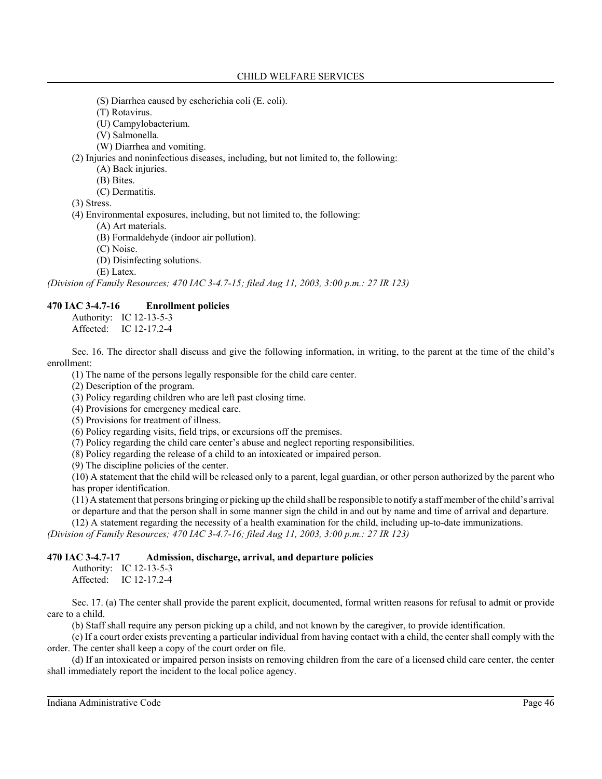- (S) Diarrhea caused by escherichia coli (E. coli).
- (T) Rotavirus.
- (U) Campylobacterium.
- (V) Salmonella.
- (W) Diarrhea and vomiting.

(2) Injuries and noninfectious diseases, including, but not limited to, the following:

(A) Back injuries.

- (B) Bites.
- (C) Dermatitis.

(3) Stress.

(4) Environmental exposures, including, but not limited to, the following:

(A) Art materials.

(B) Formaldehyde (indoor air pollution).

(C) Noise.

(D) Disinfecting solutions.

(E) Latex.

*(Division of Family Resources; 470 IAC 3-4.7-15; filed Aug 11, 2003, 3:00 p.m.: 27 IR 123)*

## **470 IAC 3-4.7-16 Enrollment policies**

Authority: IC 12-13-5-3 Affected: IC 12-17.2-4

Sec. 16. The director shall discuss and give the following information, in writing, to the parent at the time of the child's enrollment:

(1) The name of the persons legally responsible for the child care center.

(2) Description of the program.

(3) Policy regarding children who are left past closing time.

(4) Provisions for emergency medical care.

(5) Provisions for treatment of illness.

(6) Policy regarding visits, field trips, or excursions off the premises.

(7) Policy regarding the child care center's abuse and neglect reporting responsibilities.

(8) Policy regarding the release of a child to an intoxicated or impaired person.

(9) The discipline policies of the center.

(10) A statement that the child will be released only to a parent, legal guardian, or other person authorized by the parent who has proper identification.

(11) A statement that persons bringing or picking up the child shall be responsible to notify a staff member of the child's arrival or departure and that the person shall in some manner sign the child in and out by name and time of arrival and departure.

(12) A statement regarding the necessity of a health examination for the child, including up-to-date immunizations.

*(Division of Family Resources; 470 IAC 3-4.7-16; filed Aug 11, 2003, 3:00 p.m.: 27 IR 123)*

# **470 IAC 3-4.7-17 Admission, discharge, arrival, and departure policies**

Authority: IC 12-13-5-3 Affected: IC 12-17.2-4

Sec. 17. (a) The center shall provide the parent explicit, documented, formal written reasons for refusal to admit or provide care to a child.

(b) Staff shall require any person picking up a child, and not known by the caregiver, to provide identification.

(c) If a court order exists preventing a particular individual from having contact with a child, the center shall comply with the order. The center shall keep a copy of the court order on file.

(d) If an intoxicated or impaired person insists on removing children from the care of a licensed child care center, the center shall immediately report the incident to the local police agency.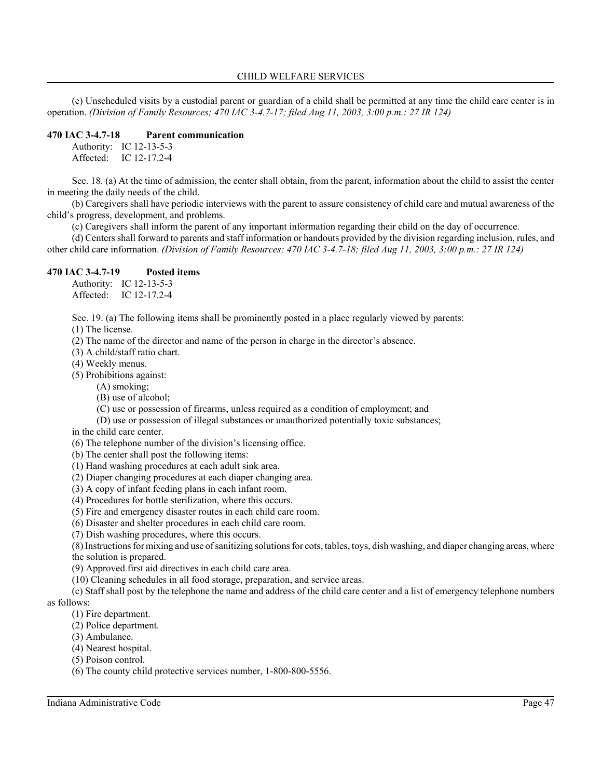(e) Unscheduled visits by a custodial parent or guardian of a child shall be permitted at any time the child care center is in operation. *(Division of Family Resources; 470 IAC 3-4.7-17; filed Aug 11, 2003, 3:00 p.m.: 27 IR 124)*

## **470 IAC 3-4.7-18 Parent communication**

Authority: IC 12-13-5-3 Affected: IC 12-17.2-4

Sec. 18. (a) At the time of admission, the center shall obtain, from the parent, information about the child to assist the center in meeting the daily needs of the child.

(b) Caregivers shall have periodic interviews with the parent to assure consistency of child care and mutual awareness of the child's progress, development, and problems.

(c) Caregivers shall inform the parent of any important information regarding their child on the day of occurrence.

(d) Centers shall forward to parents and staff information or handouts provided by the division regarding inclusion, rules, and other child care information. *(Division of Family Resources; 470 IAC 3-4.7-18; filed Aug 11, 2003, 3:00 p.m.: 27 IR 124)*

## **470 IAC 3-4.7-19 Posted items**

Authority: IC 12-13-5-3 Affected: IC 12-17.2-4

Sec. 19. (a) The following items shall be prominently posted in a place regularly viewed by parents:

(1) The license.

(2) The name of the director and name of the person in charge in the director's absence.

(3) A child/staff ratio chart.

(4) Weekly menus.

(5) Prohibitions against:

(A) smoking;

(B) use of alcohol;

(C) use or possession of firearms, unless required as a condition of employment; and

(D) use or possession of illegal substances or unauthorized potentially toxic substances;

in the child care center.

(6) The telephone number of the division's licensing office.

(b) The center shall post the following items:

(1) Hand washing procedures at each adult sink area.

(2) Diaper changing procedures at each diaper changing area.

(3) A copy of infant feeding plans in each infant room.

(4) Procedures for bottle sterilization, where this occurs.

(5) Fire and emergency disaster routes in each child care room.

(6) Disaster and shelter procedures in each child care room.

(7) Dish washing procedures, where this occurs.

(8) Instructions for mixing and use of sanitizing solutions for cots, tables, toys, dish washing, and diaper changing areas, where the solution is prepared.

(9) Approved first aid directives in each child care area.

(10) Cleaning schedules in all food storage, preparation, and service areas.

(c) Staff shall post by the telephone the name and address of the child care center and a list of emergency telephone numbers as follows:

(1) Fire department.

(2) Police department.

(3) Ambulance.

(4) Nearest hospital.

(5) Poison control.

(6) The county child protective services number, 1-800-800-5556.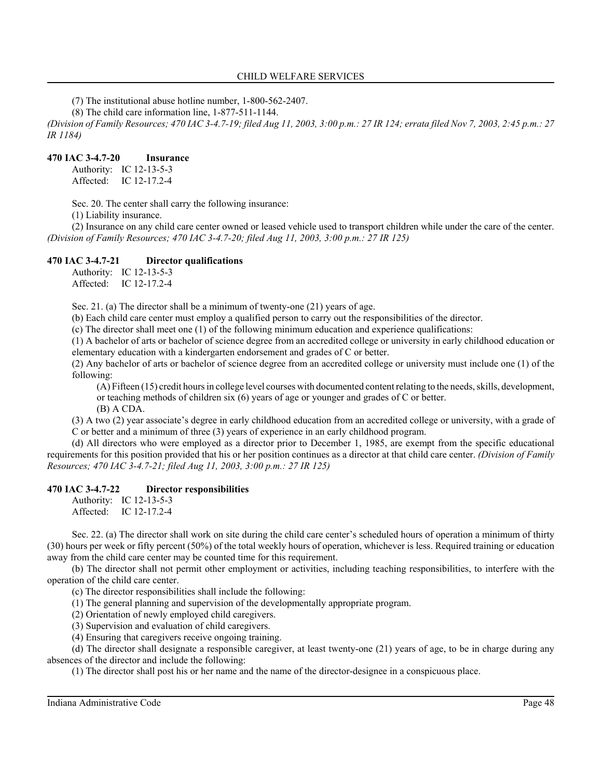(7) The institutional abuse hotline number, 1-800-562-2407.

(8) The child care information line, 1-877-511-1144.

*(Division of Family Resources; 470 IAC 3-4.7-19; filed Aug 11, 2003, 3:00 p.m.: 27 IR 124; errata filed Nov 7, 2003, 2:45 p.m.: 27 IR 1184)*

## **470 IAC 3-4.7-20 Insurance**

Authority: IC 12-13-5-3 Affected: IC 12-17.2-4

Sec. 20. The center shall carry the following insurance:

(1) Liability insurance.

(2) Insurance on any child care center owned or leased vehicle used to transport children while under the care of the center. *(Division of Family Resources; 470 IAC 3-4.7-20; filed Aug 11, 2003, 3:00 p.m.: 27 IR 125)*

## **470 IAC 3-4.7-21 Director qualifications**

Authority: IC 12-13-5-3 Affected: IC 12-17.2-4

Sec. 21. (a) The director shall be a minimum of twenty-one (21) years of age.

(b) Each child care center must employ a qualified person to carry out the responsibilities of the director.

(c) The director shall meet one (1) of the following minimum education and experience qualifications:

(1) A bachelor of arts or bachelor of science degree from an accredited college or university in early childhood education or elementary education with a kindergarten endorsement and grades of C or better.

(2) Any bachelor of arts or bachelor of science degree from an accredited college or university must include one (1) of the following:

(A) Fifteen (15) credit hours in college level courses with documented content relating to the needs, skills, development, or teaching methods of children six  $(6)$  years of age or younger and grades of C or better.

(B) A CDA.

(3) A two (2) year associate's degree in early childhood education from an accredited college or university, with a grade of C or better and a minimum of three (3) years of experience in an early childhood program.

(d) All directors who were employed as a director prior to December 1, 1985, are exempt from the specific educational requirements for this position provided that his or her position continues as a director at that child care center. *(Division of Family Resources; 470 IAC 3-4.7-21; filed Aug 11, 2003, 3:00 p.m.: 27 IR 125)*

#### **470 IAC 3-4.7-22 Director responsibilities**

Authority: IC 12-13-5-3 Affected: IC 12-17.2-4

Sec. 22. (a) The director shall work on site during the child care center's scheduled hours of operation a minimum of thirty (30) hours per week or fifty percent (50%) of the total weekly hours of operation, whichever is less. Required training or education away from the child care center may be counted time for this requirement.

(b) The director shall not permit other employment or activities, including teaching responsibilities, to interfere with the operation of the child care center.

(c) The director responsibilities shall include the following:

(1) The general planning and supervision of the developmentally appropriate program.

(2) Orientation of newly employed child caregivers.

(3) Supervision and evaluation of child caregivers.

(4) Ensuring that caregivers receive ongoing training.

(d) The director shall designate a responsible caregiver, at least twenty-one (21) years of age, to be in charge during any absences of the director and include the following:

(1) The director shall post his or her name and the name of the director-designee in a conspicuous place.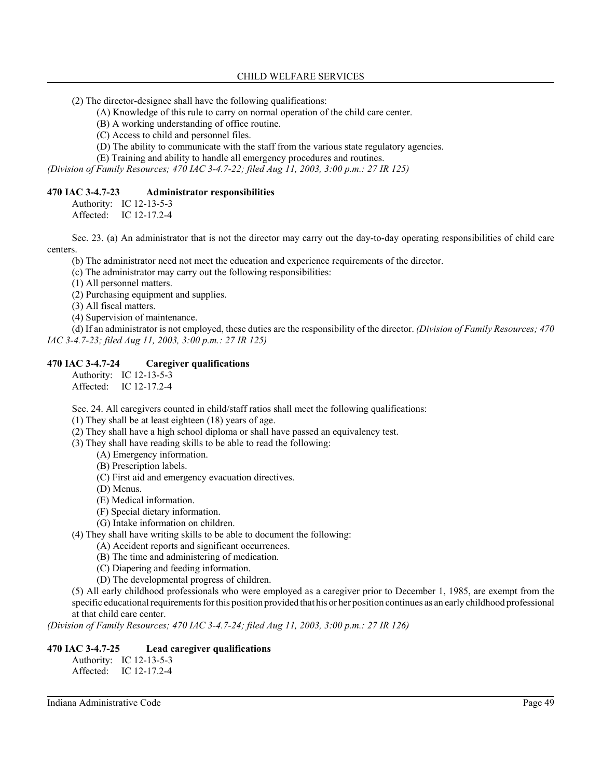- (2) The director-designee shall have the following qualifications:
	- (A) Knowledge of this rule to carry on normal operation of the child care center.
	- (B) A working understanding of office routine.
	- (C) Access to child and personnel files.
	- (D) The ability to communicate with the staff from the various state regulatory agencies.
	- (E) Training and ability to handle all emergency procedures and routines.

*(Division of Family Resources; 470 IAC 3-4.7-22; filed Aug 11, 2003, 3:00 p.m.: 27 IR 125)*

#### **470 IAC 3-4.7-23 Administrator responsibilities**

Authority: IC 12-13-5-3

Affected: IC 12-17.2-4

Sec. 23. (a) An administrator that is not the director may carry out the day-to-day operating responsibilities of child care centers.

(b) The administrator need not meet the education and experience requirements of the director.

(c) The administrator may carry out the following responsibilities:

(1) All personnel matters.

- (2) Purchasing equipment and supplies.
- (3) All fiscal matters.
- (4) Supervision of maintenance.

(d) If an administrator is not employed, these duties are the responsibility of the director. *(Division of Family Resources; 470 IAC 3-4.7-23; filed Aug 11, 2003, 3:00 p.m.: 27 IR 125)*

### **470 IAC 3-4.7-24 Caregiver qualifications**

Authority: IC 12-13-5-3 Affected: IC 12-17.2-4

Sec. 24. All caregivers counted in child/staff ratios shall meet the following qualifications:

(1) They shall be at least eighteen (18) years of age.

(2) They shall have a high school diploma or shall have passed an equivalency test.

(3) They shall have reading skills to be able to read the following:

- (A) Emergency information.
- (B) Prescription labels.
- (C) First aid and emergency evacuation directives.
- (D) Menus.
- (E) Medical information.
- (F) Special dietary information.
- (G) Intake information on children.

(4) They shall have writing skills to be able to document the following:

- (A) Accident reports and significant occurrences.
- (B) The time and administering of medication.
- (C) Diapering and feeding information.
- (D) The developmental progress of children.

(5) All early childhood professionals who were employed as a caregiver prior to December 1, 1985, are exempt from the specific educational requirements for this position provided that his or her position continues as an early childhood professional at that child care center.

*(Division of Family Resources; 470 IAC 3-4.7-24; filed Aug 11, 2003, 3:00 p.m.: 27 IR 126)*

### **470 IAC 3-4.7-25 Lead caregiver qualifications**

Authority: IC 12-13-5-3 Affected: IC 12-17.2-4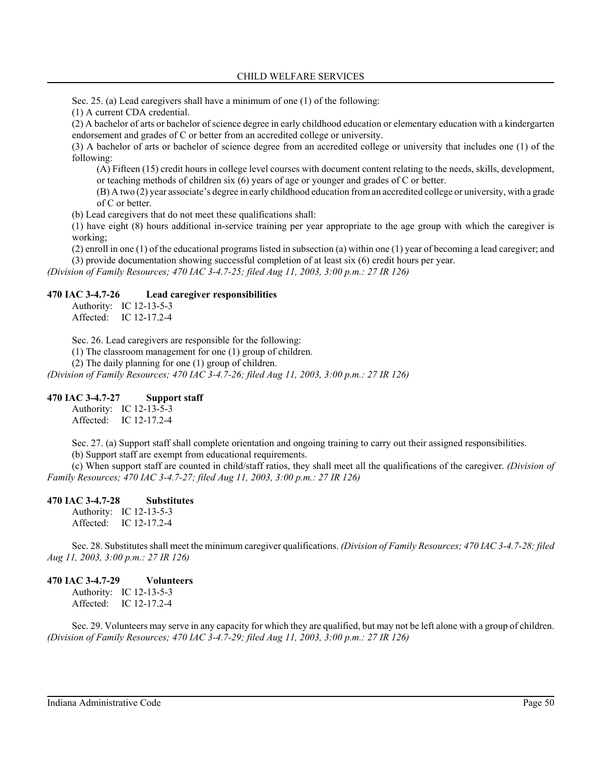Sec. 25. (a) Lead caregivers shall have a minimum of one (1) of the following:

(1) A current CDA credential.

(2) A bachelor of arts or bachelor of science degree in early childhood education or elementary education with a kindergarten endorsement and grades of C or better from an accredited college or university.

(3) A bachelor of arts or bachelor of science degree from an accredited college or university that includes one (1) of the following:

(A) Fifteen (15) credit hours in college level courses with document content relating to the needs, skills, development, or teaching methods of children six (6) years of age or younger and grades of C or better.

(B) A two (2) year associate's degree in early childhood education from an accredited college or university, with a grade of C or better.

(b) Lead caregivers that do not meet these qualifications shall:

(1) have eight (8) hours additional in-service training per year appropriate to the age group with which the caregiver is working;

(2) enroll in one (1) of the educational programs listed in subsection (a) within one (1) year of becoming a lead caregiver; and (3) provide documentation showing successful completion of at least six (6) credit hours per year.

*(Division of Family Resources; 470 IAC 3-4.7-25; filed Aug 11, 2003, 3:00 p.m.: 27 IR 126)*

#### **470 IAC 3-4.7-26 Lead caregiver responsibilities**

Authority: IC 12-13-5-3 Affected: IC 12-17.2-4

Sec. 26. Lead caregivers are responsible for the following:

(1) The classroom management for one (1) group of children.

(2) The daily planning for one (1) group of children.

*(Division of Family Resources; 470 IAC 3-4.7-26; filed Aug 11, 2003, 3:00 p.m.: 27 IR 126)*

#### **470 IAC 3-4.7-27 Support staff**

Authority: IC 12-13-5-3 Affected: IC 12-17.2-4

Sec. 27. (a) Support staff shall complete orientation and ongoing training to carry out their assigned responsibilities.

(b) Support staff are exempt from educational requirements.

(c) When support staff are counted in child/staff ratios, they shall meet all the qualifications of the caregiver. *(Division of Family Resources; 470 IAC 3-4.7-27; filed Aug 11, 2003, 3:00 p.m.: 27 IR 126)*

## **470 IAC 3-4.7-28 Substitutes**

Authority: IC 12-13-5-3 Affected: IC 12-17.2-4

Sec. 28. Substitutes shall meet the minimum caregiver qualifications. *(Division of Family Resources; 470 IAC 3-4.7-28; filed Aug 11, 2003, 3:00 p.m.: 27 IR 126)*

## **470 IAC 3-4.7-29 Volunteers**

Authority: IC 12-13-5-3 Affected: IC 12-17.2-4

Sec. 29. Volunteers may serve in any capacity for which they are qualified, but may not be left alone with a group of children. *(Division of Family Resources; 470 IAC 3-4.7-29; filed Aug 11, 2003, 3:00 p.m.: 27 IR 126)*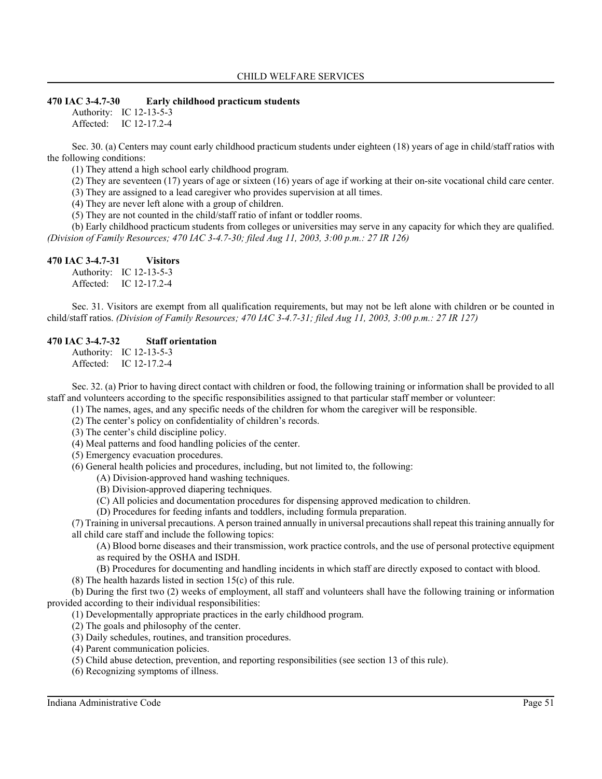#### **470 IAC 3-4.7-30 Early childhood practicum students**

Authority: IC 12-13-5-3 Affected: IC 12-17.2-4

Sec. 30. (a) Centers may count early childhood practicum students under eighteen (18) years of age in child/staff ratios with the following conditions:

(1) They attend a high school early childhood program.

(2) They are seventeen (17) years of age or sixteen (16) years of age if working at their on-site vocational child care center.

(3) They are assigned to a lead caregiver who provides supervision at all times.

(4) They are never left alone with a group of children.

(5) They are not counted in the child/staff ratio of infant or toddler rooms.

(b) Early childhood practicum students from colleges or universities may serve in any capacity for which they are qualified. *(Division of Family Resources; 470 IAC 3-4.7-30; filed Aug 11, 2003, 3:00 p.m.: 27 IR 126)*

#### **470 IAC 3-4.7-31 Visitors**

Authority: IC 12-13-5-3 Affected: IC 12-17.2-4

Sec. 31. Visitors are exempt from all qualification requirements, but may not be left alone with children or be counted in child/staff ratios. *(Division of Family Resources; 470 IAC 3-4.7-31; filed Aug 11, 2003, 3:00 p.m.: 27 IR 127)*

### **470 IAC 3-4.7-32 Staff orientation**

Authority: IC 12-13-5-3 Affected: IC 12-17.2-4

Sec. 32. (a) Prior to having direct contact with children or food, the following training or information shall be provided to all staff and volunteers according to the specific responsibilities assigned to that particular staff member or volunteer:

(1) The names, ages, and any specific needs of the children for whom the caregiver will be responsible.

(2) The center's policy on confidentiality of children's records.

(3) The center's child discipline policy.

(4) Meal patterns and food handling policies of the center.

(5) Emergency evacuation procedures.

(6) General health policies and procedures, including, but not limited to, the following:

(A) Division-approved hand washing techniques.

- (B) Division-approved diapering techniques.
- (C) All policies and documentation procedures for dispensing approved medication to children.

(D) Procedures for feeding infants and toddlers, including formula preparation.

(7) Training in universal precautions. A person trained annually in universal precautions shall repeat this training annually for all child care staff and include the following topics:

(A) Blood borne diseases and their transmission, work practice controls, and the use of personal protective equipment as required by the OSHA and ISDH.

(B) Procedures for documenting and handling incidents in which staff are directly exposed to contact with blood.

(8) The health hazards listed in section 15(c) of this rule.

(b) During the first two (2) weeks of employment, all staff and volunteers shall have the following training or information provided according to their individual responsibilities:

(1) Developmentally appropriate practices in the early childhood program.

(2) The goals and philosophy of the center.

(3) Daily schedules, routines, and transition procedures.

(4) Parent communication policies.

(5) Child abuse detection, prevention, and reporting responsibilities (see section 13 of this rule).

(6) Recognizing symptoms of illness.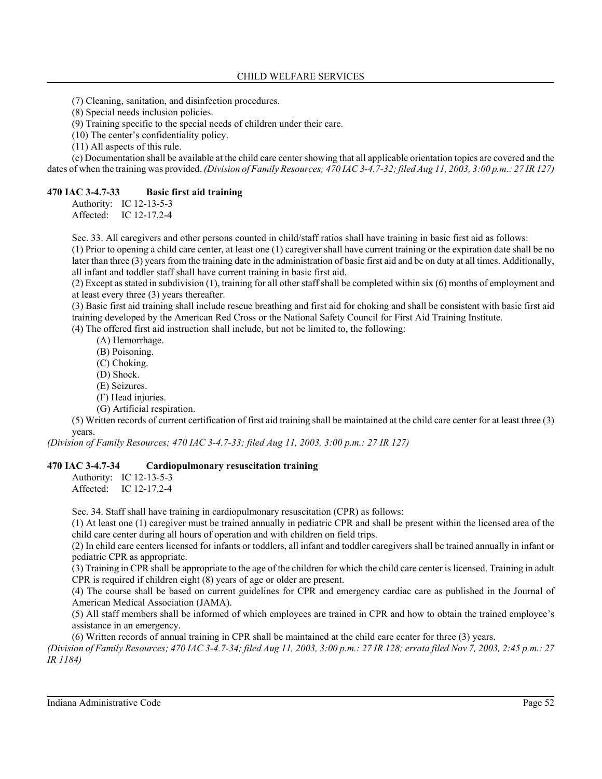(7) Cleaning, sanitation, and disinfection procedures.

(8) Special needs inclusion policies.

(9) Training specific to the special needs of children under their care.

(10) The center's confidentiality policy.

(11) All aspects of this rule.

(c) Documentation shall be available at the child care center showing that all applicable orientation topics are covered and the dates of when the training was provided. *(Division of Family Resources; 470 IAC 3-4.7-32; filed Aug 11, 2003, 3:00 p.m.: 27 IR 127)*

### **470 IAC 3-4.7-33 Basic first aid training**

Authority: IC 12-13-5-3 Affected: IC 12-17.2-4

Sec. 33. All caregivers and other persons counted in child/staff ratios shall have training in basic first aid as follows:

(1) Prior to opening a child care center, at least one (1) caregiver shall have current training or the expiration date shall be no later than three (3) years from the training date in the administration of basic first aid and be on duty at all times. Additionally, all infant and toddler staff shall have current training in basic first aid.

(2) Except as stated in subdivision (1), training for all other staff shall be completed within six (6) months of employment and at least every three (3) years thereafter.

(3) Basic first aid training shall include rescue breathing and first aid for choking and shall be consistent with basic first aid training developed by the American Red Cross or the National Safety Council for First Aid Training Institute.

(4) The offered first aid instruction shall include, but not be limited to, the following:

- (A) Hemorrhage.
- (B) Poisoning.
- (C) Choking.
- (D) Shock.
- (E) Seizures.
- (F) Head injuries.
- (G) Artificial respiration.

(5) Written records of current certification of first aid training shall be maintained at the child care center for at least three (3) years.

*(Division of Family Resources; 470 IAC 3-4.7-33; filed Aug 11, 2003, 3:00 p.m.: 27 IR 127)*

### **470 IAC 3-4.7-34 Cardiopulmonary resuscitation training**

Authority: IC 12-13-5-3 Affected: IC 12-17.2-4

Sec. 34. Staff shall have training in cardiopulmonary resuscitation (CPR) as follows:

(1) At least one (1) caregiver must be trained annually in pediatric CPR and shall be present within the licensed area of the child care center during all hours of operation and with children on field trips.

(2) In child care centers licensed for infants or toddlers, all infant and toddler caregivers shall be trained annually in infant or pediatric CPR as appropriate.

(3) Training in CPR shall be appropriate to the age of the children for which the child care center is licensed. Training in adult CPR is required if children eight (8) years of age or older are present.

(4) The course shall be based on current guidelines for CPR and emergency cardiac care as published in the Journal of American Medical Association (JAMA).

(5) All staff members shall be informed of which employees are trained in CPR and how to obtain the trained employee's assistance in an emergency.

(6) Written records of annual training in CPR shall be maintained at the child care center for three (3) years.

*(Division of Family Resources; 470 IAC 3-4.7-34; filed Aug 11, 2003, 3:00 p.m.: 27 IR 128; errata filed Nov 7, 2003, 2:45 p.m.: 27 IR 1184)*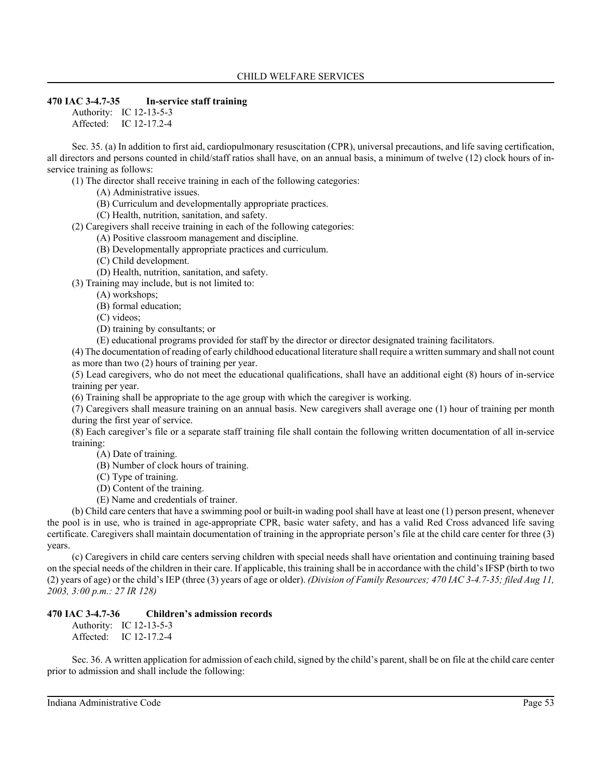### **470 IAC 3-4.7-35 In-service staff training**

Authority: IC 12-13-5-3 Affected: IC 12-17.2-4

Sec. 35. (a) In addition to first aid, cardiopulmonary resuscitation (CPR), universal precautions, and life saving certification, all directors and persons counted in child/staff ratios shall have, on an annual basis, a minimum of twelve (12) clock hours of inservice training as follows:

(1) The director shall receive training in each of the following categories:

- (A) Administrative issues.
- (B) Curriculum and developmentally appropriate practices.

(C) Health, nutrition, sanitation, and safety.

(2) Caregivers shall receive training in each of the following categories:

(A) Positive classroom management and discipline.

- (B) Developmentally appropriate practices and curriculum.
- (C) Child development.
- (D) Health, nutrition, sanitation, and safety.

(3) Training may include, but is not limited to:

(A) workshops;

(B) formal education;

- (C) videos;
- (D) training by consultants; or

(E) educational programs provided for staff by the director or director designated training facilitators.

(4) The documentation of reading of early childhood educational literature shall require a written summary and shall not count as more than two (2) hours of training per year.

(5) Lead caregivers, who do not meet the educational qualifications, shall have an additional eight (8) hours of in-service training per year.

(6) Training shall be appropriate to the age group with which the caregiver is working.

(7) Caregivers shall measure training on an annual basis. New caregivers shall average one (1) hour of training per month during the first year of service.

(8) Each caregiver's file or a separate staff training file shall contain the following written documentation of all in-service training:

- (A) Date of training.
- (B) Number of clock hours of training.
- (C) Type of training.
- (D) Content of the training.
- (E) Name and credentials of trainer.

(b) Child care centers that have a swimming pool or built-in wading pool shall have at least one (1) person present, whenever the pool is in use, who is trained in age-appropriate CPR, basic water safety, and has a valid Red Cross advanced life saving certificate. Caregivers shall maintain documentation of training in the appropriate person's file at the child care center for three (3) years.

(c) Caregivers in child care centers serving children with special needs shall have orientation and continuing training based on the special needs of the children in their care. If applicable, this training shall be in accordance with the child's IFSP (birth to two (2) years of age) or the child's IEP (three (3) years of age or older). *(Division of Family Resources; 470 IAC 3-4.7-35; filed Aug 11, 2003, 3:00 p.m.: 27 IR 128)*

## **470 IAC 3-4.7-36 Children's admission records**

Authority: IC 12-13-5-3 Affected: IC 12-17.2-4

Sec. 36. A written application for admission of each child, signed by the child's parent, shall be on file at the child care center prior to admission and shall include the following: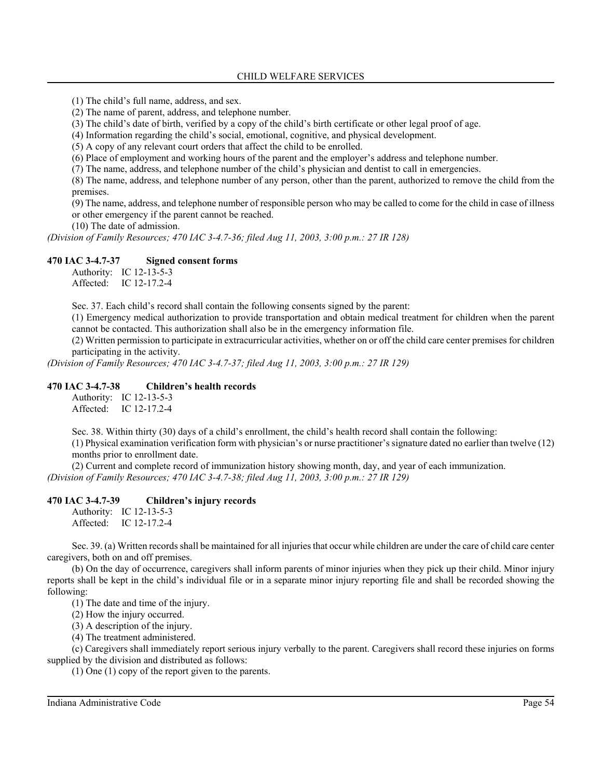(1) The child's full name, address, and sex.

- (2) The name of parent, address, and telephone number.
- (3) The child's date of birth, verified by a copy of the child's birth certificate or other legal proof of age.
- (4) Information regarding the child's social, emotional, cognitive, and physical development.

(5) A copy of any relevant court orders that affect the child to be enrolled.

(6) Place of employment and working hours of the parent and the employer's address and telephone number.

(7) The name, address, and telephone number of the child's physician and dentist to call in emergencies.

(8) The name, address, and telephone number of any person, other than the parent, authorized to remove the child from the premises.

(9) The name, address, and telephone number of responsible person who may be called to come for the child in case of illness or other emergency if the parent cannot be reached.

(10) The date of admission.

*(Division of Family Resources; 470 IAC 3-4.7-36; filed Aug 11, 2003, 3:00 p.m.: 27 IR 128)*

## **470 IAC 3-4.7-37 Signed consent forms**

Authority: IC 12-13-5-3 Affected: IC 12-17.2-4

Sec. 37. Each child's record shall contain the following consents signed by the parent:

(1) Emergency medical authorization to provide transportation and obtain medical treatment for children when the parent cannot be contacted. This authorization shall also be in the emergency information file.

(2) Written permission to participate in extracurricular activities, whether on or off the child care center premises for children participating in the activity.

*(Division of Family Resources; 470 IAC 3-4.7-37; filed Aug 11, 2003, 3:00 p.m.: 27 IR 129)*

## **470 IAC 3-4.7-38 Children's health records**

Authority: IC 12-13-5-3 Affected: IC 12-17.2-4

Sec. 38. Within thirty (30) days of a child's enrollment, the child's health record shall contain the following: (1) Physical examination verification form with physician's or nurse practitioner's signature dated no earlier than twelve (12) months prior to enrollment date.

(2) Current and complete record of immunization history showing month, day, and year of each immunization. *(Division of Family Resources; 470 IAC 3-4.7-38; filed Aug 11, 2003, 3:00 p.m.: 27 IR 129)*

## **470 IAC 3-4.7-39 Children's injury records**

Authority: IC 12-13-5-3 Affected: IC 12-17.2-4

Sec. 39. (a) Written records shall be maintained for all injuries that occur while children are under the care of child care center caregivers, both on and off premises.

(b) On the day of occurrence, caregivers shall inform parents of minor injuries when they pick up their child. Minor injury reports shall be kept in the child's individual file or in a separate minor injury reporting file and shall be recorded showing the following:

(1) The date and time of the injury.

(2) How the injury occurred.

(3) A description of the injury.

(4) The treatment administered.

(c) Caregivers shall immediately report serious injury verbally to the parent. Caregivers shall record these injuries on forms supplied by the division and distributed as follows:

(1) One (1) copy of the report given to the parents.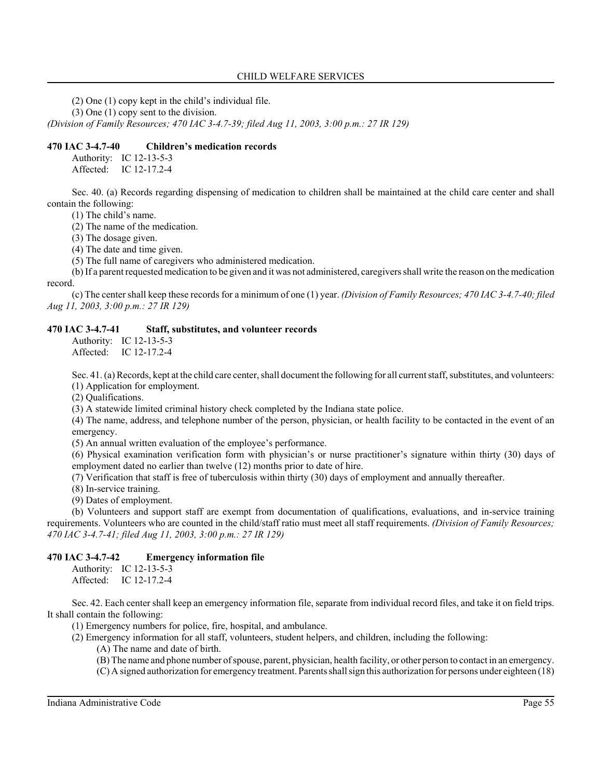(2) One (1) copy kept in the child's individual file.

(3) One (1) copy sent to the division.

*(Division of Family Resources; 470 IAC 3-4.7-39; filed Aug 11, 2003, 3:00 p.m.: 27 IR 129)*

#### **470 IAC 3-4.7-40 Children's medication records**

Authority: IC 12-13-5-3

Affected: IC 12-17.2-4

Sec. 40. (a) Records regarding dispensing of medication to children shall be maintained at the child care center and shall contain the following:

(1) The child's name.

(2) The name of the medication.

(3) The dosage given.

(4) The date and time given.

(5) The full name of caregivers who administered medication.

(b) If a parent requested medication to be given and it was not administered, caregivers shall write the reason on the medication record.

(c) The center shall keep these records for a minimum of one (1) year. *(Division of Family Resources; 470 IAC 3-4.7-40; filed Aug 11, 2003, 3:00 p.m.: 27 IR 129)*

### **470 IAC 3-4.7-41 Staff, substitutes, and volunteer records**

Authority: IC 12-13-5-3 Affected: IC 12-17.2-4

Sec. 41. (a) Records, kept at the child care center, shall document the following for all current staff, substitutes, and volunteers: (1) Application for employment.

(2) Qualifications.

(3) A statewide limited criminal history check completed by the Indiana state police.

(4) The name, address, and telephone number of the person, physician, or health facility to be contacted in the event of an emergency.

(5) An annual written evaluation of the employee's performance.

(6) Physical examination verification form with physician's or nurse practitioner's signature within thirty (30) days of employment dated no earlier than twelve (12) months prior to date of hire.

(7) Verification that staff is free of tuberculosis within thirty (30) days of employment and annually thereafter.

(8) In-service training.

(9) Dates of employment.

(b) Volunteers and support staff are exempt from documentation of qualifications, evaluations, and in-service training requirements. Volunteers who are counted in the child/staff ratio must meet all staff requirements. *(Division of Family Resources; 470 IAC 3-4.7-41; filed Aug 11, 2003, 3:00 p.m.: 27 IR 129)*

### **470 IAC 3-4.7-42 Emergency information file**

Authority: IC 12-13-5-3 Affected: IC 12-17.2-4

Sec. 42. Each center shall keep an emergency information file, separate from individual record files, and take it on field trips. It shall contain the following:

(1) Emergency numbers for police, fire, hospital, and ambulance.

- (2) Emergency information for all staff, volunteers, student helpers, and children, including the following:
	- (A) The name and date of birth.
	- (B) The name and phone number of spouse, parent, physician, health facility, or other person to contact in an emergency.
	- (C) A signed authorization for emergency treatment. Parents shall sign this authorization for persons under eighteen (18)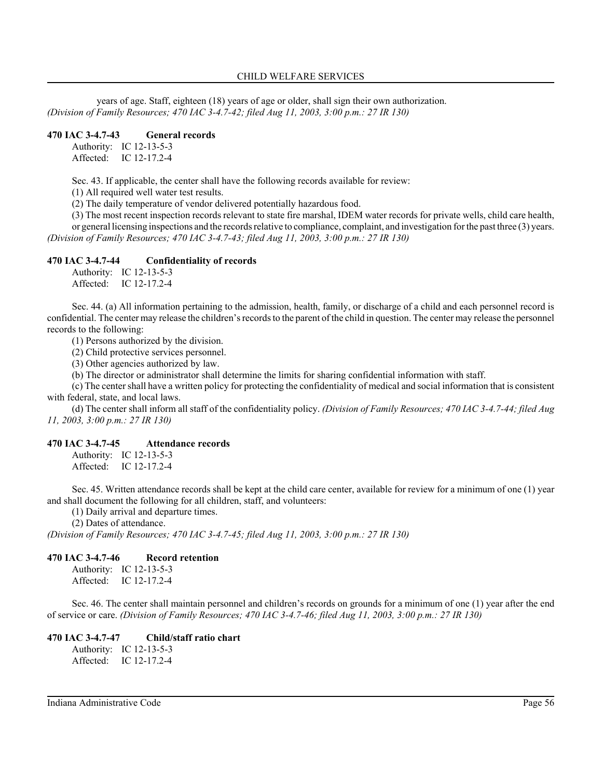years of age. Staff, eighteen (18) years of age or older, shall sign their own authorization. *(Division of Family Resources; 470 IAC 3-4.7-42; filed Aug 11, 2003, 3:00 p.m.: 27 IR 130)*

#### **470 IAC 3-4.7-43 General records**

Authority: IC 12-13-5-3 Affected: IC 12-17.2-4

Sec. 43. If applicable, the center shall have the following records available for review:

(1) All required well water test results.

(2) The daily temperature of vendor delivered potentially hazardous food.

(3) The most recent inspection records relevant to state fire marshal, IDEM water records for private wells, child care health, or general licensing inspections and the records relative to compliance, complaint, and investigation for the past three (3) years. *(Division of Family Resources; 470 IAC 3-4.7-43; filed Aug 11, 2003, 3:00 p.m.: 27 IR 130)*

#### **470 IAC 3-4.7-44 Confidentiality of records**

Authority: IC 12-13-5-3 Affected: IC 12-17.2-4

Sec. 44. (a) All information pertaining to the admission, health, family, or discharge of a child and each personnel record is confidential. The center may release the children's records to the parent of the child in question. The center may release the personnel records to the following:

(1) Persons authorized by the division.

(2) Child protective services personnel.

(3) Other agencies authorized by law.

(b) The director or administrator shall determine the limits for sharing confidential information with staff.

(c) The center shall have a written policy for protecting the confidentiality of medical and social information that is consistent with federal, state, and local laws.

(d) The center shall inform all staff of the confidentiality policy. *(Division of Family Resources; 470 IAC 3-4.7-44; filed Aug 11, 2003, 3:00 p.m.: 27 IR 130)*

#### **470 IAC 3-4.7-45 Attendance records**

Authority: IC 12-13-5-3 Affected: IC 12-17.2-4

Sec. 45. Written attendance records shall be kept at the child care center, available for review for a minimum of one (1) year and shall document the following for all children, staff, and volunteers:

(1) Daily arrival and departure times.

(2) Dates of attendance.

*(Division of Family Resources; 470 IAC 3-4.7-45; filed Aug 11, 2003, 3:00 p.m.: 27 IR 130)*

#### **470 IAC 3-4.7-46 Record retention**

Authority: IC 12-13-5-3 Affected: IC 12-17.2-4

Sec. 46. The center shall maintain personnel and children's records on grounds for a minimum of one (1) year after the end of service or care. *(Division of Family Resources; 470 IAC 3-4.7-46; filed Aug 11, 2003, 3:00 p.m.: 27 IR 130)*

#### **470 IAC 3-4.7-47 Child/staff ratio chart**

Authority: IC 12-13-5-3 Affected: IC 12-17.2-4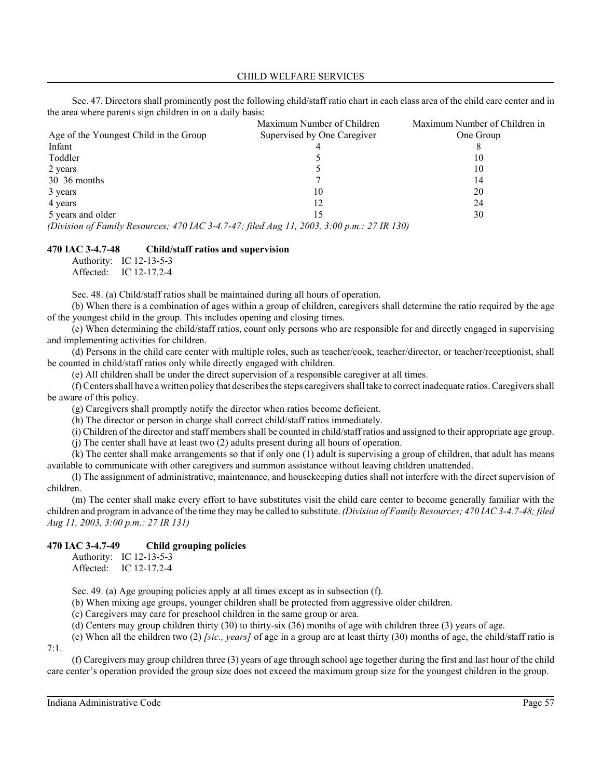Sec. 47. Directors shall prominently post the following child/staff ratio chart in each class area of the child care center and in the area where parents sign children in on a daily basis:

|                                                                                            | Maximum Number of Children  | Maximum Number of Children in |
|--------------------------------------------------------------------------------------------|-----------------------------|-------------------------------|
| Age of the Youngest Child in the Group                                                     | Supervised by One Caregiver | One Group                     |
| Infant                                                                                     |                             |                               |
| Toddler                                                                                    |                             | 10                            |
| 2 years                                                                                    |                             | 10                            |
| $30-36$ months                                                                             |                             | 14                            |
| 3 years                                                                                    | 10                          | 20                            |
| 4 years                                                                                    | 12                          | 24                            |
| 5 years and older                                                                          | 15                          | 30                            |
| (Division of Family Resources; 470 IAC 3-4.7-47; filed Aug 11, 2003, 3:00 p.m.: 27 IR 130) |                             |                               |

#### **470 IAC 3-4.7-48 Child/staff ratios and supervision**

Authority: IC 12-13-5-3 Affected: IC 12-17.2-4

Sec. 48. (a) Child/staff ratios shall be maintained during all hours of operation.

(b) When there is a combination of ages within a group of children, caregivers shall determine the ratio required by the age of the youngest child in the group. This includes opening and closing times.

(c) When determining the child/staff ratios, count only persons who are responsible for and directly engaged in supervising and implementing activities for children.

(d) Persons in the child care center with multiple roles, such as teacher/cook, teacher/director, or teacher/receptionist, shall be counted in child/staff ratios only while directly engaged with children.

(e) All children shall be under the direct supervision of a responsible caregiver at all times.

(f) Centers shall have a written policy that describes the steps caregivers shall take to correct inadequate ratios. Caregivers shall be aware of this policy.

(g) Caregivers shall promptly notify the director when ratios become deficient.

(h) The director or person in charge shall correct child/staff ratios immediately.

(i) Children of the director and staff members shall be counted in child/staff ratios and assigned to their appropriate age group.

(j) The center shall have at least two (2) adults present during all hours of operation.

(k) The center shall make arrangements so that if only one (1) adult is supervising a group of children, that adult has means available to communicate with other caregivers and summon assistance without leaving children unattended.

(l) The assignment of administrative, maintenance, and housekeeping duties shall not interfere with the direct supervision of children.

(m) The center shall make every effort to have substitutes visit the child care center to become generally familiar with the children and program in advance of the time they may be called to substitute. *(Division of Family Resources; 470 IAC 3-4.7-48; filed Aug 11, 2003, 3:00 p.m.: 27 IR 131)*

#### **470 IAC 3-4.7-49 Child grouping policies**

Authority: IC 12-13-5-3 Affected: IC 12-17.2-4

Sec. 49. (a) Age grouping policies apply at all times except as in subsection (f).

(b) When mixing age groups, younger children shall be protected from aggressive older children.

(c) Caregivers may care for preschool children in the same group or area.

(d) Centers may group children thirty (30) to thirty-six (36) months of age with children three (3) years of age.

(e) When all the children two (2) *[sic., years]* of age in a group are at least thirty (30) months of age, the child/staff ratio is 7:1.

(f) Caregivers may group children three (3) years of age through school age together during the first and last hour of the child care center's operation provided the group size does not exceed the maximum group size for the youngest children in the group.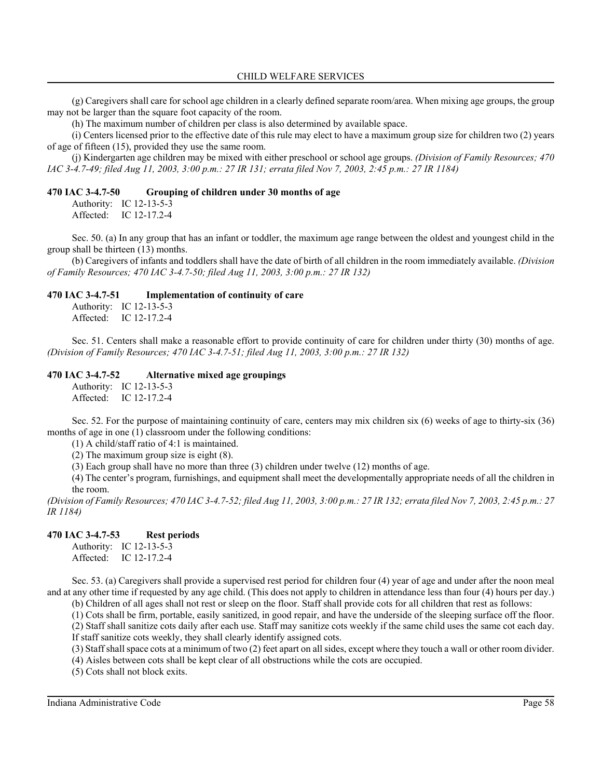(g) Caregivers shall care for school age children in a clearly defined separate room/area. When mixing age groups, the group may not be larger than the square foot capacity of the room.

(h) The maximum number of children per class is also determined by available space.

(i) Centers licensed prior to the effective date of this rule may elect to have a maximum group size for children two (2) years of age of fifteen (15), provided they use the same room.

(j) Kindergarten age children may be mixed with either preschool or school age groups. *(Division of Family Resources; 470 IAC 3-4.7-49; filed Aug 11, 2003, 3:00 p.m.: 27 IR 131; errata filed Nov 7, 2003, 2:45 p.m.: 27 IR 1184)*

#### **470 IAC 3-4.7-50 Grouping of children under 30 months of age**

Authority: IC 12-13-5-3

Affected: IC 12-17.2-4

Sec. 50. (a) In any group that has an infant or toddler, the maximum age range between the oldest and youngest child in the group shall be thirteen (13) months.

(b) Caregivers of infants and toddlers shall have the date of birth of all children in the room immediately available. *(Division of Family Resources; 470 IAC 3-4.7-50; filed Aug 11, 2003, 3:00 p.m.: 27 IR 132)*

#### **470 IAC 3-4.7-51 Implementation of continuity of care**

Authority: IC 12-13-5-3 Affected: IC 12-17.2-4

Sec. 51. Centers shall make a reasonable effort to provide continuity of care for children under thirty (30) months of age. *(Division of Family Resources; 470 IAC 3-4.7-51; filed Aug 11, 2003, 3:00 p.m.: 27 IR 132)*

#### **470 IAC 3-4.7-52 Alternative mixed age groupings**

Authority: IC 12-13-5-3 Affected: IC 12-17.2-4

Sec. 52. For the purpose of maintaining continuity of care, centers may mix children six (6) weeks of age to thirty-six (36) months of age in one (1) classroom under the following conditions:

(1) A child/staff ratio of 4:1 is maintained.

(2) The maximum group size is eight (8).

(3) Each group shall have no more than three (3) children under twelve (12) months of age.

(4) The center's program, furnishings, and equipment shall meet the developmentally appropriate needs of all the children in the room.

*(Division of Family Resources; 470 IAC 3-4.7-52; filed Aug 11, 2003, 3:00 p.m.: 27 IR 132; errata filed Nov 7, 2003, 2:45 p.m.: 27 IR 1184)*

### **470 IAC 3-4.7-53 Rest periods**

Authority: IC 12-13-5-3 Affected: IC 12-17.2-4

Sec. 53. (a) Caregivers shall provide a supervised rest period for children four (4) year of age and under after the noon meal and at any other time if requested by any age child. (This does not apply to children in attendance less than four (4) hours per day.)

(b) Children of all ages shall not rest or sleep on the floor. Staff shall provide cots for all children that rest as follows:

(1) Cots shall be firm, portable, easily sanitized, in good repair, and have the underside of the sleeping surface off the floor. (2) Staff shall sanitize cots daily after each use. Staff may sanitize cots weekly if the same child uses the same cot each day. If staff sanitize cots weekly, they shall clearly identify assigned cots.

(3) Staff shall space cots at a minimum of two (2) feet apart on all sides, except where they touch a wall or other room divider.

(4) Aisles between cots shall be kept clear of all obstructions while the cots are occupied.

(5) Cots shall not block exits.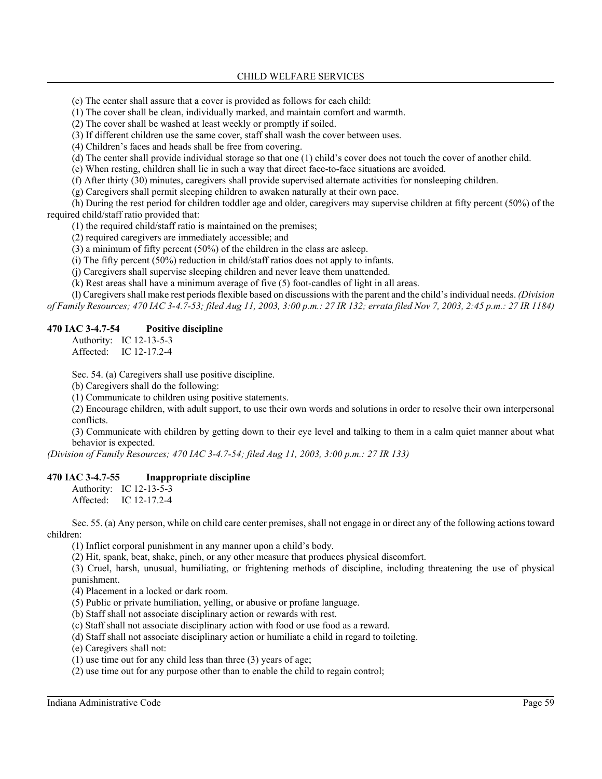(c) The center shall assure that a cover is provided as follows for each child:

(1) The cover shall be clean, individually marked, and maintain comfort and warmth.

(2) The cover shall be washed at least weekly or promptly if soiled.

(3) If different children use the same cover, staff shall wash the cover between uses.

(4) Children's faces and heads shall be free from covering.

(d) The center shall provide individual storage so that one (1) child's cover does not touch the cover of another child.

(e) When resting, children shall lie in such a way that direct face-to-face situations are avoided.

(f) After thirty (30) minutes, caregivers shall provide supervised alternate activities for nonsleeping children.

(g) Caregivers shall permit sleeping children to awaken naturally at their own pace.

(h) During the rest period for children toddler age and older, caregivers may supervise children at fifty percent (50%) of the required child/staff ratio provided that:

(1) the required child/staff ratio is maintained on the premises;

(2) required caregivers are immediately accessible; and

(3) a minimum of fifty percent (50%) of the children in the class are asleep.

(i) The fifty percent (50%) reduction in child/staff ratios does not apply to infants.

(j) Caregivers shall supervise sleeping children and never leave them unattended.

(k) Rest areas shall have a minimum average of five (5) foot-candles of light in all areas.

(l) Caregivers shall make rest periods flexible based on discussions with the parent and the child's individual needs. *(Division of Family Resources; 470 IAC 3-4.7-53; filed Aug 11, 2003, 3:00 p.m.: 27 IR 132; errata filed Nov 7, 2003, 2:45 p.m.: 27 IR 1184)*

#### **470 IAC 3-4.7-54 Positive discipline**

Authority: IC 12-13-5-3 Affected: IC 12-17.2-4

Sec. 54. (a) Caregivers shall use positive discipline.

(b) Caregivers shall do the following:

(1) Communicate to children using positive statements.

(2) Encourage children, with adult support, to use their own words and solutions in order to resolve their own interpersonal conflicts.

(3) Communicate with children by getting down to their eye level and talking to them in a calm quiet manner about what behavior is expected.

*(Division of Family Resources; 470 IAC 3-4.7-54; filed Aug 11, 2003, 3:00 p.m.: 27 IR 133)*

#### **470 IAC 3-4.7-55 Inappropriate discipline**

Authority: IC 12-13-5-3 Affected: IC 12-17.2-4

Sec. 55. (a) Any person, while on child care center premises, shall not engage in or direct any of the following actions toward children:

(1) Inflict corporal punishment in any manner upon a child's body.

(2) Hit, spank, beat, shake, pinch, or any other measure that produces physical discomfort.

(3) Cruel, harsh, unusual, humiliating, or frightening methods of discipline, including threatening the use of physical punishment.

(4) Placement in a locked or dark room.

(5) Public or private humiliation, yelling, or abusive or profane language.

(b) Staff shall not associate disciplinary action or rewards with rest.

(c) Staff shall not associate disciplinary action with food or use food as a reward.

(d) Staff shall not associate disciplinary action or humiliate a child in regard to toileting.

(e) Caregivers shall not:

(1) use time out for any child less than three (3) years of age;

(2) use time out for any purpose other than to enable the child to regain control;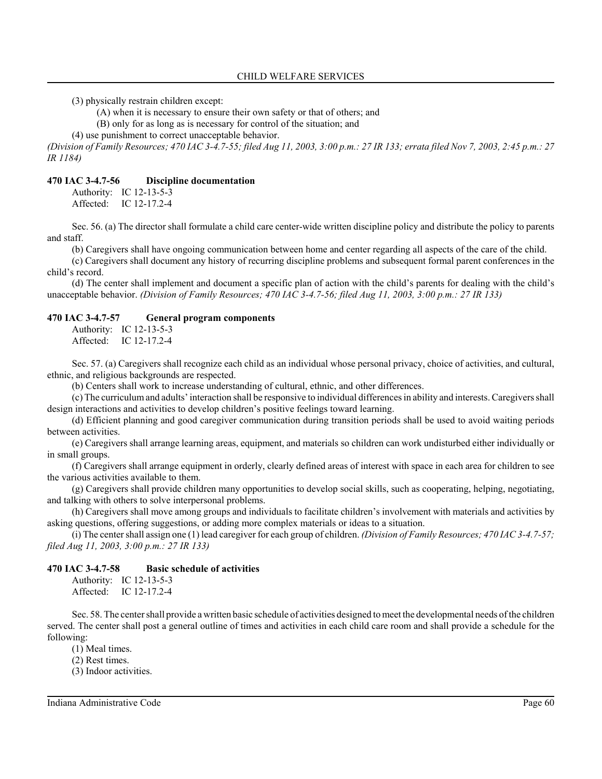(3) physically restrain children except:

(A) when it is necessary to ensure their own safety or that of others; and

(B) only for as long as is necessary for control of the situation; and

(4) use punishment to correct unacceptable behavior.

*(Division of Family Resources; 470 IAC 3-4.7-55; filed Aug 11, 2003, 3:00 p.m.: 27 IR 133; errata filed Nov 7, 2003, 2:45 p.m.: 27 IR 1184)*

#### **470 IAC 3-4.7-56 Discipline documentation**

Authority: IC 12-13-5-3 Affected: IC 12-17.2-4

Sec. 56. (a) The director shall formulate a child care center-wide written discipline policy and distribute the policy to parents and staff.

(b) Caregivers shall have ongoing communication between home and center regarding all aspects of the care of the child.

(c) Caregivers shall document any history of recurring discipline problems and subsequent formal parent conferences in the child's record.

(d) The center shall implement and document a specific plan of action with the child's parents for dealing with the child's unacceptable behavior. *(Division of Family Resources; 470 IAC 3-4.7-56; filed Aug 11, 2003, 3:00 p.m.: 27 IR 133)*

#### **470 IAC 3-4.7-57 General program components**

Authority: IC 12-13-5-3 Affected: IC 12-17.2-4

Sec. 57. (a) Caregivers shall recognize each child as an individual whose personal privacy, choice of activities, and cultural, ethnic, and religious backgrounds are respected.

(b) Centers shall work to increase understanding of cultural, ethnic, and other differences.

(c) The curriculum and adults' interaction shall be responsive to individual differences in ability and interests. Caregivers shall design interactions and activities to develop children's positive feelings toward learning.

(d) Efficient planning and good caregiver communication during transition periods shall be used to avoid waiting periods between activities.

(e) Caregivers shall arrange learning areas, equipment, and materials so children can work undisturbed either individually or in small groups.

(f) Caregivers shall arrange equipment in orderly, clearly defined areas of interest with space in each area for children to see the various activities available to them.

(g) Caregivers shall provide children many opportunities to develop social skills, such as cooperating, helping, negotiating, and talking with others to solve interpersonal problems.

(h) Caregivers shall move among groups and individuals to facilitate children's involvement with materials and activities by asking questions, offering suggestions, or adding more complex materials or ideas to a situation.

(i) The center shall assign one (1) lead caregiver for each group of children. *(Division of Family Resources; 470 IAC 3-4.7-57; filed Aug 11, 2003, 3:00 p.m.: 27 IR 133)*

#### **470 IAC 3-4.7-58 Basic schedule of activities**

Authority: IC 12-13-5-3 Affected: IC 12-17.2-4

Sec. 58. The center shall provide a written basic schedule of activities designed to meet the developmental needs of the children served. The center shall post a general outline of times and activities in each child care room and shall provide a schedule for the following:

(1) Meal times.

(2) Rest times.

(3) Indoor activities.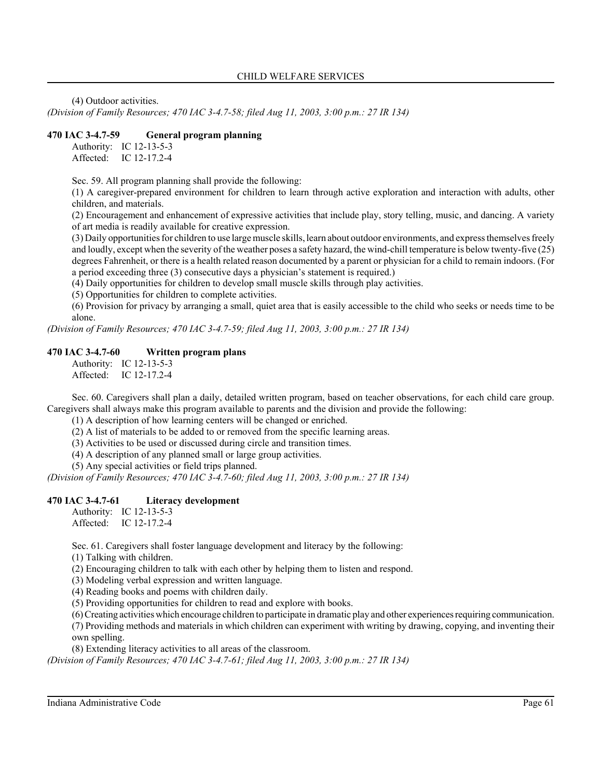(4) Outdoor activities.

*(Division of Family Resources; 470 IAC 3-4.7-58; filed Aug 11, 2003, 3:00 p.m.: 27 IR 134)*

## **470 IAC 3-4.7-59 General program planning**

Authority: IC 12-13-5-3 Affected: IC 12-17.2-4

Sec. 59. All program planning shall provide the following:

(1) A caregiver-prepared environment for children to learn through active exploration and interaction with adults, other children, and materials.

(2) Encouragement and enhancement of expressive activities that include play, story telling, music, and dancing. A variety of art media is readily available for creative expression.

(3) Daily opportunities for children to use large muscle skills, learn about outdoor environments, and express themselves freely and loudly, except when the severity of the weather poses a safety hazard, the wind-chill temperature is below twenty-five (25) degrees Fahrenheit, or there is a health related reason documented by a parent or physician for a child to remain indoors. (For a period exceeding three (3) consecutive days a physician's statement is required.)

(4) Daily opportunities for children to develop small muscle skills through play activities.

(5) Opportunities for children to complete activities.

(6) Provision for privacy by arranging a small, quiet area that is easily accessible to the child who seeks or needs time to be alone.

*(Division of Family Resources; 470 IAC 3-4.7-59; filed Aug 11, 2003, 3:00 p.m.: 27 IR 134)*

## **470 IAC 3-4.7-60 Written program plans**

Authority: IC 12-13-5-3 Affected: IC 12-17.2-4

Sec. 60. Caregivers shall plan a daily, detailed written program, based on teacher observations, for each child care group. Caregivers shall always make this program available to parents and the division and provide the following:

(1) A description of how learning centers will be changed or enriched.

(2) A list of materials to be added to or removed from the specific learning areas.

(3) Activities to be used or discussed during circle and transition times.

(4) A description of any planned small or large group activities.

(5) Any special activities or field trips planned.

*(Division of Family Resources; 470 IAC 3-4.7-60; filed Aug 11, 2003, 3:00 p.m.: 27 IR 134)*

#### **470 IAC 3-4.7-61 Literacy development**

Authority: IC 12-13-5-3 Affected: IC 12-17.2-4

Sec. 61. Caregivers shall foster language development and literacy by the following:

(1) Talking with children.

(2) Encouraging children to talk with each other by helping them to listen and respond.

(3) Modeling verbal expression and written language.

(4) Reading books and poems with children daily.

(5) Providing opportunities for children to read and explore with books.

(6) Creating activities which encourage children to participate in dramatic play and other experiences requiring communication. (7) Providing methods and materials in which children can experiment with writing by drawing, copying, and inventing their own spelling.

(8) Extending literacy activities to all areas of the classroom.

*(Division of Family Resources; 470 IAC 3-4.7-61; filed Aug 11, 2003, 3:00 p.m.: 27 IR 134)*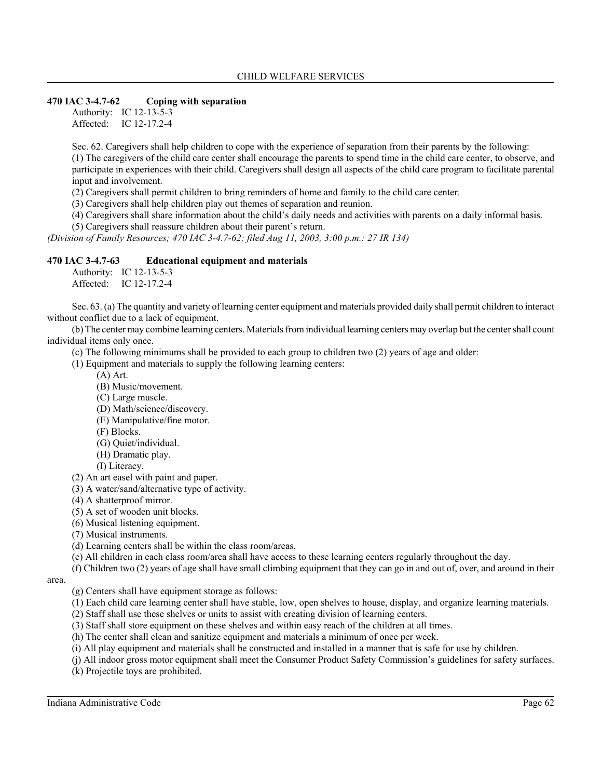### **470 IAC 3-4.7-62 Coping with separation**

Authority: IC 12-13-5-3 Affected: IC 12-17.2-4

Sec. 62. Caregivers shall help children to cope with the experience of separation from their parents by the following:

(1) The caregivers of the child care center shall encourage the parents to spend time in the child care center, to observe, and participate in experiences with their child. Caregivers shall design all aspects of the child care program to facilitate parental input and involvement.

(2) Caregivers shall permit children to bring reminders of home and family to the child care center.

(3) Caregivers shall help children play out themes of separation and reunion.

(4) Caregivers shall share information about the child's daily needs and activities with parents on a daily informal basis.

(5) Caregivers shall reassure children about their parent's return.

*(Division of Family Resources; 470 IAC 3-4.7-62; filed Aug 11, 2003, 3:00 p.m.: 27 IR 134)*

#### **470 IAC 3-4.7-63 Educational equipment and materials**

Authority: IC 12-13-5-3 Affected: IC 12-17.2-4

Sec. 63. (a) The quantity and variety of learning center equipment and materials provided daily shall permit children to interact without conflict due to a lack of equipment.

(b) The center may combine learning centers. Materials from individual learning centers may overlap but the center shall count individual items only once.

(c) The following minimums shall be provided to each group to children two (2) years of age and older:

(1) Equipment and materials to supply the following learning centers:

(A) Art.

- (B) Music/movement.
- (C) Large muscle.
- (D) Math/science/discovery.
- (E) Manipulative/fine motor.
- (F) Blocks.
- (G) Quiet/individual.
- (H) Dramatic play.
- (I) Literacy.

(2) An art easel with paint and paper.

- (3) A water/sand/alternative type of activity.
- (4) A shatterproof mirror.
- (5) A set of wooden unit blocks.
- (6) Musical listening equipment.
- (7) Musical instruments.
- (d) Learning centers shall be within the class room/areas.
- (e) All children in each class room/area shall have access to these learning centers regularly throughout the day.

(f) Children two (2) years of age shall have small climbing equipment that they can go in and out of, over, and around in their

## area.

- (g) Centers shall have equipment storage as follows:
- (1) Each child care learning center shall have stable, low, open shelves to house, display, and organize learning materials.
- (2) Staff shall use these shelves or units to assist with creating division of learning centers.
- (3) Staff shall store equipment on these shelves and within easy reach of the children at all times.
- (h) The center shall clean and sanitize equipment and materials a minimum of once per week.
- (i) All play equipment and materials shall be constructed and installed in a manner that is safe for use by children.
- (j) All indoor gross motor equipment shall meet the Consumer Product Safety Commission's guidelines for safety surfaces. (k) Projectile toys are prohibited.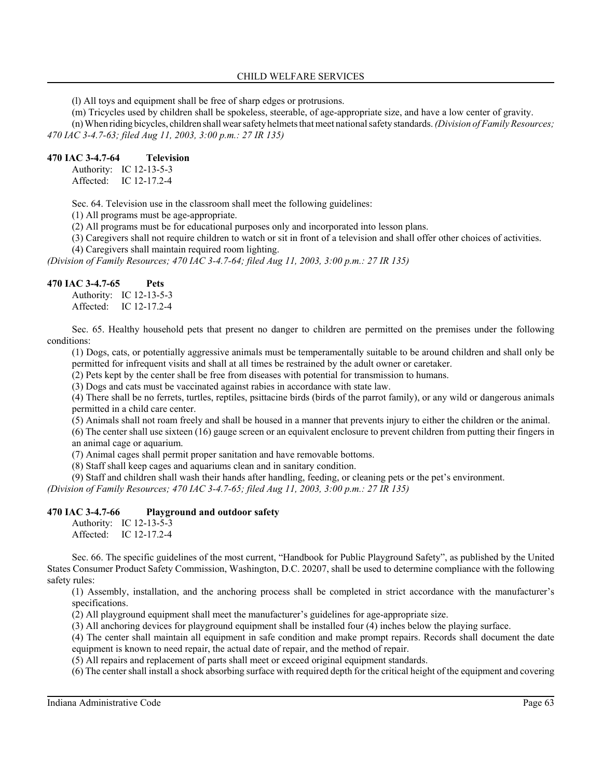(l) All toys and equipment shall be free of sharp edges or protrusions.

(m) Tricycles used by children shall be spokeless, steerable, of age-appropriate size, and have a low center of gravity. (n) When riding bicycles, children shall wear safety helmets that meet national safety standards. *(Division of Family Resources; 470 IAC 3-4.7-63; filed Aug 11, 2003, 3:00 p.m.: 27 IR 135)*

#### **470 IAC 3-4.7-64 Television**

Authority: IC 12-13-5-3 Affected: IC 12-17.2-4

Sec. 64. Television use in the classroom shall meet the following guidelines:

(1) All programs must be age-appropriate.

(2) All programs must be for educational purposes only and incorporated into lesson plans.

(3) Caregivers shall not require children to watch or sit in front of a television and shall offer other choices of activities.

(4) Caregivers shall maintain required room lighting.

*(Division of Family Resources; 470 IAC 3-4.7-64; filed Aug 11, 2003, 3:00 p.m.: 27 IR 135)*

#### **470 IAC 3-4.7-65 Pets**

Authority: IC 12-13-5-3 Affected: IC 12-17.2-4

Sec. 65. Healthy household pets that present no danger to children are permitted on the premises under the following conditions:

(1) Dogs, cats, or potentially aggressive animals must be temperamentally suitable to be around children and shall only be permitted for infrequent visits and shall at all times be restrained by the adult owner or caretaker.

(2) Pets kept by the center shall be free from diseases with potential for transmission to humans.

(3) Dogs and cats must be vaccinated against rabies in accordance with state law.

(4) There shall be no ferrets, turtles, reptiles, psittacine birds (birds of the parrot family), or any wild or dangerous animals permitted in a child care center.

(5) Animals shall not roam freely and shall be housed in a manner that prevents injury to either the children or the animal.

(6) The center shall use sixteen (16) gauge screen or an equivalent enclosure to prevent children from putting their fingers in an animal cage or aquarium.

(7) Animal cages shall permit proper sanitation and have removable bottoms.

(8) Staff shall keep cages and aquariums clean and in sanitary condition.

(9) Staff and children shall wash their hands after handling, feeding, or cleaning pets or the pet's environment.

*(Division of Family Resources; 470 IAC 3-4.7-65; filed Aug 11, 2003, 3:00 p.m.: 27 IR 135)*

#### **470 IAC 3-4.7-66 Playground and outdoor safety**

Authority: IC 12-13-5-3 Affected: IC 12-17.2-4

Sec. 66. The specific guidelines of the most current, "Handbook for Public Playground Safety", as published by the United States Consumer Product Safety Commission, Washington, D.C. 20207, shall be used to determine compliance with the following safety rules:

(1) Assembly, installation, and the anchoring process shall be completed in strict accordance with the manufacturer's specifications.

(2) All playground equipment shall meet the manufacturer's guidelines for age-appropriate size.

(3) All anchoring devices for playground equipment shall be installed four (4) inches below the playing surface.

(4) The center shall maintain all equipment in safe condition and make prompt repairs. Records shall document the date equipment is known to need repair, the actual date of repair, and the method of repair.

(5) All repairs and replacement of parts shall meet or exceed original equipment standards.

(6) The center shall install a shock absorbing surface with required depth for the critical height of the equipment and covering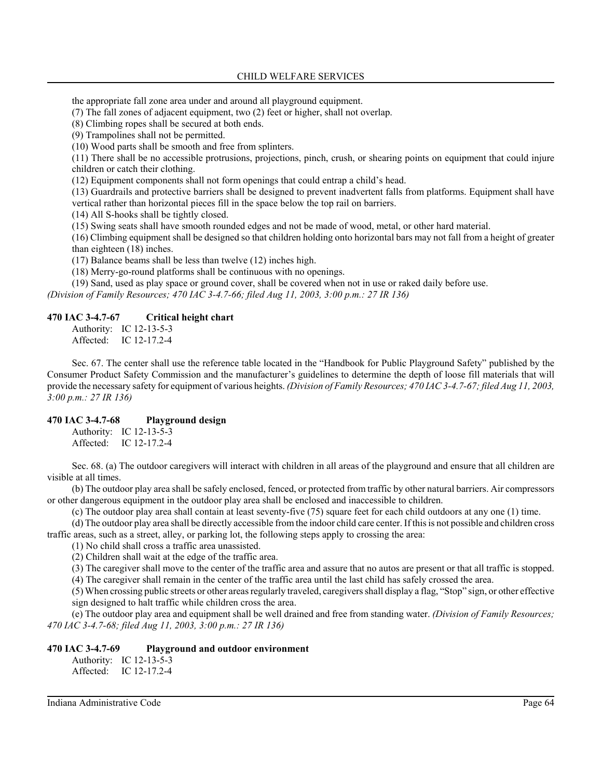the appropriate fall zone area under and around all playground equipment.

(7) The fall zones of adjacent equipment, two (2) feet or higher, shall not overlap.

(8) Climbing ropes shall be secured at both ends.

(9) Trampolines shall not be permitted.

(10) Wood parts shall be smooth and free from splinters.

(11) There shall be no accessible protrusions, projections, pinch, crush, or shearing points on equipment that could injure children or catch their clothing.

(12) Equipment components shall not form openings that could entrap a child's head.

(13) Guardrails and protective barriers shall be designed to prevent inadvertent falls from platforms. Equipment shall have vertical rather than horizontal pieces fill in the space below the top rail on barriers.

(14) All S-hooks shall be tightly closed.

(15) Swing seats shall have smooth rounded edges and not be made of wood, metal, or other hard material.

(16) Climbing equipment shall be designed so that children holding onto horizontal bars may not fall from a height of greater than eighteen (18) inches.

(17) Balance beams shall be less than twelve (12) inches high.

(18) Merry-go-round platforms shall be continuous with no openings.

(19) Sand, used as play space or ground cover, shall be covered when not in use or raked daily before use.

*(Division of Family Resources; 470 IAC 3-4.7-66; filed Aug 11, 2003, 3:00 p.m.: 27 IR 136)*

#### **470 IAC 3-4.7-67 Critical height chart**

Authority: IC 12-13-5-3 Affected: IC 12-17.2-4

Sec. 67. The center shall use the reference table located in the "Handbook for Public Playground Safety" published by the Consumer Product Safety Commission and the manufacturer's guidelines to determine the depth of loose fill materials that will provide the necessary safety for equipment of various heights. *(Division of Family Resources; 470 IAC 3-4.7-67; filed Aug 11, 2003, 3:00 p.m.: 27 IR 136)*

#### **470 IAC 3-4.7-68 Playground design**

Authority: IC 12-13-5-3 Affected: IC 12-17.2-4

Sec. 68. (a) The outdoor caregivers will interact with children in all areas of the playground and ensure that all children are visible at all times.

(b) The outdoor play area shall be safely enclosed, fenced, or protected from traffic by other natural barriers. Air compressors or other dangerous equipment in the outdoor play area shall be enclosed and inaccessible to children.

(c) The outdoor play area shall contain at least seventy-five (75) square feet for each child outdoors at any one (1) time.

(d) The outdoor play area shall be directly accessible from the indoor child care center. If this is not possible and children cross traffic areas, such as a street, alley, or parking lot, the following steps apply to crossing the area:

(1) No child shall cross a traffic area unassisted.

(2) Children shall wait at the edge of the traffic area.

(3) The caregiver shall move to the center of the traffic area and assure that no autos are present or that all traffic is stopped.

(4) The caregiver shall remain in the center of the traffic area until the last child has safely crossed the area.

(5) When crossing public streets or other areas regularly traveled, caregivers shall display a flag, "Stop" sign, or other effective sign designed to halt traffic while children cross the area.

(e) The outdoor play area and equipment shall be well drained and free from standing water. *(Division of Family Resources; 470 IAC 3-4.7-68; filed Aug 11, 2003, 3:00 p.m.: 27 IR 136)*

## **470 IAC 3-4.7-69 Playground and outdoor environment**

Authority: IC 12-13-5-3 Affected: IC 12-17.2-4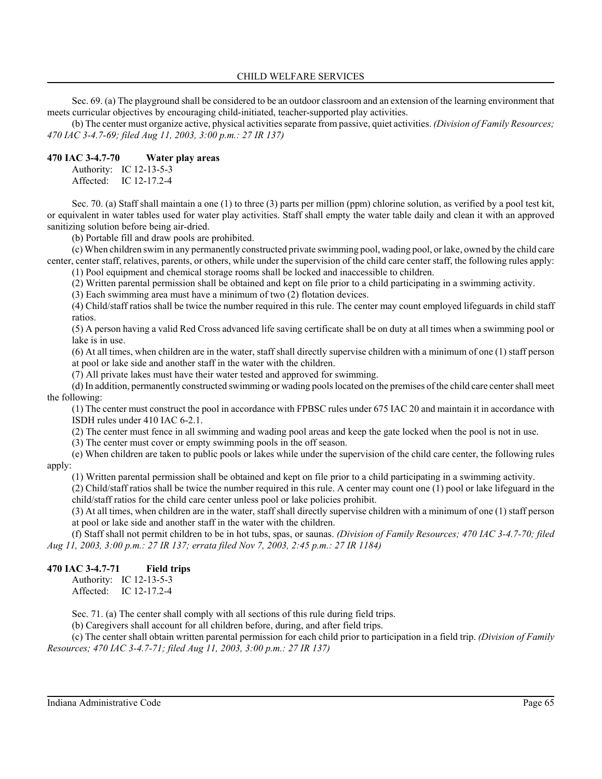Sec. 69. (a) The playground shall be considered to be an outdoor classroom and an extension of the learning environment that meets curricular objectives by encouraging child-initiated, teacher-supported play activities.

(b) The center must organize active, physical activities separate from passive, quiet activities. *(Division of Family Resources; 470 IAC 3-4.7-69; filed Aug 11, 2003, 3:00 p.m.: 27 IR 137)*

#### **470 IAC 3-4.7-70 Water play areas**

Authority: IC 12-13-5-3 Affected: IC 12-17.2-4

Sec. 70. (a) Staff shall maintain a one (1) to three (3) parts per million (ppm) chlorine solution, as verified by a pool test kit, or equivalent in water tables used for water play activities. Staff shall empty the water table daily and clean it with an approved sanitizing solution before being air-dried.

(b) Portable fill and draw pools are prohibited.

(c) When children swim in any permanently constructed private swimming pool, wading pool, or lake, owned by the child care center, center staff, relatives, parents, or others, while under the supervision of the child care center staff, the following rules apply: (1) Pool equipment and chemical storage rooms shall be locked and inaccessible to children.

(2) Written parental permission shall be obtained and kept on file prior to a child participating in a swimming activity.

(3) Each swimming area must have a minimum of two (2) flotation devices.

(4) Child/staff ratios shall be twice the number required in this rule. The center may count employed lifeguards in child staff ratios.

(5) A person having a valid Red Cross advanced life saving certificate shall be on duty at all times when a swimming pool or lake is in use.

(6) At all times, when children are in the water, staff shall directly supervise children with a minimum of one (1) staff person at pool or lake side and another staff in the water with the children.

(7) All private lakes must have their water tested and approved for swimming.

(d) In addition, permanently constructed swimming or wading pools located on the premises of the child care center shall meet the following:

(1) The center must construct the pool in accordance with FPBSC rules under 675 IAC 20 and maintain it in accordance with ISDH rules under 410 IAC 6-2.1.

(2) The center must fence in all swimming and wading pool areas and keep the gate locked when the pool is not in use.

(3) The center must cover or empty swimming pools in the off season.

(e) When children are taken to public pools or lakes while under the supervision of the child care center, the following rules apply:

(1) Written parental permission shall be obtained and kept on file prior to a child participating in a swimming activity.

(2) Child/staff ratios shall be twice the number required in this rule. A center may count one (1) pool or lake lifeguard in the child/staff ratios for the child care center unless pool or lake policies prohibit.

(3) At all times, when children are in the water, staff shall directly supervise children with a minimum of one (1) staff person at pool or lake side and another staff in the water with the children.

(f) Staff shall not permit children to be in hot tubs, spas, or saunas. *(Division of Family Resources; 470 IAC 3-4.7-70; filed Aug 11, 2003, 3:00 p.m.: 27 IR 137; errata filed Nov 7, 2003, 2:45 p.m.: 27 IR 1184)*

#### **470 IAC 3-4.7-71 Field trips**

Authority: IC 12-13-5-3 Affected: IC 12-17.2-4

Sec. 71. (a) The center shall comply with all sections of this rule during field trips.

(b) Caregivers shall account for all children before, during, and after field trips.

(c) The center shall obtain written parental permission for each child prior to participation in a field trip. *(Division of Family Resources; 470 IAC 3-4.7-71; filed Aug 11, 2003, 3:00 p.m.: 27 IR 137)*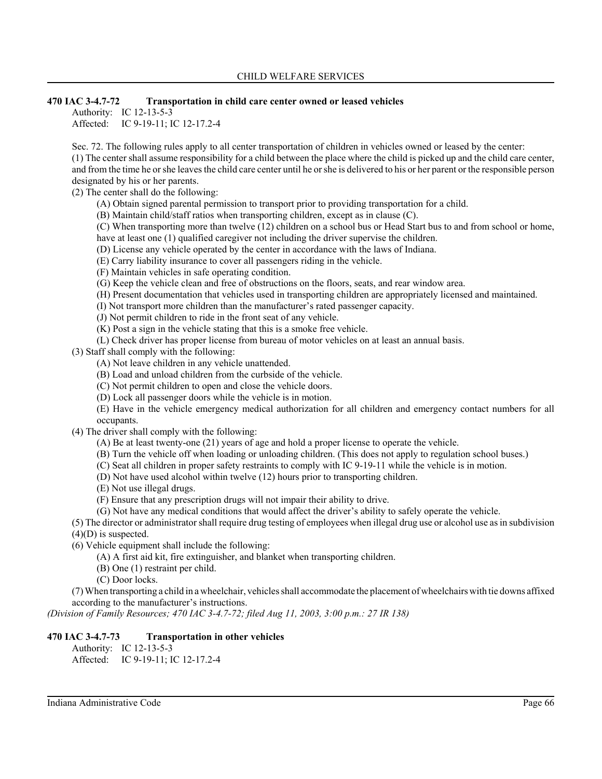## **470 IAC 3-4.7-72 Transportation in child care center owned or leased vehicles**

Authority: IC 12-13-5-3

Affected: IC 9-19-11; IC 12-17.2-4

Sec. 72. The following rules apply to all center transportation of children in vehicles owned or leased by the center: (1) The center shall assume responsibility for a child between the place where the child is picked up and the child care center, and from the time he or she leaves the child care center until he or she is delivered to his or her parent or the responsible person designated by his or her parents.

(2) The center shall do the following:

- (A) Obtain signed parental permission to transport prior to providing transportation for a child.
- (B) Maintain child/staff ratios when transporting children, except as in clause (C).
- (C) When transporting more than twelve (12) children on a school bus or Head Start bus to and from school or home, have at least one (1) qualified caregiver not including the driver supervise the children.
- (D) License any vehicle operated by the center in accordance with the laws of Indiana.
- (E) Carry liability insurance to cover all passengers riding in the vehicle.
- (F) Maintain vehicles in safe operating condition.
- (G) Keep the vehicle clean and free of obstructions on the floors, seats, and rear window area.
- (H) Present documentation that vehicles used in transporting children are appropriately licensed and maintained.
- (I) Not transport more children than the manufacturer's rated passenger capacity.
- (J) Not permit children to ride in the front seat of any vehicle.
- (K) Post a sign in the vehicle stating that this is a smoke free vehicle.
- (L) Check driver has proper license from bureau of motor vehicles on at least an annual basis.

(3) Staff shall comply with the following:

- (A) Not leave children in any vehicle unattended.
- (B) Load and unload children from the curbside of the vehicle.
- (C) Not permit children to open and close the vehicle doors.
- (D) Lock all passenger doors while the vehicle is in motion.
- (E) Have in the vehicle emergency medical authorization for all children and emergency contact numbers for all occupants.
- (4) The driver shall comply with the following:
	- (A) Be at least twenty-one (21) years of age and hold a proper license to operate the vehicle.
	- (B) Turn the vehicle off when loading or unloading children. (This does not apply to regulation school buses.)
	- (C) Seat all children in proper safety restraints to comply with IC 9-19-11 while the vehicle is in motion.
	- (D) Not have used alcohol within twelve (12) hours prior to transporting children.
	- (E) Not use illegal drugs.
	- (F) Ensure that any prescription drugs will not impair their ability to drive.
	- (G) Not have any medical conditions that would affect the driver's ability to safely operate the vehicle.

(5) The director or administrator shall require drug testing of employees when illegal drug use or alcohol use as in subdivision (4)(D) is suspected.

- (6) Vehicle equipment shall include the following:
	- (A) A first aid kit, fire extinguisher, and blanket when transporting children.
	- (B) One (1) restraint per child.
	- (C) Door locks.

(7) When transporting a child in a wheelchair, vehicles shall accommodate the placement of wheelchairs with tie downs affixed according to the manufacturer's instructions.

*(Division of Family Resources; 470 IAC 3-4.7-72; filed Aug 11, 2003, 3:00 p.m.: 27 IR 138)*

## **470 IAC 3-4.7-73 Transportation in other vehicles**

Authority: IC 12-13-5-3

Affected: IC 9-19-11; IC 12-17.2-4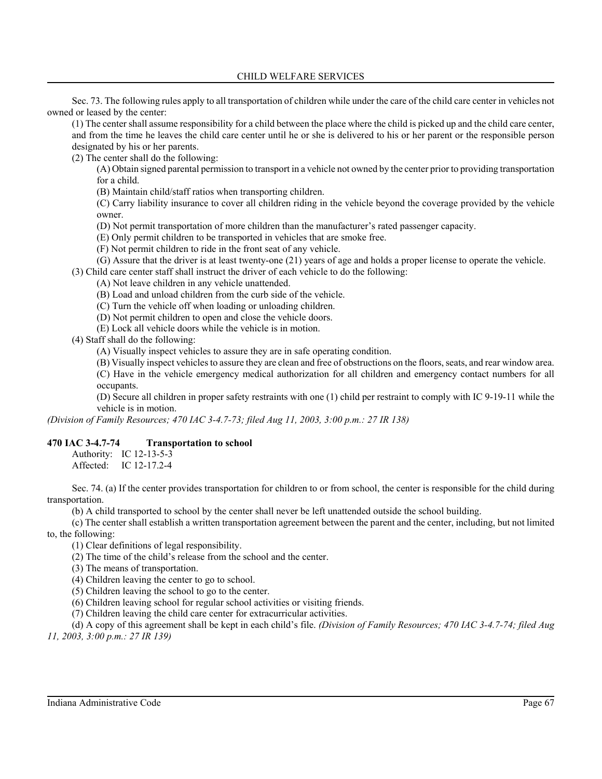Sec. 73. The following rules apply to all transportation of children while under the care of the child care center in vehicles not owned or leased by the center:

(1) The center shall assume responsibility for a child between the place where the child is picked up and the child care center, and from the time he leaves the child care center until he or she is delivered to his or her parent or the responsible person designated by his or her parents.

(2) The center shall do the following:

(A) Obtain signed parental permission to transport in a vehicle not owned by the center prior to providing transportation for a child.

(B) Maintain child/staff ratios when transporting children.

(C) Carry liability insurance to cover all children riding in the vehicle beyond the coverage provided by the vehicle owner.

(D) Not permit transportation of more children than the manufacturer's rated passenger capacity.

(E) Only permit children to be transported in vehicles that are smoke free.

(F) Not permit children to ride in the front seat of any vehicle.

(G) Assure that the driver is at least twenty-one (21) years of age and holds a proper license to operate the vehicle.

(3) Child care center staff shall instruct the driver of each vehicle to do the following:

(A) Not leave children in any vehicle unattended.

(B) Load and unload children from the curb side of the vehicle.

(C) Turn the vehicle off when loading or unloading children.

(D) Not permit children to open and close the vehicle doors.

(E) Lock all vehicle doors while the vehicle is in motion.

(4) Staff shall do the following:

(A) Visually inspect vehicles to assure they are in safe operating condition.

(B) Visually inspect vehicles to assure they are clean and free of obstructions on the floors, seats, and rear window area.

(C) Have in the vehicle emergency medical authorization for all children and emergency contact numbers for all occupants.

(D) Secure all children in proper safety restraints with one (1) child per restraint to comply with IC 9-19-11 while the vehicle is in motion.

*(Division of Family Resources; 470 IAC 3-4.7-73; filed Aug 11, 2003, 3:00 p.m.: 27 IR 138)*

#### **470 IAC 3-4.7-74 Transportation to school**

Authority: IC 12-13-5-3 Affected: IC 12-17.2-4

Sec. 74. (a) If the center provides transportation for children to or from school, the center is responsible for the child during transportation.

(b) A child transported to school by the center shall never be left unattended outside the school building.

(c) The center shall establish a written transportation agreement between the parent and the center, including, but not limited to, the following:

(1) Clear definitions of legal responsibility.

(2) The time of the child's release from the school and the center.

(3) The means of transportation.

(4) Children leaving the center to go to school.

(5) Children leaving the school to go to the center.

(6) Children leaving school for regular school activities or visiting friends.

(7) Children leaving the child care center for extracurricular activities.

(d) A copy of this agreement shall be kept in each child's file. *(Division of Family Resources; 470 IAC 3-4.7-74; filed Aug 11, 2003, 3:00 p.m.: 27 IR 139)*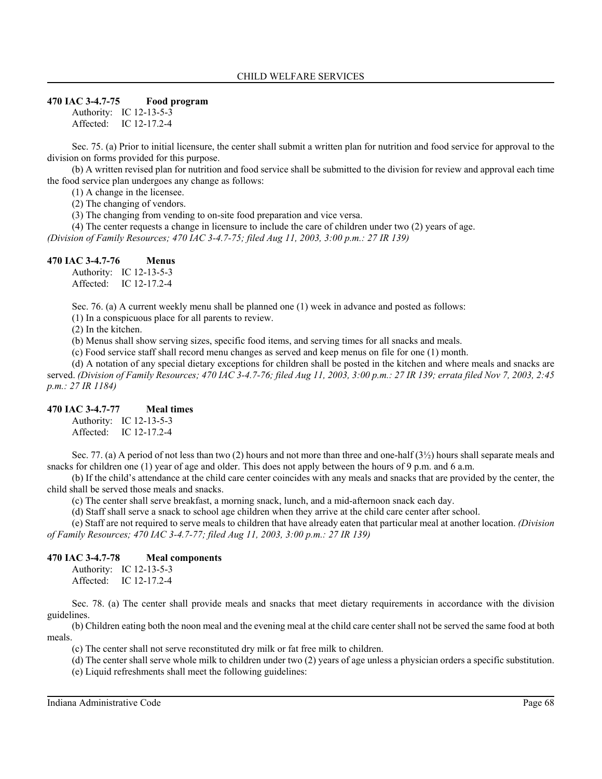#### **470 IAC 3-4.7-75 Food program**

Authority: IC 12-13-5-3 Affected: IC 12-17.2-4

Sec. 75. (a) Prior to initial licensure, the center shall submit a written plan for nutrition and food service for approval to the division on forms provided for this purpose.

(b) A written revised plan for nutrition and food service shall be submitted to the division for review and approval each time the food service plan undergoes any change as follows:

(1) A change in the licensee.

(2) The changing of vendors.

(3) The changing from vending to on-site food preparation and vice versa.

(4) The center requests a change in licensure to include the care of children under two (2) years of age.

*(Division of Family Resources; 470 IAC 3-4.7-75; filed Aug 11, 2003, 3:00 p.m.: 27 IR 139)*

#### **470 IAC 3-4.7-76 Menus**

Authority: IC 12-13-5-3 Affected: IC 12-17.2-4

Sec. 76. (a) A current weekly menu shall be planned one (1) week in advance and posted as follows:

(1) In a conspicuous place for all parents to review.

(2) In the kitchen.

(b) Menus shall show serving sizes, specific food items, and serving times for all snacks and meals.

(c) Food service staff shall record menu changes as served and keep menus on file for one (1) month.

(d) A notation of any special dietary exceptions for children shall be posted in the kitchen and where meals and snacks are served. *(Division of Family Resources; 470 IAC 3-4.7-76; filed Aug 11, 2003, 3:00 p.m.: 27 IR 139; errata filed Nov 7, 2003, 2:45 p.m.: 27 IR 1184)*

#### **470 IAC 3-4.7-77 Meal times**

Authority: IC 12-13-5-3 Affected: IC 12-17.2-4

Sec. 77. (a) A period of not less than two (2) hours and not more than three and one-half (3½) hours shall separate meals and snacks for children one (1) year of age and older. This does not apply between the hours of 9 p.m. and 6 a.m.

(b) If the child's attendance at the child care center coincides with any meals and snacks that are provided by the center, the child shall be served those meals and snacks.

(c) The center shall serve breakfast, a morning snack, lunch, and a mid-afternoon snack each day.

(d) Staff shall serve a snack to school age children when they arrive at the child care center after school.

(e) Staff are not required to serve meals to children that have already eaten that particular meal at another location. *(Division of Family Resources; 470 IAC 3-4.7-77; filed Aug 11, 2003, 3:00 p.m.: 27 IR 139)*

#### **470 IAC 3-4.7-78 Meal components**

Authority: IC 12-13-5-3 Affected: IC 12-17.2-4

Sec. 78. (a) The center shall provide meals and snacks that meet dietary requirements in accordance with the division guidelines.

(b) Children eating both the noon meal and the evening meal at the child care center shall not be served the same food at both meals.

(c) The center shall not serve reconstituted dry milk or fat free milk to children.

(d) The center shall serve whole milk to children under two (2) years of age unless a physician orders a specific substitution. (e) Liquid refreshments shall meet the following guidelines: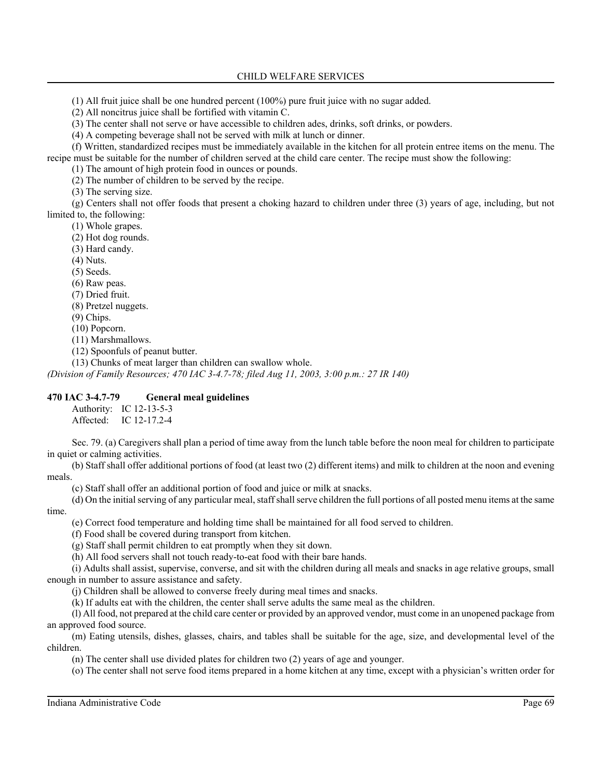(1) All fruit juice shall be one hundred percent (100%) pure fruit juice with no sugar added.

(2) All noncitrus juice shall be fortified with vitamin C.

(3) The center shall not serve or have accessible to children ades, drinks, soft drinks, or powders.

(4) A competing beverage shall not be served with milk at lunch or dinner.

(f) Written, standardized recipes must be immediately available in the kitchen for all protein entree items on the menu. The recipe must be suitable for the number of children served at the child care center. The recipe must show the following:

(1) The amount of high protein food in ounces or pounds.

(2) The number of children to be served by the recipe.

(3) The serving size.

(g) Centers shall not offer foods that present a choking hazard to children under three (3) years of age, including, but not limited to, the following:

(1) Whole grapes.

(2) Hot dog rounds.

(3) Hard candy.

(4) Nuts.

(5) Seeds.

(6) Raw peas.

(7) Dried fruit.

(8) Pretzel nuggets.

(9) Chips.

(10) Popcorn.

(11) Marshmallows.

(12) Spoonfuls of peanut butter.

(13) Chunks of meat larger than children can swallow whole.

*(Division of Family Resources; 470 IAC 3-4.7-78; filed Aug 11, 2003, 3:00 p.m.: 27 IR 140)*

#### **470 IAC 3-4.7-79 General meal guidelines**

Authority: IC 12-13-5-3 Affected: IC 12-17.2-4

Sec. 79. (a) Caregivers shall plan a period of time away from the lunch table before the noon meal for children to participate in quiet or calming activities.

(b) Staff shall offer additional portions of food (at least two (2) different items) and milk to children at the noon and evening meals.

(c) Staff shall offer an additional portion of food and juice or milk at snacks.

(d) On the initial serving of any particular meal, staff shall serve children the full portions of all posted menu items at the same time.

(e) Correct food temperature and holding time shall be maintained for all food served to children.

(f) Food shall be covered during transport from kitchen.

(g) Staff shall permit children to eat promptly when they sit down.

(h) All food servers shall not touch ready-to-eat food with their bare hands.

(i) Adults shall assist, supervise, converse, and sit with the children during all meals and snacks in age relative groups, small enough in number to assure assistance and safety.

(j) Children shall be allowed to converse freely during meal times and snacks.

(k) If adults eat with the children, the center shall serve adults the same meal as the children.

(l) All food, not prepared at the child care center or provided by an approved vendor, must come in an unopened package from an approved food source.

(m) Eating utensils, dishes, glasses, chairs, and tables shall be suitable for the age, size, and developmental level of the children.

(n) The center shall use divided plates for children two (2) years of age and younger.

(o) The center shall not serve food items prepared in a home kitchen at any time, except with a physician's written order for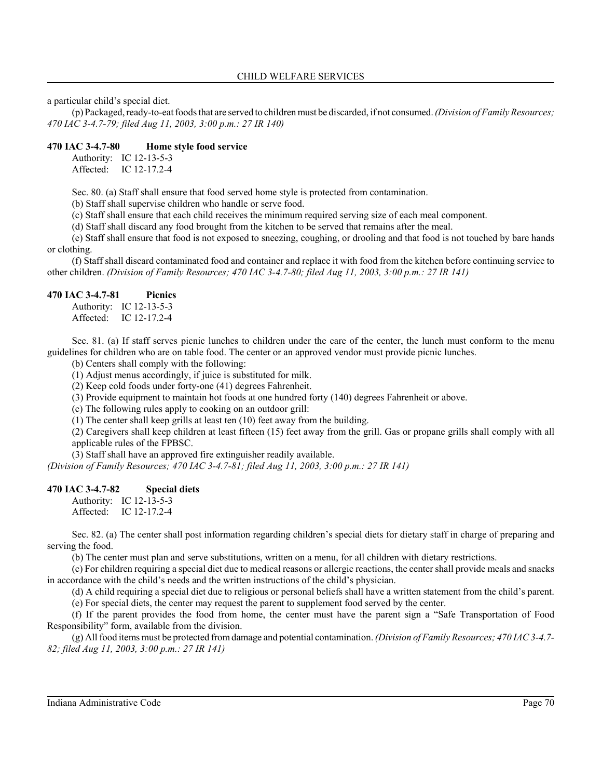a particular child's special diet.

(p) Packaged, ready-to-eat foods that are served to children must be discarded, if not consumed. *(Division of Family Resources; 470 IAC 3-4.7-79; filed Aug 11, 2003, 3:00 p.m.: 27 IR 140)*

#### **470 IAC 3-4.7-80 Home style food service**

Authority: IC 12-13-5-3 Affected: IC 12-17.2-4

Sec. 80. (a) Staff shall ensure that food served home style is protected from contamination.

(b) Staff shall supervise children who handle or serve food.

(c) Staff shall ensure that each child receives the minimum required serving size of each meal component.

(d) Staff shall discard any food brought from the kitchen to be served that remains after the meal.

(e) Staff shall ensure that food is not exposed to sneezing, coughing, or drooling and that food is not touched by bare hands or clothing.

(f) Staff shall discard contaminated food and container and replace it with food from the kitchen before continuing service to other children. *(Division of Family Resources; 470 IAC 3-4.7-80; filed Aug 11, 2003, 3:00 p.m.: 27 IR 141)*

#### **470 IAC 3-4.7-81 Picnics**

Authority: IC 12-13-5-3 Affected: IC 12-17.2-4

Sec. 81. (a) If staff serves picnic lunches to children under the care of the center, the lunch must conform to the menu guidelines for children who are on table food. The center or an approved vendor must provide picnic lunches.

(b) Centers shall comply with the following:

(1) Adjust menus accordingly, if juice is substituted for milk.

(2) Keep cold foods under forty-one (41) degrees Fahrenheit.

(3) Provide equipment to maintain hot foods at one hundred forty (140) degrees Fahrenheit or above.

(c) The following rules apply to cooking on an outdoor grill:

(1) The center shall keep grills at least ten (10) feet away from the building.

(2) Caregivers shall keep children at least fifteen (15) feet away from the grill. Gas or propane grills shall comply with all applicable rules of the FPBSC.

(3) Staff shall have an approved fire extinguisher readily available.

*(Division of Family Resources; 470 IAC 3-4.7-81; filed Aug 11, 2003, 3:00 p.m.: 27 IR 141)*

#### **470 IAC 3-4.7-82 Special diets**

Authority: IC 12-13-5-3 Affected: IC 12-17.2-4

Sec. 82. (a) The center shall post information regarding children's special diets for dietary staff in charge of preparing and serving the food.

(b) The center must plan and serve substitutions, written on a menu, for all children with dietary restrictions.

(c) For children requiring a special diet due to medical reasons or allergic reactions, the center shall provide meals and snacks in accordance with the child's needs and the written instructions of the child's physician.

(d) A child requiring a special diet due to religious or personal beliefs shall have a written statement from the child's parent.

(e) For special diets, the center may request the parent to supplement food served by the center.

(f) If the parent provides the food from home, the center must have the parent sign a "Safe Transportation of Food Responsibility" form, available from the division.

(g) All food items must be protected from damage and potential contamination. *(Division of Family Resources; 470 IAC 3-4.7- 82; filed Aug 11, 2003, 3:00 p.m.: 27 IR 141)*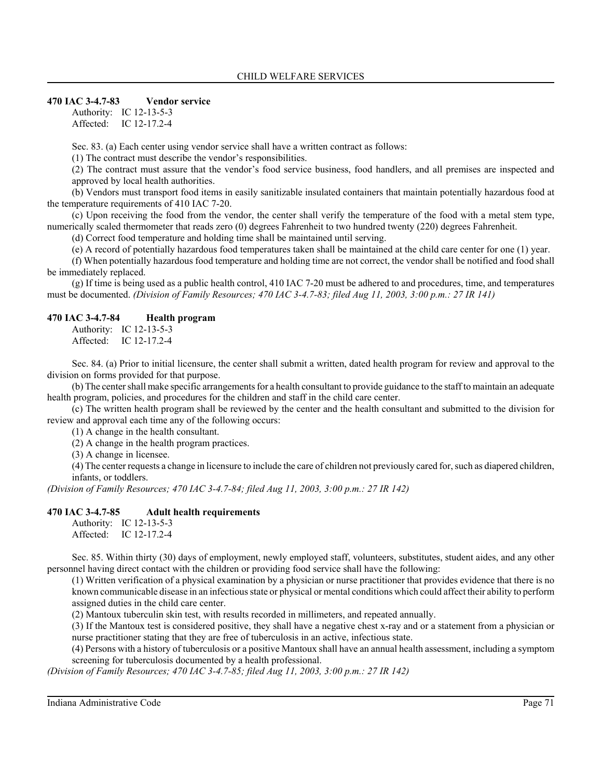#### **470 IAC 3-4.7-83 Vendor service**

Authority: IC 12-13-5-3 Affected: IC 12-17.2-4

Sec. 83. (a) Each center using vendor service shall have a written contract as follows:

(1) The contract must describe the vendor's responsibilities.

(2) The contract must assure that the vendor's food service business, food handlers, and all premises are inspected and approved by local health authorities.

(b) Vendors must transport food items in easily sanitizable insulated containers that maintain potentially hazardous food at the temperature requirements of 410 IAC 7-20.

(c) Upon receiving the food from the vendor, the center shall verify the temperature of the food with a metal stem type, numerically scaled thermometer that reads zero (0) degrees Fahrenheit to two hundred twenty (220) degrees Fahrenheit.

(d) Correct food temperature and holding time shall be maintained until serving.

(e) A record of potentially hazardous food temperatures taken shall be maintained at the child care center for one (1) year.

(f) When potentially hazardous food temperature and holding time are not correct, the vendor shall be notified and food shall be immediately replaced.

 $(g)$  If time is being used as a public health control, 410 IAC 7-20 must be adhered to and procedures, time, and temperatures must be documented. *(Division of Family Resources; 470 IAC 3-4.7-83; filed Aug 11, 2003, 3:00 p.m.: 27 IR 141)*

#### **470 IAC 3-4.7-84 Health program**

Authority: IC 12-13-5-3 Affected: IC 12-17.2-4

Sec. 84. (a) Prior to initial licensure, the center shall submit a written, dated health program for review and approval to the division on forms provided for that purpose.

(b) The center shall make specific arrangements for a health consultant to provide guidance to the staff to maintain an adequate health program, policies, and procedures for the children and staff in the child care center.

(c) The written health program shall be reviewed by the center and the health consultant and submitted to the division for review and approval each time any of the following occurs:

(1) A change in the health consultant.

(2) A change in the health program practices.

(3) A change in licensee.

(4) The center requests a change in licensure to include the care of children not previously cared for, such as diapered children, infants, or toddlers.

*(Division of Family Resources; 470 IAC 3-4.7-84; filed Aug 11, 2003, 3:00 p.m.: 27 IR 142)*

#### **470 IAC 3-4.7-85 Adult health requirements**

Authority: IC 12-13-5-3 Affected: IC 12-17.2-4

Sec. 85. Within thirty (30) days of employment, newly employed staff, volunteers, substitutes, student aides, and any other personnel having direct contact with the children or providing food service shall have the following:

(1) Written verification of a physical examination by a physician or nurse practitioner that provides evidence that there is no known communicable disease in an infectious state or physical or mental conditions which could affect their ability to perform assigned duties in the child care center.

(2) Mantoux tuberculin skin test, with results recorded in millimeters, and repeated annually.

(3) If the Mantoux test is considered positive, they shall have a negative chest x-ray and or a statement from a physician or nurse practitioner stating that they are free of tuberculosis in an active, infectious state.

(4) Persons with a history of tuberculosis or a positive Mantoux shall have an annual health assessment, including a symptom screening for tuberculosis documented by a health professional.

*(Division of Family Resources; 470 IAC 3-4.7-85; filed Aug 11, 2003, 3:00 p.m.: 27 IR 142)*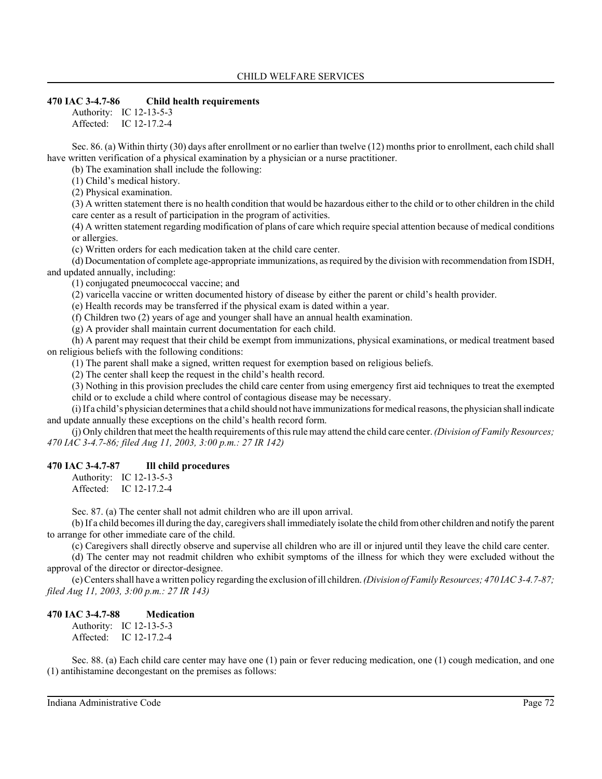### **470 IAC 3-4.7-86 Child health requirements**

Authority: IC 12-13-5-3 Affected: IC 12-17.2-4

Sec. 86. (a) Within thirty (30) days after enrollment or no earlier than twelve (12) months prior to enrollment, each child shall have written verification of a physical examination by a physician or a nurse practitioner.

(b) The examination shall include the following:

(1) Child's medical history.

(2) Physical examination.

(3) A written statement there is no health condition that would be hazardous either to the child or to other children in the child care center as a result of participation in the program of activities.

(4) A written statement regarding modification of plans of care which require special attention because of medical conditions or allergies.

(c) Written orders for each medication taken at the child care center.

(d) Documentation of complete age-appropriate immunizations, as required by the division with recommendation from ISDH, and updated annually, including:

(1) conjugated pneumococcal vaccine; and

(2) varicella vaccine or written documented history of disease by either the parent or child's health provider.

(e) Health records may be transferred if the physical exam is dated within a year.

(f) Children two (2) years of age and younger shall have an annual health examination.

(g) A provider shall maintain current documentation for each child.

(h) A parent may request that their child be exempt from immunizations, physical examinations, or medical treatment based on religious beliefs with the following conditions:

(1) The parent shall make a signed, written request for exemption based on religious beliefs.

(2) The center shall keep the request in the child's health record.

(3) Nothing in this provision precludes the child care center from using emergency first aid techniques to treat the exempted child or to exclude a child where control of contagious disease may be necessary.

(i) If a child's physician determines that a child should not have immunizations for medical reasons, the physician shall indicate and update annually these exceptions on the child's health record form.

(j) Only children that meet the health requirements of this rule may attend the child care center. *(Division of Family Resources; 470 IAC 3-4.7-86; filed Aug 11, 2003, 3:00 p.m.: 27 IR 142)*

#### **470 IAC 3-4.7-87 Ill child procedures**

Authority: IC 12-13-5-3 Affected: IC 12-17.2-4

Sec. 87. (a) The center shall not admit children who are ill upon arrival.

(b) If a child becomes ill during the day, caregivers shall immediately isolate the child from other children and notify the parent to arrange for other immediate care of the child.

(c) Caregivers shall directly observe and supervise all children who are ill or injured until they leave the child care center.

(d) The center may not readmit children who exhibit symptoms of the illness for which they were excluded without the approval of the director or director-designee.

(e) Centers shall have a written policy regarding the exclusion of ill children. *(Division of Family Resources; 470 IAC 3-4.7-87; filed Aug 11, 2003, 3:00 p.m.: 27 IR 143)*

#### **470 IAC 3-4.7-88 Medication**

Authority: IC 12-13-5-3 Affected: IC 12-17.2-4

Sec. 88. (a) Each child care center may have one (1) pain or fever reducing medication, one (1) cough medication, and one (1) antihistamine decongestant on the premises as follows: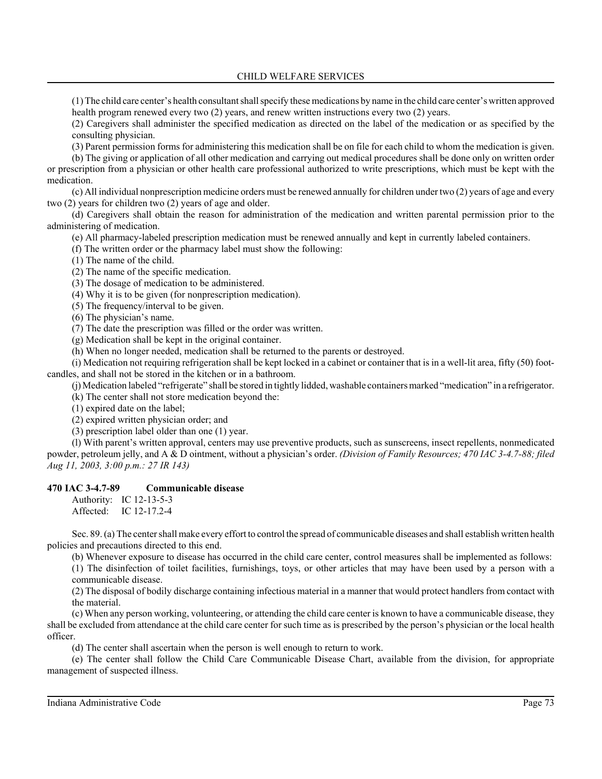(1) The child care center's health consultant shall specify these medications by name in the child care center's written approved health program renewed every two (2) years, and renew written instructions every two (2) years.

(2) Caregivers shall administer the specified medication as directed on the label of the medication or as specified by the consulting physician.

(3) Parent permission forms for administering this medication shall be on file for each child to whom the medication is given.

(b) The giving or application of all other medication and carrying out medical procedures shall be done only on written order or prescription from a physician or other health care professional authorized to write prescriptions, which must be kept with the medication.

(c) All individual nonprescription medicine orders must be renewed annually for children under two (2) years of age and every two (2) years for children two (2) years of age and older.

(d) Caregivers shall obtain the reason for administration of the medication and written parental permission prior to the administering of medication.

(e) All pharmacy-labeled prescription medication must be renewed annually and kept in currently labeled containers.

(f) The written order or the pharmacy label must show the following:

(1) The name of the child.

(2) The name of the specific medication.

(3) The dosage of medication to be administered.

(4) Why it is to be given (for nonprescription medication).

(5) The frequency/interval to be given.

(6) The physician's name.

(7) The date the prescription was filled or the order was written.

(g) Medication shall be kept in the original container.

(h) When no longer needed, medication shall be returned to the parents or destroyed.

(i) Medication not requiring refrigeration shall be kept locked in a cabinet or container that is in a well-lit area, fifty (50) footcandles, and shall not be stored in the kitchen or in a bathroom.

(j) Medication labeled "refrigerate" shall be stored in tightly lidded, washable containers marked "medication" in a refrigerator.

(k) The center shall not store medication beyond the:

(1) expired date on the label;

(2) expired written physician order; and

(3) prescription label older than one (1) year.

(l) With parent's written approval, centers may use preventive products, such as sunscreens, insect repellents, nonmedicated powder, petroleum jelly, and A & D ointment, without a physician's order. *(Division of Family Resources; 470 IAC 3-4.7-88; filed Aug 11, 2003, 3:00 p.m.: 27 IR 143)*

#### **470 IAC 3-4.7-89 Communicable disease**

Authority: IC 12-13-5-3 Affected: IC 12-17.2-4

Sec. 89. (a) The center shall make every effort to control the spread of communicable diseases and shall establish written health policies and precautions directed to this end.

(b) Whenever exposure to disease has occurred in the child care center, control measures shall be implemented as follows:

(1) The disinfection of toilet facilities, furnishings, toys, or other articles that may have been used by a person with a communicable disease.

(2) The disposal of bodily discharge containing infectious material in a manner that would protect handlers from contact with the material.

(c) When any person working, volunteering, or attending the child care center is known to have a communicable disease, they shall be excluded from attendance at the child care center for such time as is prescribed by the person's physician or the local health officer.

(d) The center shall ascertain when the person is well enough to return to work.

(e) The center shall follow the Child Care Communicable Disease Chart, available from the division, for appropriate management of suspected illness.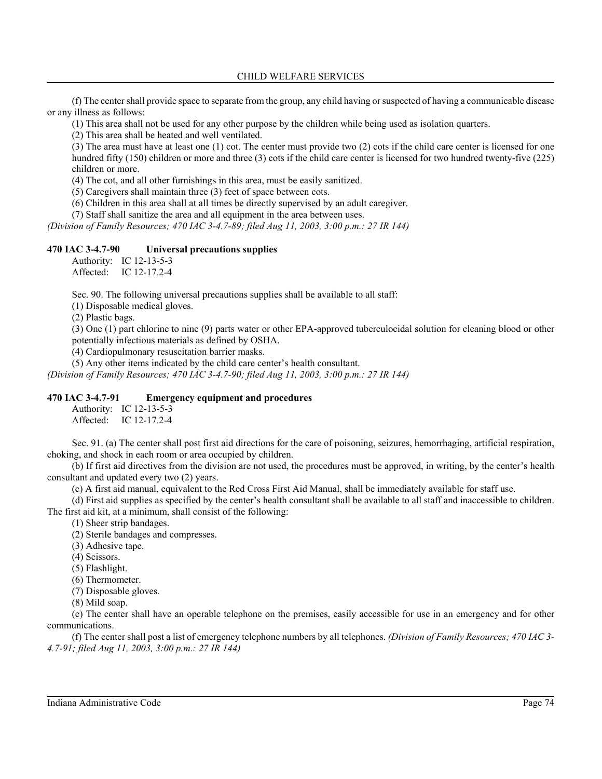(f) The center shall provide space to separate from the group, any child having or suspected of having a communicable disease or any illness as follows:

(1) This area shall not be used for any other purpose by the children while being used as isolation quarters.

(2) This area shall be heated and well ventilated.

(3) The area must have at least one (1) cot. The center must provide two (2) cots if the child care center is licensed for one hundred fifty (150) children or more and three (3) cots if the child care center is licensed for two hundred twenty-five (225) children or more.

(4) The cot, and all other furnishings in this area, must be easily sanitized.

(5) Caregivers shall maintain three (3) feet of space between cots.

(6) Children in this area shall at all times be directly supervised by an adult caregiver.

(7) Staff shall sanitize the area and all equipment in the area between uses.

*(Division of Family Resources; 470 IAC 3-4.7-89; filed Aug 11, 2003, 3:00 p.m.: 27 IR 144)*

## **470 IAC 3-4.7-90 Universal precautions supplies**

Authority: IC 12-13-5-3 Affected: IC 12-17.2-4

Sec. 90. The following universal precautions supplies shall be available to all staff:

(1) Disposable medical gloves.

(2) Plastic bags.

(3) One (1) part chlorine to nine (9) parts water or other EPA-approved tuberculocidal solution for cleaning blood or other potentially infectious materials as defined by OSHA.

(4) Cardiopulmonary resuscitation barrier masks.

(5) Any other items indicated by the child care center's health consultant.

*(Division of Family Resources; 470 IAC 3-4.7-90; filed Aug 11, 2003, 3:00 p.m.: 27 IR 144)*

#### **470 IAC 3-4.7-91 Emergency equipment and procedures**

Authority: IC 12-13-5-3 Affected: IC 12-17.2-4

Sec. 91. (a) The center shall post first aid directions for the care of poisoning, seizures, hemorrhaging, artificial respiration, choking, and shock in each room or area occupied by children.

(b) If first aid directives from the division are not used, the procedures must be approved, in writing, by the center's health consultant and updated every two (2) years.

(c) A first aid manual, equivalent to the Red Cross First Aid Manual, shall be immediately available for staff use.

(d) First aid supplies as specified by the center's health consultant shall be available to all staff and inaccessible to children. The first aid kit, at a minimum, shall consist of the following:

(1) Sheer strip bandages.

(2) Sterile bandages and compresses.

(3) Adhesive tape.

(4) Scissors.

(5) Flashlight.

(6) Thermometer.

(7) Disposable gloves.

(8) Mild soap.

(e) The center shall have an operable telephone on the premises, easily accessible for use in an emergency and for other communications.

(f) The center shall post a list of emergency telephone numbers by all telephones. *(Division of Family Resources; 470 IAC 3- 4.7-91; filed Aug 11, 2003, 3:00 p.m.: 27 IR 144)*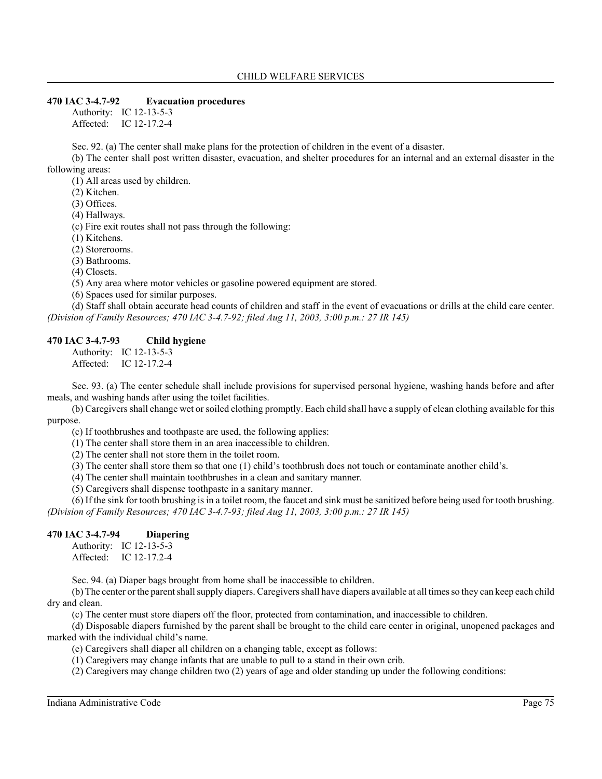#### **470 IAC 3-4.7-92 Evacuation procedures**

Authority: IC 12-13-5-3 Affected: IC 12-17.2-4

Sec. 92. (a) The center shall make plans for the protection of children in the event of a disaster.

(b) The center shall post written disaster, evacuation, and shelter procedures for an internal and an external disaster in the following areas:

(1) All areas used by children.

(2) Kitchen.

(3) Offices.

(4) Hallways.

(c) Fire exit routes shall not pass through the following:

(1) Kitchens.

(2) Storerooms.

(3) Bathrooms.

(4) Closets.

(5) Any area where motor vehicles or gasoline powered equipment are stored.

(6) Spaces used for similar purposes.

(d) Staff shall obtain accurate head counts of children and staff in the event of evacuations or drills at the child care center. *(Division of Family Resources; 470 IAC 3-4.7-92; filed Aug 11, 2003, 3:00 p.m.: 27 IR 145)*

#### **470 IAC 3-4.7-93 Child hygiene**

Authority: IC 12-13-5-3 Affected: IC 12-17.2-4

Sec. 93. (a) The center schedule shall include provisions for supervised personal hygiene, washing hands before and after meals, and washing hands after using the toilet facilities.

(b) Caregivers shall change wet or soiled clothing promptly. Each child shall have a supply of clean clothing available for this purpose.

(c) If toothbrushes and toothpaste are used, the following applies:

(1) The center shall store them in an area inaccessible to children.

(2) The center shall not store them in the toilet room.

(3) The center shall store them so that one (1) child's toothbrush does not touch or contaminate another child's.

(4) The center shall maintain toothbrushes in a clean and sanitary manner.

(5) Caregivers shall dispense toothpaste in a sanitary manner.

(6) If the sink for tooth brushing is in a toilet room, the faucet and sink must be sanitized before being used for tooth brushing. *(Division of Family Resources; 470 IAC 3-4.7-93; filed Aug 11, 2003, 3:00 p.m.: 27 IR 145)*

### **470 IAC 3-4.7-94 Diapering**

Authority: IC 12-13-5-3 Affected: IC 12-17.2-4

Sec. 94. (a) Diaper bags brought from home shall be inaccessible to children.

(b) The center or the parent shall supply diapers. Caregivers shall have diapers available at all times so they can keep each child dry and clean.

(c) The center must store diapers off the floor, protected from contamination, and inaccessible to children.

(d) Disposable diapers furnished by the parent shall be brought to the child care center in original, unopened packages and marked with the individual child's name.

(e) Caregivers shall diaper all children on a changing table, except as follows:

(1) Caregivers may change infants that are unable to pull to a stand in their own crib.

(2) Caregivers may change children two (2) years of age and older standing up under the following conditions: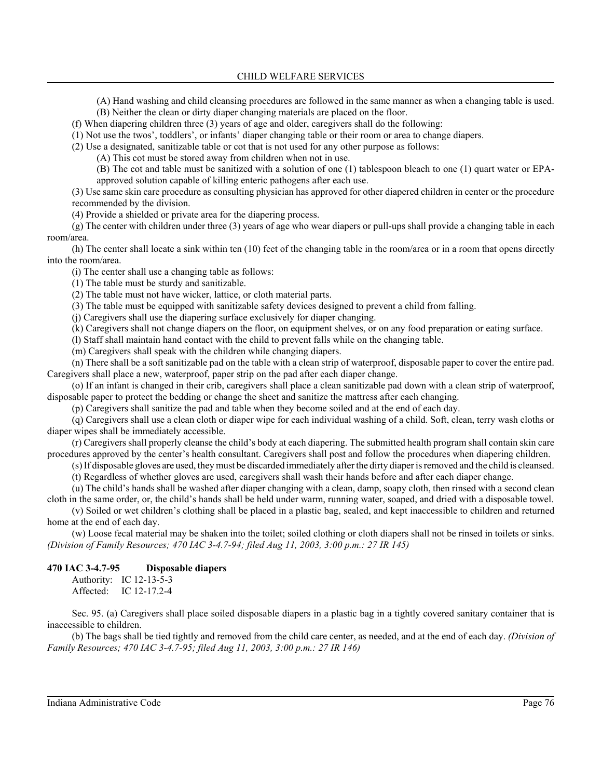(A) Hand washing and child cleansing procedures are followed in the same manner as when a changing table is used.

(B) Neither the clean or dirty diaper changing materials are placed on the floor.

(f) When diapering children three (3) years of age and older, caregivers shall do the following:

(1) Not use the twos', toddlers', or infants' diaper changing table or their room or area to change diapers.

(2) Use a designated, sanitizable table or cot that is not used for any other purpose as follows:

(A) This cot must be stored away from children when not in use.

(B) The cot and table must be sanitized with a solution of one (1) tablespoon bleach to one (1) quart water or EPAapproved solution capable of killing enteric pathogens after each use.

(3) Use same skin care procedure as consulting physician has approved for other diapered children in center or the procedure recommended by the division.

(4) Provide a shielded or private area for the diapering process.

(g) The center with children under three (3) years of age who wear diapers or pull-ups shall provide a changing table in each room/area.

(h) The center shall locate a sink within ten (10) feet of the changing table in the room/area or in a room that opens directly into the room/area.

(i) The center shall use a changing table as follows:

(1) The table must be sturdy and sanitizable.

(2) The table must not have wicker, lattice, or cloth material parts.

(3) The table must be equipped with sanitizable safety devices designed to prevent a child from falling.

(j) Caregivers shall use the diapering surface exclusively for diaper changing.

(k) Caregivers shall not change diapers on the floor, on equipment shelves, or on any food preparation or eating surface.

(l) Staff shall maintain hand contact with the child to prevent falls while on the changing table.

(m) Caregivers shall speak with the children while changing diapers.

(n) There shall be a soft sanitizable pad on the table with a clean strip of waterproof, disposable paper to cover the entire pad. Caregivers shall place a new, waterproof, paper strip on the pad after each diaper change.

(o) If an infant is changed in their crib, caregivers shall place a clean sanitizable pad down with a clean strip of waterproof, disposable paper to protect the bedding or change the sheet and sanitize the mattress after each changing.

(p) Caregivers shall sanitize the pad and table when they become soiled and at the end of each day.

(q) Caregivers shall use a clean cloth or diaper wipe for each individual washing of a child. Soft, clean, terry wash cloths or diaper wipes shall be immediately accessible.

(r) Caregivers shall properly cleanse the child's body at each diapering. The submitted health program shall contain skin care procedures approved by the center's health consultant. Caregivers shall post and follow the procedures when diapering children.

(s) If disposable gloves are used, they must be discarded immediately after the dirty diaper is removed and the child is cleansed.

(t) Regardless of whether gloves are used, caregivers shall wash their hands before and after each diaper change.

(u) The child's hands shall be washed after diaper changing with a clean, damp, soapy cloth, then rinsed with a second clean cloth in the same order, or, the child's hands shall be held under warm, running water, soaped, and dried with a disposable towel.

(v) Soiled or wet children's clothing shall be placed in a plastic bag, sealed, and kept inaccessible to children and returned home at the end of each day.

(w) Loose fecal material may be shaken into the toilet; soiled clothing or cloth diapers shall not be rinsed in toilets or sinks. *(Division of Family Resources; 470 IAC 3-4.7-94; filed Aug 11, 2003, 3:00 p.m.: 27 IR 145)*

#### **470 IAC 3-4.7-95 Disposable diapers**

Authority: IC 12-13-5-3 Affected: IC 12-17.2-4

Sec. 95. (a) Caregivers shall place soiled disposable diapers in a plastic bag in a tightly covered sanitary container that is inaccessible to children.

(b) The bags shall be tied tightly and removed from the child care center, as needed, and at the end of each day. *(Division of Family Resources; 470 IAC 3-4.7-95; filed Aug 11, 2003, 3:00 p.m.: 27 IR 146)*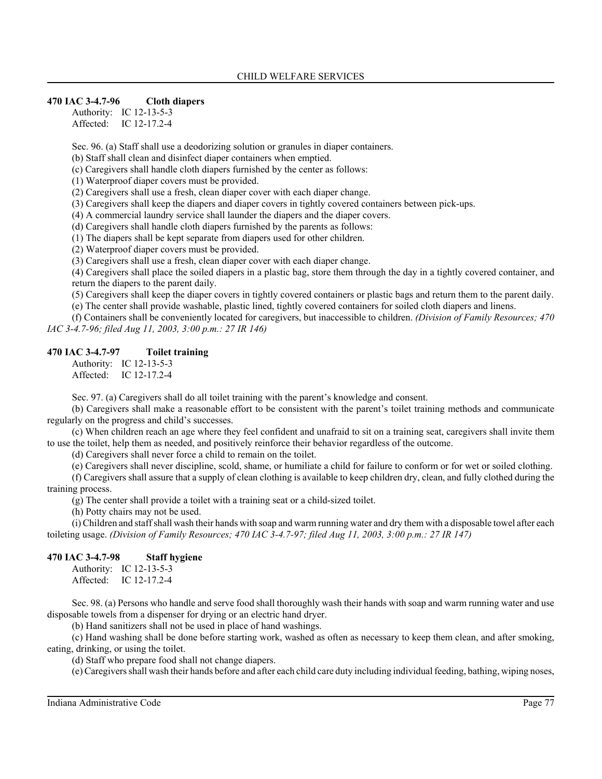#### **470 IAC 3-4.7-96 Cloth diapers**

Authority: IC 12-13-5-3 Affected: IC 12-17.2-4

Sec. 96. (a) Staff shall use a deodorizing solution or granules in diaper containers.

(b) Staff shall clean and disinfect diaper containers when emptied.

(c) Caregivers shall handle cloth diapers furnished by the center as follows:

(1) Waterproof diaper covers must be provided.

(2) Caregivers shall use a fresh, clean diaper cover with each diaper change.

(3) Caregivers shall keep the diapers and diaper covers in tightly covered containers between pick-ups.

(4) A commercial laundry service shall launder the diapers and the diaper covers.

(d) Caregivers shall handle cloth diapers furnished by the parents as follows:

(1) The diapers shall be kept separate from diapers used for other children.

(2) Waterproof diaper covers must be provided.

(3) Caregivers shall use a fresh, clean diaper cover with each diaper change.

(4) Caregivers shall place the soiled diapers in a plastic bag, store them through the day in a tightly covered container, and return the diapers to the parent daily.

(5) Caregivers shall keep the diaper covers in tightly covered containers or plastic bags and return them to the parent daily. (e) The center shall provide washable, plastic lined, tightly covered containers for soiled cloth diapers and linens.

(f) Containers shall be conveniently located for caregivers, but inaccessible to children. *(Division of Family Resources; 470 IAC 3-4.7-96; filed Aug 11, 2003, 3:00 p.m.: 27 IR 146)*

### **470 IAC 3-4.7-97 Toilet training**

Authority: IC 12-13-5-3 Affected: IC 12-17.2-4

Sec. 97. (a) Caregivers shall do all toilet training with the parent's knowledge and consent.

(b) Caregivers shall make a reasonable effort to be consistent with the parent's toilet training methods and communicate regularly on the progress and child's successes.

(c) When children reach an age where they feel confident and unafraid to sit on a training seat, caregivers shall invite them to use the toilet, help them as needed, and positively reinforce their behavior regardless of the outcome.

(d) Caregivers shall never force a child to remain on the toilet.

(e) Caregivers shall never discipline, scold, shame, or humiliate a child for failure to conform or for wet or soiled clothing.

(f) Caregivers shall assure that a supply of clean clothing is available to keep children dry, clean, and fully clothed during the training process.

(g) The center shall provide a toilet with a training seat or a child-sized toilet.

(h) Potty chairs may not be used.

(i) Children and staff shall wash their hands with soap and warm running water and dry them with a disposable towel after each toileting usage. *(Division of Family Resources; 470 IAC 3-4.7-97; filed Aug 11, 2003, 3:00 p.m.: 27 IR 147)*

### **470 IAC 3-4.7-98 Staff hygiene**

Authority: IC 12-13-5-3 Affected: IC 12-17.2-4

Sec. 98. (a) Persons who handle and serve food shall thoroughly wash their hands with soap and warm running water and use disposable towels from a dispenser for drying or an electric hand dryer.

(b) Hand sanitizers shall not be used in place of hand washings.

(c) Hand washing shall be done before starting work, washed as often as necessary to keep them clean, and after smoking, eating, drinking, or using the toilet.

(d) Staff who prepare food shall not change diapers.

(e) Caregivers shall wash their hands before and after each child care duty including individual feeding, bathing, wiping noses,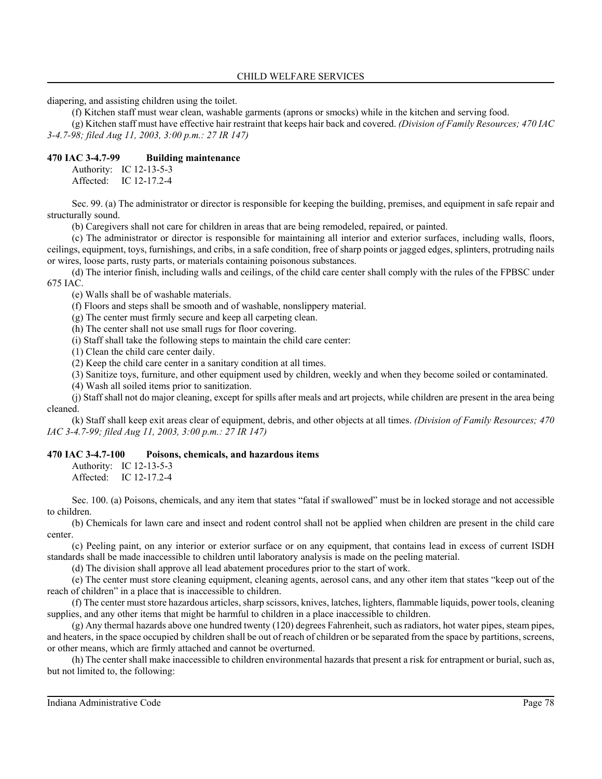diapering, and assisting children using the toilet.

(f) Kitchen staff must wear clean, washable garments (aprons or smocks) while in the kitchen and serving food.

(g) Kitchen staff must have effective hair restraint that keeps hair back and covered. *(Division of Family Resources; 470 IAC 3-4.7-98; filed Aug 11, 2003, 3:00 p.m.: 27 IR 147)*

#### **470 IAC 3-4.7-99 Building maintenance**

Authority: IC 12-13-5-3 Affected: IC 12-17.2-4

Sec. 99. (a) The administrator or director is responsible for keeping the building, premises, and equipment in safe repair and structurally sound.

(b) Caregivers shall not care for children in areas that are being remodeled, repaired, or painted.

(c) The administrator or director is responsible for maintaining all interior and exterior surfaces, including walls, floors, ceilings, equipment, toys, furnishings, and cribs, in a safe condition, free of sharp points or jagged edges, splinters, protruding nails or wires, loose parts, rusty parts, or materials containing poisonous substances.

(d) The interior finish, including walls and ceilings, of the child care center shall comply with the rules of the FPBSC under 675 IAC.

(e) Walls shall be of washable materials.

(f) Floors and steps shall be smooth and of washable, nonslippery material.

(g) The center must firmly secure and keep all carpeting clean.

(h) The center shall not use small rugs for floor covering.

(i) Staff shall take the following steps to maintain the child care center:

(1) Clean the child care center daily.

(2) Keep the child care center in a sanitary condition at all times.

(3) Sanitize toys, furniture, and other equipment used by children, weekly and when they become soiled or contaminated.

(4) Wash all soiled items prior to sanitization.

(j) Staff shall not do major cleaning, except for spills after meals and art projects, while children are present in the area being cleaned.

(k) Staff shall keep exit areas clear of equipment, debris, and other objects at all times. *(Division of Family Resources; 470 IAC 3-4.7-99; filed Aug 11, 2003, 3:00 p.m.: 27 IR 147)*

#### **470 IAC 3-4.7-100 Poisons, chemicals, and hazardous items**

Authority: IC 12-13-5-3 Affected: IC 12-17.2-4

Sec. 100. (a) Poisons, chemicals, and any item that states "fatal if swallowed" must be in locked storage and not accessible to children.

(b) Chemicals for lawn care and insect and rodent control shall not be applied when children are present in the child care center.

(c) Peeling paint, on any interior or exterior surface or on any equipment, that contains lead in excess of current ISDH standards shall be made inaccessible to children until laboratory analysis is made on the peeling material.

(d) The division shall approve all lead abatement procedures prior to the start of work.

(e) The center must store cleaning equipment, cleaning agents, aerosol cans, and any other item that states "keep out of the reach of children" in a place that is inaccessible to children.

(f) The center must store hazardous articles, sharp scissors, knives, latches, lighters, flammable liquids, power tools, cleaning supplies, and any other items that might be harmful to children in a place inaccessible to children.

(g) Any thermal hazards above one hundred twenty (120) degrees Fahrenheit, such as radiators, hot water pipes, steam pipes, and heaters, in the space occupied by children shall be out of reach of children or be separated from the space by partitions, screens, or other means, which are firmly attached and cannot be overturned.

(h) The center shall make inaccessible to children environmental hazards that present a risk for entrapment or burial, such as, but not limited to, the following: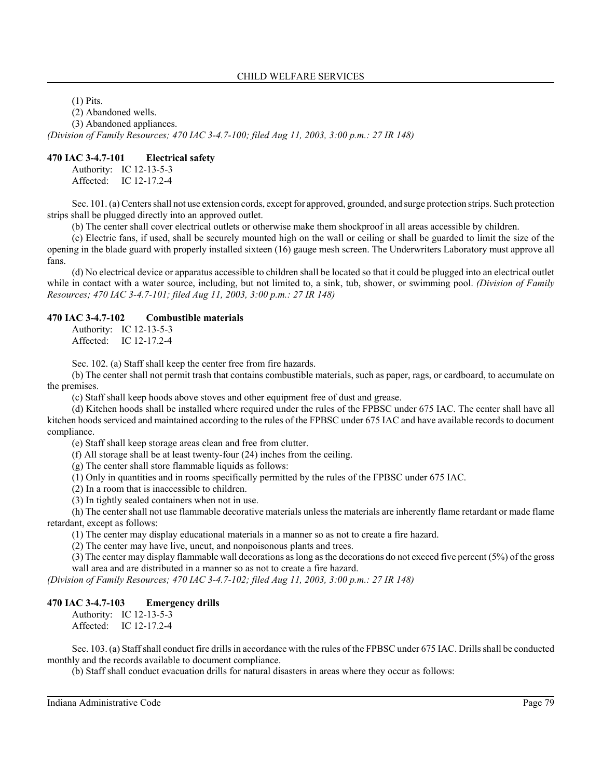(1) Pits.

(2) Abandoned wells.

(3) Abandoned appliances.

*(Division of Family Resources; 470 IAC 3-4.7-100; filed Aug 11, 2003, 3:00 p.m.: 27 IR 148)*

#### **470 IAC 3-4.7-101 Electrical safety**

Authority: IC 12-13-5-3 Affected: IC 12-17.2-4

Sec. 101. (a) Centers shall not use extension cords, except for approved, grounded, and surge protection strips. Such protection strips shall be plugged directly into an approved outlet.

(b) The center shall cover electrical outlets or otherwise make them shockproof in all areas accessible by children.

(c) Electric fans, if used, shall be securely mounted high on the wall or ceiling or shall be guarded to limit the size of the opening in the blade guard with properly installed sixteen (16) gauge mesh screen. The Underwriters Laboratory must approve all fans.

(d) No electrical device or apparatus accessible to children shall be located so that it could be plugged into an electrical outlet while in contact with a water source, including, but not limited to, a sink, tub, shower, or swimming pool. *(Division of Family Resources; 470 IAC 3-4.7-101; filed Aug 11, 2003, 3:00 p.m.: 27 IR 148)*

#### **470 IAC 3-4.7-102 Combustible materials**

Authority: IC 12-13-5-3 Affected: IC 12-17.2-4

Sec. 102. (a) Staff shall keep the center free from fire hazards.

(b) The center shall not permit trash that contains combustible materials, such as paper, rags, or cardboard, to accumulate on the premises.

(c) Staff shall keep hoods above stoves and other equipment free of dust and grease.

(d) Kitchen hoods shall be installed where required under the rules of the FPBSC under 675 IAC. The center shall have all kitchen hoods serviced and maintained according to the rules of the FPBSC under 675 IAC and have available records to document compliance.

(e) Staff shall keep storage areas clean and free from clutter.

(f) All storage shall be at least twenty-four (24) inches from the ceiling.

(g) The center shall store flammable liquids as follows:

(1) Only in quantities and in rooms specifically permitted by the rules of the FPBSC under 675 IAC.

(2) In a room that is inaccessible to children.

(3) In tightly sealed containers when not in use.

(h) The center shall not use flammable decorative materials unless the materials are inherently flame retardant or made flame retardant, except as follows:

(1) The center may display educational materials in a manner so as not to create a fire hazard.

(2) The center may have live, uncut, and nonpoisonous plants and trees.

(3) The center may display flammable wall decorations as long as the decorations do not exceed five percent (5%) of the gross wall area and are distributed in a manner so as not to create a fire hazard.

*(Division of Family Resources; 470 IAC 3-4.7-102; filed Aug 11, 2003, 3:00 p.m.: 27 IR 148)*

#### **470 IAC 3-4.7-103 Emergency drills**

Authority: IC 12-13-5-3 Affected: IC 12-17.2-4

Sec. 103. (a) Staff shall conduct fire drills in accordance with the rules of the FPBSC under 675 IAC. Drills shall be conducted monthly and the records available to document compliance.

(b) Staff shall conduct evacuation drills for natural disasters in areas where they occur as follows: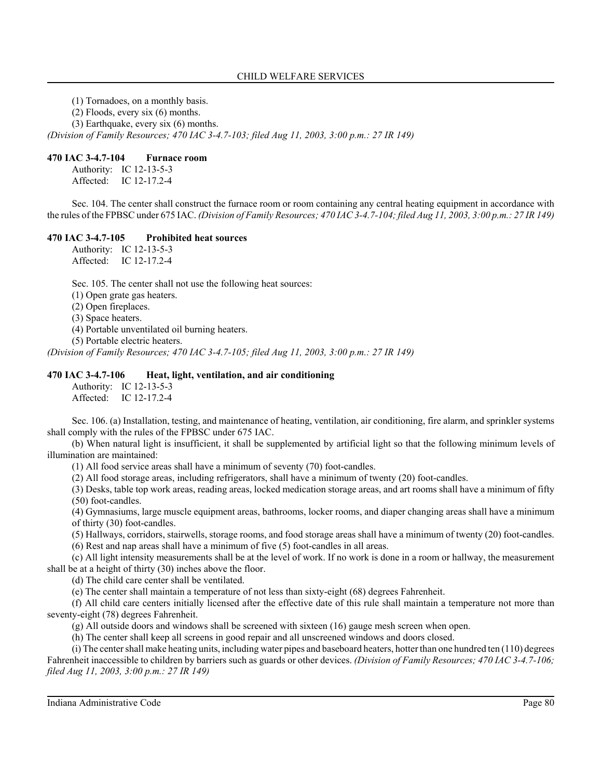(1) Tornadoes, on a monthly basis.

(2) Floods, every six (6) months.

(3) Earthquake, every six (6) months.

*(Division of Family Resources; 470 IAC 3-4.7-103; filed Aug 11, 2003, 3:00 p.m.: 27 IR 149)*

#### **470 IAC 3-4.7-104 Furnace room**

Authority: IC 12-13-5-3 Affected: IC 12-17.2-4

Sec. 104. The center shall construct the furnace room or room containing any central heating equipment in accordance with the rules of the FPBSC under 675 IAC. *(Division of Family Resources; 470 IAC 3-4.7-104; filed Aug 11, 2003, 3:00 p.m.: 27 IR 149)*

#### **470 IAC 3-4.7-105 Prohibited heat sources**

Authority: IC 12-13-5-3 Affected: IC 12-17.2-4

Sec. 105. The center shall not use the following heat sources:

(1) Open grate gas heaters.

(2) Open fireplaces.

(3) Space heaters.

(4) Portable unventilated oil burning heaters.

(5) Portable electric heaters.

*(Division of Family Resources; 470 IAC 3-4.7-105; filed Aug 11, 2003, 3:00 p.m.: 27 IR 149)*

#### **470 IAC 3-4.7-106 Heat, light, ventilation, and air conditioning**

Authority: IC 12-13-5-3 Affected: IC 12-17.2-4

Sec. 106. (a) Installation, testing, and maintenance of heating, ventilation, air conditioning, fire alarm, and sprinkler systems shall comply with the rules of the FPBSC under 675 IAC.

(b) When natural light is insufficient, it shall be supplemented by artificial light so that the following minimum levels of illumination are maintained:

(1) All food service areas shall have a minimum of seventy (70) foot-candles.

(2) All food storage areas, including refrigerators, shall have a minimum of twenty (20) foot-candles.

(3) Desks, table top work areas, reading areas, locked medication storage areas, and art rooms shall have a minimum of fifty (50) foot-candles.

(4) Gymnasiums, large muscle equipment areas, bathrooms, locker rooms, and diaper changing areas shall have a minimum of thirty (30) foot-candles.

(5) Hallways, corridors, stairwells, storage rooms, and food storage areas shall have a minimum of twenty (20) foot-candles.

(6) Rest and nap areas shall have a minimum of five (5) foot-candles in all areas.

(c) All light intensity measurements shall be at the level of work. If no work is done in a room or hallway, the measurement shall be at a height of thirty (30) inches above the floor.

(d) The child care center shall be ventilated.

(e) The center shall maintain a temperature of not less than sixty-eight (68) degrees Fahrenheit.

(f) All child care centers initially licensed after the effective date of this rule shall maintain a temperature not more than seventy-eight (78) degrees Fahrenheit.

(g) All outside doors and windows shall be screened with sixteen (16) gauge mesh screen when open.

(h) The center shall keep all screens in good repair and all unscreened windows and doors closed.

(i) The center shall make heating units, including water pipes and baseboard heaters, hotter than one hundred ten (110) degrees Fahrenheit inaccessible to children by barriers such as guards or other devices. *(Division of Family Resources; 470 IAC 3-4.7-106; filed Aug 11, 2003, 3:00 p.m.: 27 IR 149)*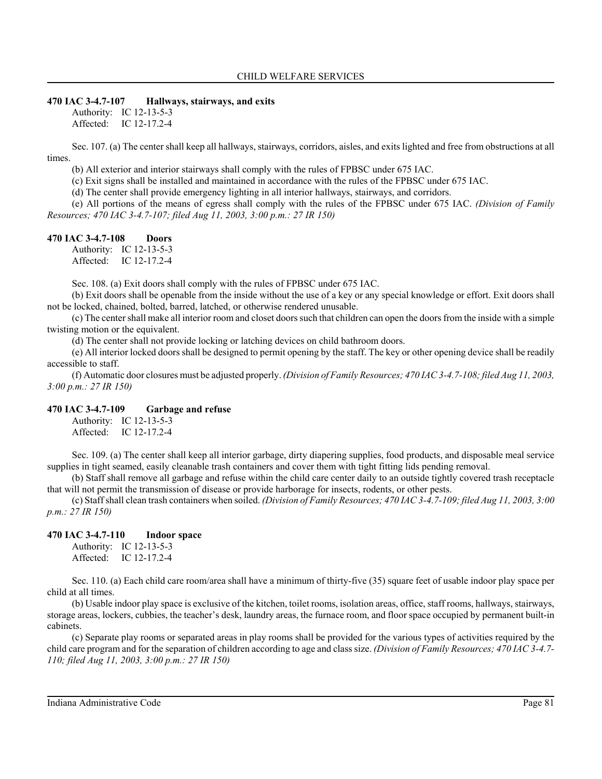### **470 IAC 3-4.7-107 Hallways, stairways, and exits**

Authority: IC 12-13-5-3 Affected: IC 12-17.2-4

Sec. 107. (a) The center shall keep all hallways, stairways, corridors, aisles, and exits lighted and free from obstructions at all times.

(b) All exterior and interior stairways shall comply with the rules of FPBSC under 675 IAC.

(c) Exit signs shall be installed and maintained in accordance with the rules of the FPBSC under 675 IAC.

(d) The center shall provide emergency lighting in all interior hallways, stairways, and corridors.

(e) All portions of the means of egress shall comply with the rules of the FPBSC under 675 IAC. *(Division of Family Resources; 470 IAC 3-4.7-107; filed Aug 11, 2003, 3:00 p.m.: 27 IR 150)*

## **470 IAC 3-4.7-108 Doors**

Authority: IC 12-13-5-3 Affected: IC 12-17.2-4

Sec. 108. (a) Exit doors shall comply with the rules of FPBSC under 675 IAC.

(b) Exit doors shall be openable from the inside without the use of a key or any special knowledge or effort. Exit doors shall not be locked, chained, bolted, barred, latched, or otherwise rendered unusable.

(c) The center shall make all interior room and closet doors such that children can open the doors from the inside with a simple twisting motion or the equivalent.

(d) The center shall not provide locking or latching devices on child bathroom doors.

(e) All interior locked doors shall be designed to permit opening by the staff. The key or other opening device shall be readily accessible to staff.

(f) Automatic door closures must be adjusted properly. *(Division of Family Resources; 470 IAC 3-4.7-108; filed Aug 11, 2003, 3:00 p.m.: 27 IR 150)*

#### **470 IAC 3-4.7-109 Garbage and refuse**

Authority: IC 12-13-5-3 Affected: IC 12-17.2-4

Sec. 109. (a) The center shall keep all interior garbage, dirty diapering supplies, food products, and disposable meal service supplies in tight seamed, easily cleanable trash containers and cover them with tight fitting lids pending removal.

(b) Staff shall remove all garbage and refuse within the child care center daily to an outside tightly covered trash receptacle that will not permit the transmission of disease or provide harborage for insects, rodents, or other pests.

(c) Staff shall clean trash containers when soiled. *(Division of Family Resources; 470 IAC 3-4.7-109; filed Aug 11, 2003, 3:00 p.m.: 27 IR 150)*

## **470 IAC 3-4.7-110 Indoor space**

Authority: IC 12-13-5-3 Affected: IC 12-17.2-4

Sec. 110. (a) Each child care room/area shall have a minimum of thirty-five (35) square feet of usable indoor play space per child at all times.

(b) Usable indoor play space is exclusive of the kitchen, toilet rooms, isolation areas, office, staff rooms, hallways, stairways, storage areas, lockers, cubbies, the teacher's desk, laundry areas, the furnace room, and floor space occupied by permanent built-in cabinets.

(c) Separate play rooms or separated areas in play rooms shall be provided for the various types of activities required by the child care program and for the separation of children according to age and class size. *(Division of Family Resources; 470 IAC 3-4.7- 110; filed Aug 11, 2003, 3:00 p.m.: 27 IR 150)*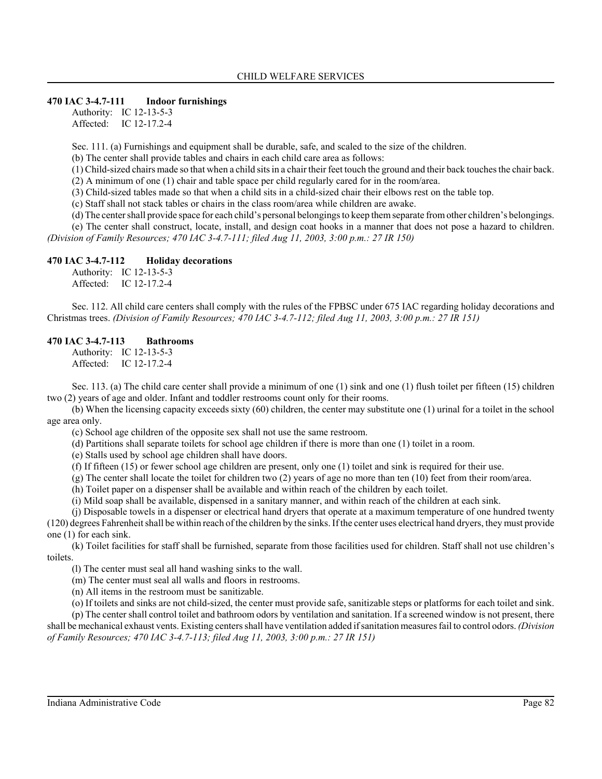#### **470 IAC 3-4.7-111 Indoor furnishings**

Authority: IC 12-13-5-3 Affected: IC 12-17.2-4

Sec. 111. (a) Furnishings and equipment shall be durable, safe, and scaled to the size of the children.

(b) The center shall provide tables and chairs in each child care area as follows:

(1) Child-sized chairs made so that when a child sits in a chair their feet touch the ground and their back touches the chair back.

(2) A minimum of one (1) chair and table space per child regularly cared for in the room/area.

(3) Child-sized tables made so that when a child sits in a child-sized chair their elbows rest on the table top.

(c) Staff shall not stack tables or chairs in the class room/area while children are awake.

(d) The center shall provide space for each child's personal belongings to keep them separate from other children's belongings.

(e) The center shall construct, locate, install, and design coat hooks in a manner that does not pose a hazard to children. *(Division of Family Resources; 470 IAC 3-4.7-111; filed Aug 11, 2003, 3:00 p.m.: 27 IR 150)*

#### **470 IAC 3-4.7-112 Holiday decorations**

Authority: IC 12-13-5-3 Affected: IC 12-17.2-4

Sec. 112. All child care centers shall comply with the rules of the FPBSC under 675 IAC regarding holiday decorations and Christmas trees. *(Division of Family Resources; 470 IAC 3-4.7-112; filed Aug 11, 2003, 3:00 p.m.: 27 IR 151)*

#### **470 IAC 3-4.7-113 Bathrooms**

Authority: IC 12-13-5-3 Affected: IC 12-17.2-4

Sec. 113. (a) The child care center shall provide a minimum of one (1) sink and one (1) flush toilet per fifteen (15) children two (2) years of age and older. Infant and toddler restrooms count only for their rooms.

(b) When the licensing capacity exceeds sixty (60) children, the center may substitute one (1) urinal for a toilet in the school age area only.

(c) School age children of the opposite sex shall not use the same restroom.

(d) Partitions shall separate toilets for school age children if there is more than one (1) toilet in a room.

(e) Stalls used by school age children shall have doors.

(f) If fifteen (15) or fewer school age children are present, only one (1) toilet and sink is required for their use.

(g) The center shall locate the toilet for children two (2) years of age no more than ten (10) feet from their room/area.

(h) Toilet paper on a dispenser shall be available and within reach of the children by each toilet.

(i) Mild soap shall be available, dispensed in a sanitary manner, and within reach of the children at each sink.

(j) Disposable towels in a dispenser or electrical hand dryers that operate at a maximum temperature of one hundred twenty

(120) degrees Fahrenheit shall be within reach of the children by the sinks. If the center uses electrical hand dryers, they must provide one (1) for each sink.

(k) Toilet facilities for staff shall be furnished, separate from those facilities used for children. Staff shall not use children's toilets.

(l) The center must seal all hand washing sinks to the wall.

(m) The center must seal all walls and floors in restrooms.

(n) All items in the restroom must be sanitizable.

(o) If toilets and sinks are not child-sized, the center must provide safe, sanitizable steps or platforms for each toilet and sink.

(p) The center shall control toilet and bathroom odors by ventilation and sanitation. If a screened window is not present, there shall be mechanical exhaust vents. Existing centers shall have ventilation added if sanitation measures fail to control odors. *(Division of Family Resources; 470 IAC 3-4.7-113; filed Aug 11, 2003, 3:00 p.m.: 27 IR 151)*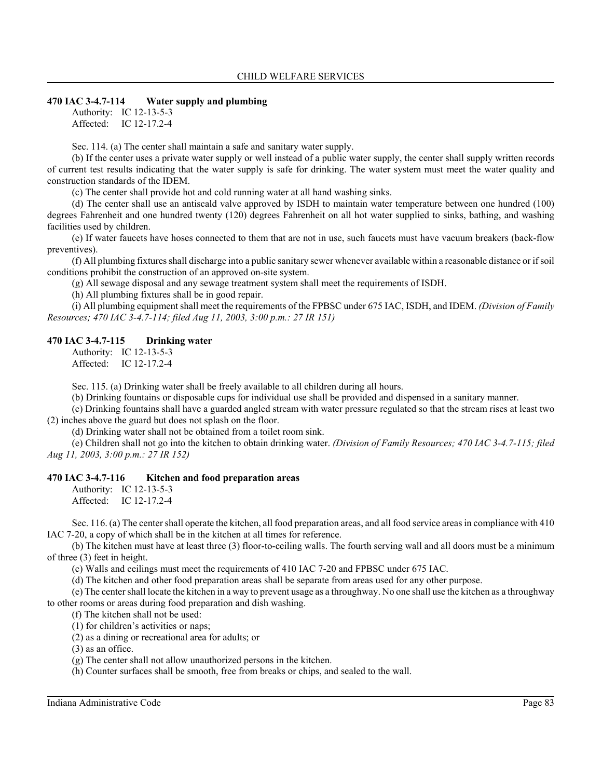#### **470 IAC 3-4.7-114 Water supply and plumbing**

Authority: IC 12-13-5-3 Affected: IC 12-17.2-4

Sec. 114. (a) The center shall maintain a safe and sanitary water supply.

(b) If the center uses a private water supply or well instead of a public water supply, the center shall supply written records of current test results indicating that the water supply is safe for drinking. The water system must meet the water quality and construction standards of the IDEM.

(c) The center shall provide hot and cold running water at all hand washing sinks.

(d) The center shall use an antiscald valve approved by ISDH to maintain water temperature between one hundred (100) degrees Fahrenheit and one hundred twenty (120) degrees Fahrenheit on all hot water supplied to sinks, bathing, and washing facilities used by children.

(e) If water faucets have hoses connected to them that are not in use, such faucets must have vacuum breakers (back-flow preventives).

(f) All plumbing fixtures shall discharge into a public sanitary sewer whenever available within a reasonable distance or if soil conditions prohibit the construction of an approved on-site system.

(g) All sewage disposal and any sewage treatment system shall meet the requirements of ISDH.

(h) All plumbing fixtures shall be in good repair.

(i) All plumbing equipment shall meet the requirements of the FPBSC under 675 IAC, ISDH, and IDEM. *(Division of Family Resources; 470 IAC 3-4.7-114; filed Aug 11, 2003, 3:00 p.m.: 27 IR 151)*

#### **470 IAC 3-4.7-115 Drinking water**

Authority: IC 12-13-5-3 Affected: IC 12-17.2-4

Sec. 115. (a) Drinking water shall be freely available to all children during all hours.

(b) Drinking fountains or disposable cups for individual use shall be provided and dispensed in a sanitary manner.

(c) Drinking fountains shall have a guarded angled stream with water pressure regulated so that the stream rises at least two (2) inches above the guard but does not splash on the floor.

(d) Drinking water shall not be obtained from a toilet room sink.

(e) Children shall not go into the kitchen to obtain drinking water. *(Division of Family Resources; 470 IAC 3-4.7-115; filed Aug 11, 2003, 3:00 p.m.: 27 IR 152)*

#### **470 IAC 3-4.7-116 Kitchen and food preparation areas**

Authority: IC 12-13-5-3 Affected: IC 12-17.2-4

Sec. 116. (a) The center shall operate the kitchen, all food preparation areas, and all food service areas in compliance with 410 IAC 7-20, a copy of which shall be in the kitchen at all times for reference.

(b) The kitchen must have at least three (3) floor-to-ceiling walls. The fourth serving wall and all doors must be a minimum of three (3) feet in height.

(c) Walls and ceilings must meet the requirements of 410 IAC 7-20 and FPBSC under 675 IAC.

(d) The kitchen and other food preparation areas shall be separate from areas used for any other purpose.

(e) The center shall locate the kitchen in a way to prevent usage as a throughway. No one shall use the kitchen as a throughway to other rooms or areas during food preparation and dish washing.

(f) The kitchen shall not be used:

(1) for children's activities or naps;

(2) as a dining or recreational area for adults; or

(3) as an office.

(g) The center shall not allow unauthorized persons in the kitchen.

(h) Counter surfaces shall be smooth, free from breaks or chips, and sealed to the wall.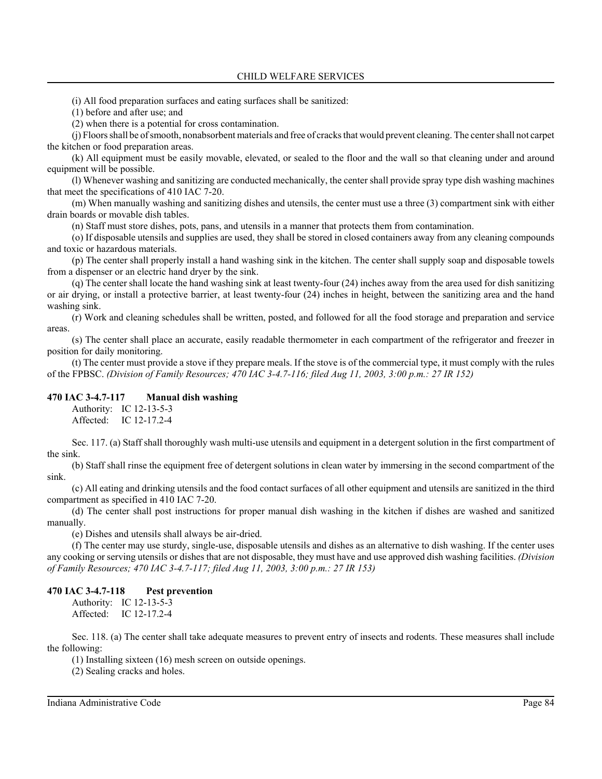(i) All food preparation surfaces and eating surfaces shall be sanitized:

(1) before and after use; and

(2) when there is a potential for cross contamination.

(j) Floors shall be of smooth, nonabsorbent materials and free of cracks that would prevent cleaning. The center shall not carpet the kitchen or food preparation areas.

(k) All equipment must be easily movable, elevated, or sealed to the floor and the wall so that cleaning under and around equipment will be possible.

(l) Whenever washing and sanitizing are conducted mechanically, the center shall provide spray type dish washing machines that meet the specifications of 410 IAC 7-20.

(m) When manually washing and sanitizing dishes and utensils, the center must use a three (3) compartment sink with either drain boards or movable dish tables.

(n) Staff must store dishes, pots, pans, and utensils in a manner that protects them from contamination.

(o) If disposable utensils and supplies are used, they shall be stored in closed containers away from any cleaning compounds and toxic or hazardous materials.

(p) The center shall properly install a hand washing sink in the kitchen. The center shall supply soap and disposable towels from a dispenser or an electric hand dryer by the sink.

(q) The center shall locate the hand washing sink at least twenty-four (24) inches away from the area used for dish sanitizing or air drying, or install a protective barrier, at least twenty-four (24) inches in height, between the sanitizing area and the hand washing sink.

(r) Work and cleaning schedules shall be written, posted, and followed for all the food storage and preparation and service areas.

(s) The center shall place an accurate, easily readable thermometer in each compartment of the refrigerator and freezer in position for daily monitoring.

(t) The center must provide a stove if they prepare meals. If the stove is of the commercial type, it must comply with the rules of the FPBSC. *(Division of Family Resources; 470 IAC 3-4.7-116; filed Aug 11, 2003, 3:00 p.m.: 27 IR 152)*

#### **470 IAC 3-4.7-117 Manual dish washing**

Authority: IC 12-13-5-3 Affected: IC 12-17.2-4

Sec. 117. (a) Staff shall thoroughly wash multi-use utensils and equipment in a detergent solution in the first compartment of the sink.

(b) Staff shall rinse the equipment free of detergent solutions in clean water by immersing in the second compartment of the sink.

(c) All eating and drinking utensils and the food contact surfaces of all other equipment and utensils are sanitized in the third compartment as specified in 410 IAC 7-20.

(d) The center shall post instructions for proper manual dish washing in the kitchen if dishes are washed and sanitized manually.

(e) Dishes and utensils shall always be air-dried.

(f) The center may use sturdy, single-use, disposable utensils and dishes as an alternative to dish washing. If the center uses any cooking or serving utensils or dishes that are not disposable, they must have and use approved dish washing facilities. *(Division of Family Resources; 470 IAC 3-4.7-117; filed Aug 11, 2003, 3:00 p.m.: 27 IR 153)*

#### **470 IAC 3-4.7-118 Pest prevention**

Authority: IC 12-13-5-3 Affected: IC 12-17.2-4

Sec. 118. (a) The center shall take adequate measures to prevent entry of insects and rodents. These measures shall include the following:

(1) Installing sixteen (16) mesh screen on outside openings.

(2) Sealing cracks and holes.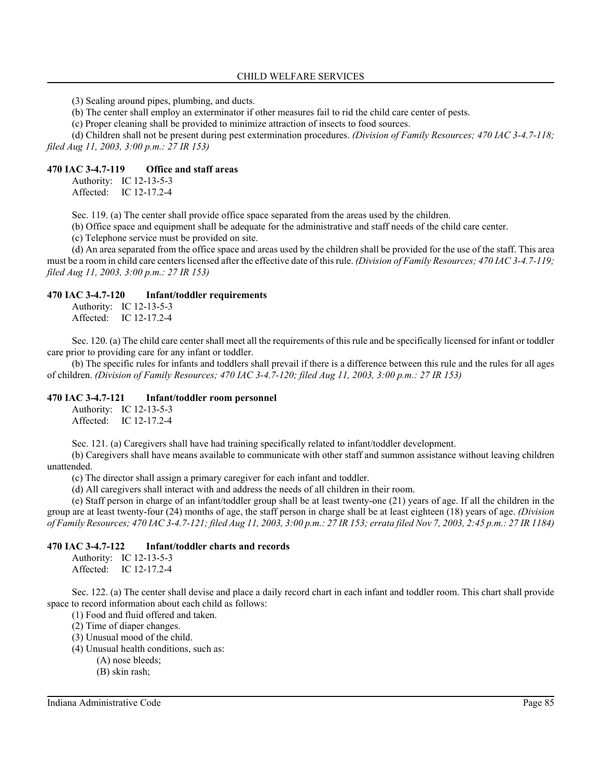(3) Sealing around pipes, plumbing, and ducts.

(b) The center shall employ an exterminator if other measures fail to rid the child care center of pests.

(c) Proper cleaning shall be provided to minimize attraction of insects to food sources.

(d) Children shall not be present during pest extermination procedures. *(Division of Family Resources; 470 IAC 3-4.7-118; filed Aug 11, 2003, 3:00 p.m.: 27 IR 153)*

### **470 IAC 3-4.7-119 Office and staff areas**

Authority: IC 12-13-5-3 Affected: IC 12-17.2-4

Sec. 119. (a) The center shall provide office space separated from the areas used by the children.

(b) Office space and equipment shall be adequate for the administrative and staff needs of the child care center.

(c) Telephone service must be provided on site.

(d) An area separated from the office space and areas used by the children shall be provided for the use of the staff. This area must be a room in child care centers licensed after the effective date of this rule. *(Division of Family Resources; 470 IAC 3-4.7-119; filed Aug 11, 2003, 3:00 p.m.: 27 IR 153)*

#### **470 IAC 3-4.7-120 Infant/toddler requirements**

Authority: IC 12-13-5-3 Affected: IC 12-17.2-4

Sec. 120. (a) The child care center shall meet all the requirements of this rule and be specifically licensed for infant or toddler care prior to providing care for any infant or toddler.

(b) The specific rules for infants and toddlers shall prevail if there is a difference between this rule and the rules for all ages of children. *(Division of Family Resources; 470 IAC 3-4.7-120; filed Aug 11, 2003, 3:00 p.m.: 27 IR 153)*

#### **470 IAC 3-4.7-121 Infant/toddler room personnel**

Authority: IC 12-13-5-3 Affected: IC 12-17.2-4

Sec. 121. (a) Caregivers shall have had training specifically related to infant/toddler development.

(b) Caregivers shall have means available to communicate with other staff and summon assistance without leaving children unattended.

(c) The director shall assign a primary caregiver for each infant and toddler.

(d) All caregivers shall interact with and address the needs of all children in their room.

(e) Staff person in charge of an infant/toddler group shall be at least twenty-one (21) years of age. If all the children in the group are at least twenty-four (24) months of age, the staff person in charge shall be at least eighteen (18) years of age. *(Division of Family Resources; 470 IAC 3-4.7-121; filed Aug 11, 2003, 3:00 p.m.: 27 IR 153; errata filed Nov 7, 2003, 2:45 p.m.: 27 IR 1184)*

#### **470 IAC 3-4.7-122 Infant/toddler charts and records**

Authority: IC 12-13-5-3 Affected: IC 12-17.2-4

Sec. 122. (a) The center shall devise and place a daily record chart in each infant and toddler room. This chart shall provide space to record information about each child as follows:

(1) Food and fluid offered and taken.

(2) Time of diaper changes.

(3) Unusual mood of the child.

(4) Unusual health conditions, such as:

- (A) nose bleeds;
- (B) skin rash;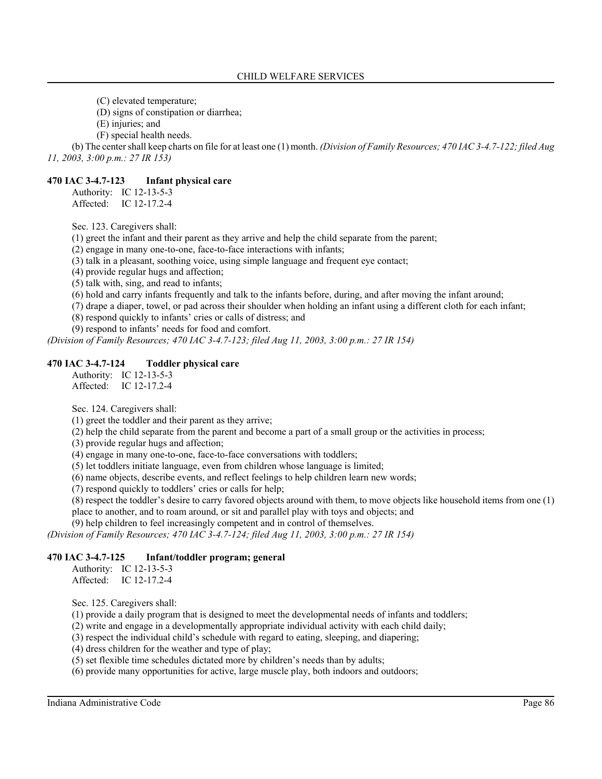(C) elevated temperature;

(D) signs of constipation or diarrhea;

(E) injuries; and

(F) special health needs.

(b) The center shall keep charts on file for at least one (1) month. *(Division of Family Resources; 470 IAC 3-4.7-122; filed Aug 11, 2003, 3:00 p.m.: 27 IR 153)*

### **470 IAC 3-4.7-123 Infant physical care**

Authority: IC 12-13-5-3 Affected: IC 12-17.2-4

Sec. 123. Caregivers shall:

(1) greet the infant and their parent as they arrive and help the child separate from the parent;

(2) engage in many one-to-one, face-to-face interactions with infants;

(3) talk in a pleasant, soothing voice, using simple language and frequent eye contact;

(4) provide regular hugs and affection;

(5) talk with, sing, and read to infants;

(6) hold and carry infants frequently and talk to the infants before, during, and after moving the infant around;

(7) drape a diaper, towel, or pad across their shoulder when holding an infant using a different cloth for each infant;

(8) respond quickly to infants' cries or calls of distress; and

(9) respond to infants' needs for food and comfort.

*(Division of Family Resources; 470 IAC 3-4.7-123; filed Aug 11, 2003, 3:00 p.m.: 27 IR 154)*

#### **470 IAC 3-4.7-124 Toddler physical care**

Authority: IC 12-13-5-3 Affected: IC 12-17.2-4

Sec. 124. Caregivers shall:

(1) greet the toddler and their parent as they arrive;

(2) help the child separate from the parent and become a part of a small group or the activities in process;

(3) provide regular hugs and affection;

(4) engage in many one-to-one, face-to-face conversations with toddlers;

(5) let toddlers initiate language, even from children whose language is limited;

(6) name objects, describe events, and reflect feelings to help children learn new words;

(7) respond quickly to toddlers' cries or calls for help;

(8) respect the toddler's desire to carry favored objects around with them, to move objects like household items from one (1) place to another, and to roam around, or sit and parallel play with toys and objects; and

(9) help children to feel increasingly competent and in control of themselves.

*(Division of Family Resources; 470 IAC 3-4.7-124; filed Aug 11, 2003, 3:00 p.m.: 27 IR 154)*

#### **470 IAC 3-4.7-125 Infant/toddler program; general**

Authority: IC 12-13-5-3 Affected: IC 12-17.2-4

Sec. 125. Caregivers shall:

(1) provide a daily program that is designed to meet the developmental needs of infants and toddlers;

(2) write and engage in a developmentally appropriate individual activity with each child daily;

(3) respect the individual child's schedule with regard to eating, sleeping, and diapering;

(4) dress children for the weather and type of play;

(5) set flexible time schedules dictated more by children's needs than by adults;

(6) provide many opportunities for active, large muscle play, both indoors and outdoors;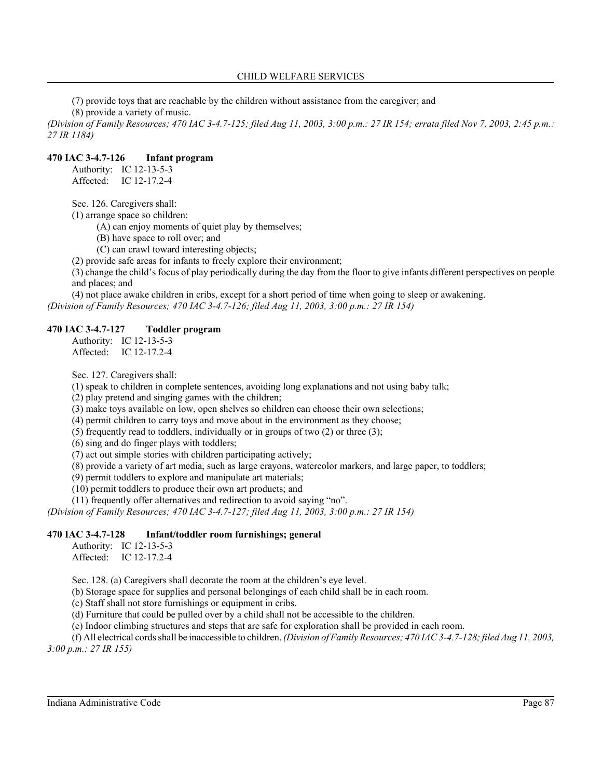(7) provide toys that are reachable by the children without assistance from the caregiver; and (8) provide a variety of music.

*(Division of Family Resources; 470 IAC 3-4.7-125; filed Aug 11, 2003, 3:00 p.m.: 27 IR 154; errata filed Nov 7, 2003, 2:45 p.m.: 27 IR 1184)*

#### **470 IAC 3-4.7-126 Infant program**

Authority: IC 12-13-5-3 Affected: IC 12-17.2-4

Sec. 126. Caregivers shall:

(1) arrange space so children:

(A) can enjoy moments of quiet play by themselves;

(B) have space to roll over; and

(C) can crawl toward interesting objects;

(2) provide safe areas for infants to freely explore their environment;

(3) change the child's focus of play periodically during the day from the floor to give infants different perspectives on people and places; and

(4) not place awake children in cribs, except for a short period of time when going to sleep or awakening. *(Division of Family Resources; 470 IAC 3-4.7-126; filed Aug 11, 2003, 3:00 p.m.: 27 IR 154)*

### **470 IAC 3-4.7-127 Toddler program**

Authority: IC 12-13-5-3 Affected: IC 12-17.2-4

Sec. 127. Caregivers shall:

(1) speak to children in complete sentences, avoiding long explanations and not using baby talk;

(2) play pretend and singing games with the children;

(3) make toys available on low, open shelves so children can choose their own selections;

(4) permit children to carry toys and move about in the environment as they choose;

(5) frequently read to toddlers, individually or in groups of two (2) or three (3);

(6) sing and do finger plays with toddlers;

(7) act out simple stories with children participating actively;

(8) provide a variety of art media, such as large crayons, watercolor markers, and large paper, to toddlers;

(9) permit toddlers to explore and manipulate art materials;

(10) permit toddlers to produce their own art products; and

(11) frequently offer alternatives and redirection to avoid saying "no".

*(Division of Family Resources; 470 IAC 3-4.7-127; filed Aug 11, 2003, 3:00 p.m.: 27 IR 154)*

### **470 IAC 3-4.7-128 Infant/toddler room furnishings; general**

Authority: IC 12-13-5-3 Affected: IC 12-17.2-4

Sec. 128. (a) Caregivers shall decorate the room at the children's eye level.

(b) Storage space for supplies and personal belongings of each child shall be in each room.

(c) Staff shall not store furnishings or equipment in cribs.

(d) Furniture that could be pulled over by a child shall not be accessible to the children.

(e) Indoor climbing structures and steps that are safe for exploration shall be provided in each room.

(f) All electrical cords shall be inaccessible to children. *(Division of Family Resources; 470 IAC 3-4.7-128; filed Aug 11, 2003, 3:00 p.m.: 27 IR 155)*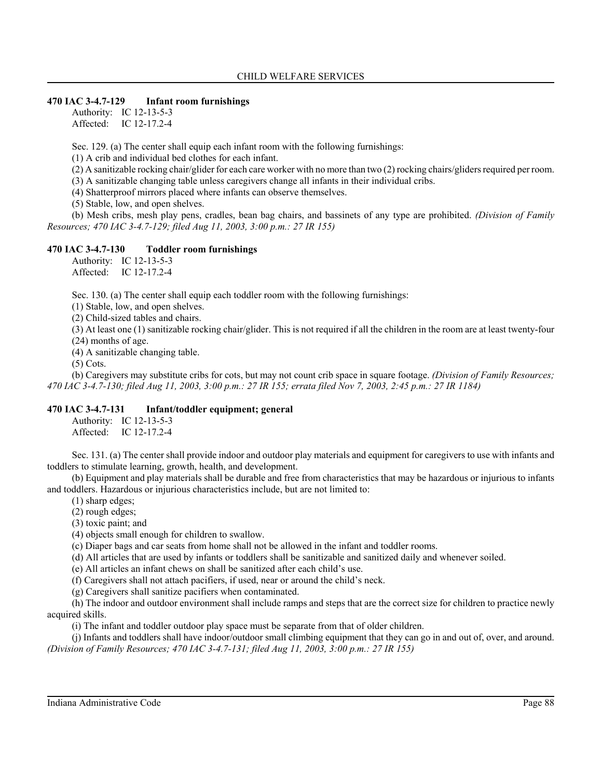### **470 IAC 3-4.7-129 Infant room furnishings**

Authority: IC 12-13-5-3 Affected: IC 12-17.2-4

Sec. 129. (a) The center shall equip each infant room with the following furnishings:

(1) A crib and individual bed clothes for each infant.

(2) A sanitizable rocking chair/glider for each care worker with no more than two (2) rocking chairs/gliders required per room.

(3) A sanitizable changing table unless caregivers change all infants in their individual cribs.

(4) Shatterproof mirrors placed where infants can observe themselves.

(5) Stable, low, and open shelves.

(b) Mesh cribs, mesh play pens, cradles, bean bag chairs, and bassinets of any type are prohibited. *(Division of Family Resources; 470 IAC 3-4.7-129; filed Aug 11, 2003, 3:00 p.m.: 27 IR 155)*

## **470 IAC 3-4.7-130 Toddler room furnishings**

Authority: IC 12-13-5-3 Affected: IC 12-17.2-4

Sec. 130. (a) The center shall equip each toddler room with the following furnishings:

(1) Stable, low, and open shelves.

(2) Child-sized tables and chairs.

(3) At least one (1) sanitizable rocking chair/glider. This is not required if all the children in the room are at least twenty-four (24) months of age.

(4) A sanitizable changing table.

(5) Cots.

(b) Caregivers may substitute cribs for cots, but may not count crib space in square footage. *(Division of Family Resources; 470 IAC 3-4.7-130; filed Aug 11, 2003, 3:00 p.m.: 27 IR 155; errata filed Nov 7, 2003, 2:45 p.m.: 27 IR 1184)*

#### **470 IAC 3-4.7-131 Infant/toddler equipment; general**

Authority: IC 12-13-5-3 Affected: IC 12-17.2-4

Sec. 131. (a) The center shall provide indoor and outdoor play materials and equipment for caregivers to use with infants and toddlers to stimulate learning, growth, health, and development.

(b) Equipment and play materials shall be durable and free from characteristics that may be hazardous or injurious to infants and toddlers. Hazardous or injurious characteristics include, but are not limited to:

(1) sharp edges;

(2) rough edges;

(3) toxic paint; and

(4) objects small enough for children to swallow.

(c) Diaper bags and car seats from home shall not be allowed in the infant and toddler rooms.

(d) All articles that are used by infants or toddlers shall be sanitizable and sanitized daily and whenever soiled.

(e) All articles an infant chews on shall be sanitized after each child's use.

(f) Caregivers shall not attach pacifiers, if used, near or around the child's neck.

(g) Caregivers shall sanitize pacifiers when contaminated.

(h) The indoor and outdoor environment shall include ramps and steps that are the correct size for children to practice newly acquired skills.

(i) The infant and toddler outdoor play space must be separate from that of older children.

(j) Infants and toddlers shall have indoor/outdoor small climbing equipment that they can go in and out of, over, and around. *(Division of Family Resources; 470 IAC 3-4.7-131; filed Aug 11, 2003, 3:00 p.m.: 27 IR 155)*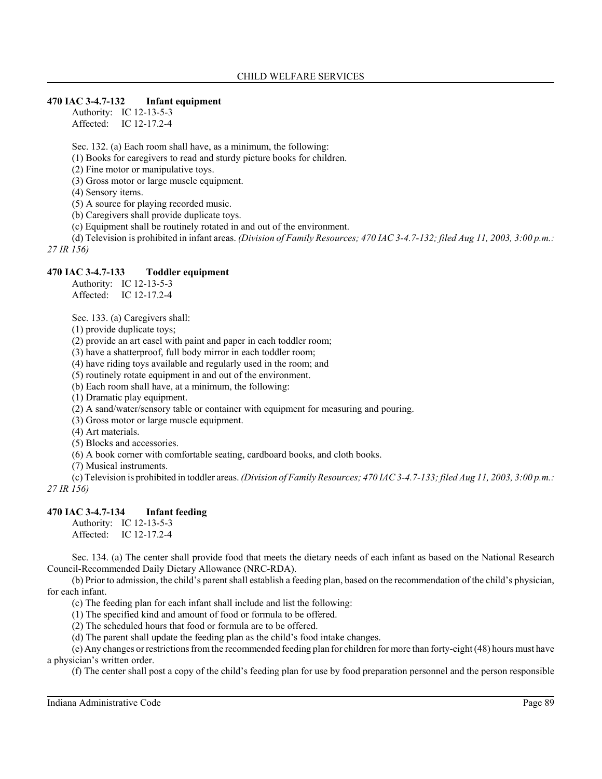#### **470 IAC 3-4.7-132 Infant equipment**

Authority: IC 12-13-5-3 Affected: IC 12-17.2-4

Sec. 132. (a) Each room shall have, as a minimum, the following:

(1) Books for caregivers to read and sturdy picture books for children.

(2) Fine motor or manipulative toys.

(3) Gross motor or large muscle equipment.

(4) Sensory items.

(5) A source for playing recorded music.

(b) Caregivers shall provide duplicate toys.

(c) Equipment shall be routinely rotated in and out of the environment.

(d) Television is prohibited in infant areas. *(Division of Family Resources; 470 IAC 3-4.7-132; filed Aug 11, 2003, 3:00 p.m.: 27 IR 156)*

#### **470 IAC 3-4.7-133 Toddler equipment**

Authority: IC 12-13-5-3 Affected: IC 12-17.2-4

Sec. 133. (a) Caregivers shall:

(1) provide duplicate toys;

(2) provide an art easel with paint and paper in each toddler room;

(3) have a shatterproof, full body mirror in each toddler room;

(4) have riding toys available and regularly used in the room; and

(5) routinely rotate equipment in and out of the environment.

(b) Each room shall have, at a minimum, the following:

(1) Dramatic play equipment.

(2) A sand/water/sensory table or container with equipment for measuring and pouring.

(3) Gross motor or large muscle equipment.

(4) Art materials.

(5) Blocks and accessories.

(6) A book corner with comfortable seating, cardboard books, and cloth books.

(7) Musical instruments.

(c) Television is prohibited in toddler areas. *(Division of Family Resources; 470 IAC 3-4.7-133; filed Aug 11, 2003, 3:00 p.m.: 27 IR 156)*

#### **470 IAC 3-4.7-134 Infant feeding**

Authority: IC 12-13-5-3 Affected: IC 12-17.2-4

Sec. 134. (a) The center shall provide food that meets the dietary needs of each infant as based on the National Research Council-Recommended Daily Dietary Allowance (NRC-RDA).

(b) Prior to admission, the child's parent shall establish a feeding plan, based on the recommendation of the child's physician, for each infant.

(c) The feeding plan for each infant shall include and list the following:

(1) The specified kind and amount of food or formula to be offered.

(2) The scheduled hours that food or formula are to be offered.

(d) The parent shall update the feeding plan as the child's food intake changes.

(e) Any changes or restrictions from the recommended feeding plan for children for more than forty-eight (48) hours must have a physician's written order.

(f) The center shall post a copy of the child's feeding plan for use by food preparation personnel and the person responsible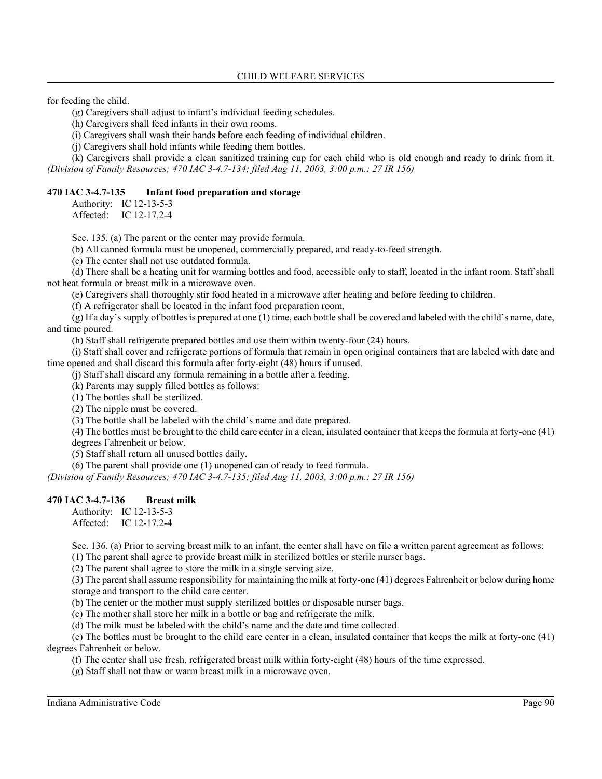for feeding the child.

(g) Caregivers shall adjust to infant's individual feeding schedules.

(h) Caregivers shall feed infants in their own rooms.

(i) Caregivers shall wash their hands before each feeding of individual children.

(j) Caregivers shall hold infants while feeding them bottles.

(k) Caregivers shall provide a clean sanitized training cup for each child who is old enough and ready to drink from it. *(Division of Family Resources; 470 IAC 3-4.7-134; filed Aug 11, 2003, 3:00 p.m.: 27 IR 156)*

#### **470 IAC 3-4.7-135 Infant food preparation and storage**

Authority: IC 12-13-5-3

Affected: IC 12-17.2-4

Sec. 135. (a) The parent or the center may provide formula.

(b) All canned formula must be unopened, commercially prepared, and ready-to-feed strength.

(c) The center shall not use outdated formula.

(d) There shall be a heating unit for warming bottles and food, accessible only to staff, located in the infant room. Staff shall not heat formula or breast milk in a microwave oven.

(e) Caregivers shall thoroughly stir food heated in a microwave after heating and before feeding to children.

(f) A refrigerator shall be located in the infant food preparation room.

(g) If a day's supply of bottles is prepared at one (1) time, each bottle shall be covered and labeled with the child's name, date, and time poured.

(h) Staff shall refrigerate prepared bottles and use them within twenty-four (24) hours.

(i) Staff shall cover and refrigerate portions of formula that remain in open original containers that are labeled with date and time opened and shall discard this formula after forty-eight (48) hours if unused.

(j) Staff shall discard any formula remaining in a bottle after a feeding.

(k) Parents may supply filled bottles as follows:

(1) The bottles shall be sterilized.

(2) The nipple must be covered.

(3) The bottle shall be labeled with the child's name and date prepared.

(4) The bottles must be brought to the child care center in a clean, insulated container that keeps the formula at forty-one (41) degrees Fahrenheit or below.

(5) Staff shall return all unused bottles daily.

(6) The parent shall provide one (1) unopened can of ready to feed formula.

*(Division of Family Resources; 470 IAC 3-4.7-135; filed Aug 11, 2003, 3:00 p.m.: 27 IR 156)*

## **470 IAC 3-4.7-136 Breast milk**

Authority: IC 12-13-5-3  $A$ ffected: IC 12-17 2-4

Sec. 136. (a) Prior to serving breast milk to an infant, the center shall have on file a written parent agreement as follows:

(1) The parent shall agree to provide breast milk in sterilized bottles or sterile nurser bags.

(2) The parent shall agree to store the milk in a single serving size.

(3) The parent shall assume responsibility for maintaining the milk at forty-one (41) degrees Fahrenheit or below during home storage and transport to the child care center.

(b) The center or the mother must supply sterilized bottles or disposable nurser bags.

(c) The mother shall store her milk in a bottle or bag and refrigerate the milk.

(d) The milk must be labeled with the child's name and the date and time collected.

(e) The bottles must be brought to the child care center in a clean, insulated container that keeps the milk at forty-one (41) degrees Fahrenheit or below.

(f) The center shall use fresh, refrigerated breast milk within forty-eight (48) hours of the time expressed.

(g) Staff shall not thaw or warm breast milk in a microwave oven.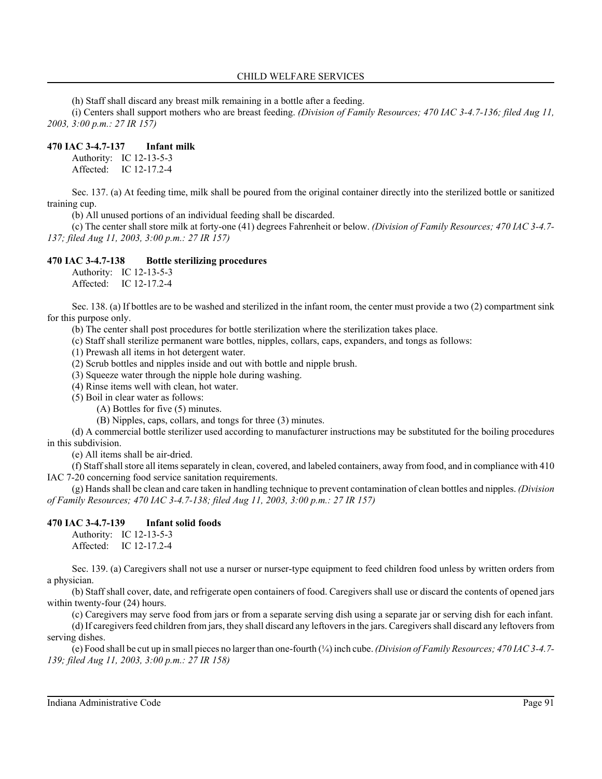(h) Staff shall discard any breast milk remaining in a bottle after a feeding.

(i) Centers shall support mothers who are breast feeding. *(Division of Family Resources; 470 IAC 3-4.7-136; filed Aug 11, 2003, 3:00 p.m.: 27 IR 157)*

## **470 IAC 3-4.7-137 Infant milk**

Authority: IC 12-13-5-3 Affected: IC 12-17.2-4

Sec. 137. (a) At feeding time, milk shall be poured from the original container directly into the sterilized bottle or sanitized training cup.

(b) All unused portions of an individual feeding shall be discarded.

(c) The center shall store milk at forty-one (41) degrees Fahrenheit or below. *(Division of Family Resources; 470 IAC 3-4.7- 137; filed Aug 11, 2003, 3:00 p.m.: 27 IR 157)*

## **470 IAC 3-4.7-138 Bottle sterilizing procedures**

Authority: IC 12-13-5-3 Affected: IC 12-17.2-4

Sec. 138. (a) If bottles are to be washed and sterilized in the infant room, the center must provide a two (2) compartment sink for this purpose only.

(b) The center shall post procedures for bottle sterilization where the sterilization takes place.

(c) Staff shall sterilize permanent ware bottles, nipples, collars, caps, expanders, and tongs as follows:

(1) Prewash all items in hot detergent water.

(2) Scrub bottles and nipples inside and out with bottle and nipple brush.

(3) Squeeze water through the nipple hole during washing.

(4) Rinse items well with clean, hot water.

(5) Boil in clear water as follows:

(A) Bottles for five (5) minutes.

(B) Nipples, caps, collars, and tongs for three (3) minutes.

(d) A commercial bottle sterilizer used according to manufacturer instructions may be substituted for the boiling procedures in this subdivision.

(e) All items shall be air-dried.

(f) Staff shall store all items separately in clean, covered, and labeled containers, away from food, and in compliance with 410 IAC 7-20 concerning food service sanitation requirements.

(g) Hands shall be clean and care taken in handling technique to prevent contamination of clean bottles and nipples. *(Division of Family Resources; 470 IAC 3-4.7-138; filed Aug 11, 2003, 3:00 p.m.: 27 IR 157)*

## **470 IAC 3-4.7-139 Infant solid foods**

Authority: IC 12-13-5-3 Affected: IC 12-17.2-4

Sec. 139. (a) Caregivers shall not use a nurser or nurser-type equipment to feed children food unless by written orders from a physician.

(b) Staff shall cover, date, and refrigerate open containers of food. Caregivers shall use or discard the contents of opened jars within twenty-four  $(24)$  hours.

(c) Caregivers may serve food from jars or from a separate serving dish using a separate jar or serving dish for each infant.

(d) If caregivers feed children from jars, they shall discard any leftovers in the jars. Caregivers shall discard any leftovers from serving dishes.

(e) Food shall be cut up in small pieces no larger than one-fourth (¼) inch cube. *(Division of Family Resources; 470 IAC 3-4.7- 139; filed Aug 11, 2003, 3:00 p.m.: 27 IR 158)*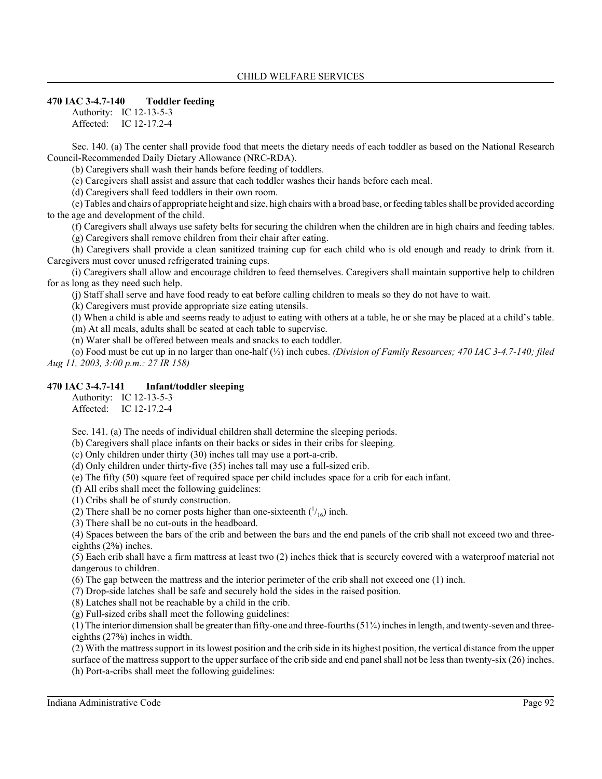### **470 IAC 3-4.7-140 Toddler feeding**

Authority: IC 12-13-5-3 Affected: IC 12-17.2-4

Sec. 140. (a) The center shall provide food that meets the dietary needs of each toddler as based on the National Research Council-Recommended Daily Dietary Allowance (NRC-RDA).

(b) Caregivers shall wash their hands before feeding of toddlers.

(c) Caregivers shall assist and assure that each toddler washes their hands before each meal.

(d) Caregivers shall feed toddlers in their own room.

(e) Tables and chairs of appropriate height and size, high chairs with a broad base, or feeding tables shall be provided according to the age and development of the child.

(f) Caregivers shall always use safety belts for securing the children when the children are in high chairs and feeding tables. (g) Caregivers shall remove children from their chair after eating.

(h) Caregivers shall provide a clean sanitized training cup for each child who is old enough and ready to drink from it. Caregivers must cover unused refrigerated training cups.

(i) Caregivers shall allow and encourage children to feed themselves. Caregivers shall maintain supportive help to children for as long as they need such help.

(j) Staff shall serve and have food ready to eat before calling children to meals so they do not have to wait.

(k) Caregivers must provide appropriate size eating utensils.

(l) When a child is able and seems ready to adjust to eating with others at a table, he or she may be placed at a child's table. (m) At all meals, adults shall be seated at each table to supervise.

(n) Water shall be offered between meals and snacks to each toddler.

(o) Food must be cut up in no larger than one-half (½) inch cubes. *(Division of Family Resources; 470 IAC 3-4.7-140; filed Aug 11, 2003, 3:00 p.m.: 27 IR 158)*

## **470 IAC 3-4.7-141 Infant/toddler sleeping**

Authority: IC 12-13-5-3 Affected: IC 12-17.2-4

Sec. 141. (a) The needs of individual children shall determine the sleeping periods.

(b) Caregivers shall place infants on their backs or sides in their cribs for sleeping.

(c) Only children under thirty (30) inches tall may use a port-a-crib.

(d) Only children under thirty-five (35) inches tall may use a full-sized crib.

(e) The fifty (50) square feet of required space per child includes space for a crib for each infant.

(f) All cribs shall meet the following guidelines:

(1) Cribs shall be of sturdy construction.

(2) There shall be no corner posts higher than one-sixteenth  $\binom{1}{16}$  inch.

(3) There shall be no cut-outs in the headboard.

(4) Spaces between the bars of the crib and between the bars and the end panels of the crib shall not exceed two and threeeighths  $(2\%)$  inches.

(5) Each crib shall have a firm mattress at least two (2) inches thick that is securely covered with a waterproof material not dangerous to children.

(6) The gap between the mattress and the interior perimeter of the crib shall not exceed one (1) inch.

(7) Drop-side latches shall be safe and securely hold the sides in the raised position.

(8) Latches shall not be reachable by a child in the crib.

(g) Full-sized cribs shall meet the following guidelines:

(1) The interior dimension shall be greater than fifty-one and three-fourths (51¾) inches in length, and twenty-seven and threeeighths  $(27\%)$  inches in width.

(2) With the mattress support in its lowest position and the crib side in its highest position, the vertical distance from the upper surface of the mattress support to the upper surface of the crib side and end panel shall not be less than twenty-six (26) inches. (h) Port-a-cribs shall meet the following guidelines: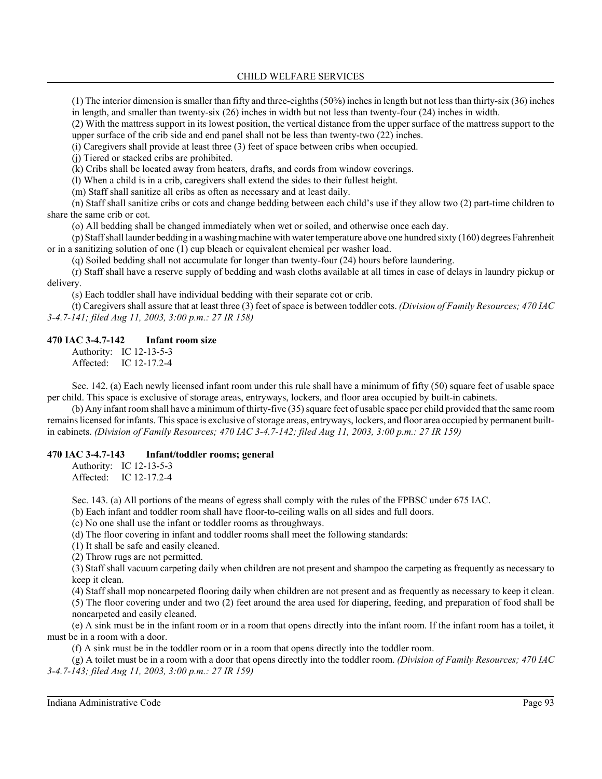(1) The interior dimension is smaller than fifty and three-eighths  $(50\%)$  inches in length but not less than thirty-six  $(36)$  inches in length, and smaller than twenty-six (26) inches in width but not less than twenty-four (24) inches in width.

(2) With the mattress support in its lowest position, the vertical distance from the upper surface of the mattress support to the upper surface of the crib side and end panel shall not be less than twenty-two (22) inches.

(i) Caregivers shall provide at least three (3) feet of space between cribs when occupied.

(j) Tiered or stacked cribs are prohibited.

(k) Cribs shall be located away from heaters, drafts, and cords from window coverings.

(l) When a child is in a crib, caregivers shall extend the sides to their fullest height.

(m) Staff shall sanitize all cribs as often as necessary and at least daily.

(n) Staff shall sanitize cribs or cots and change bedding between each child's use if they allow two (2) part-time children to share the same crib or cot.

(o) All bedding shall be changed immediately when wet or soiled, and otherwise once each day.

(p) Staff shall launder bedding in a washing machine with water temperature above one hundred sixty (160) degrees Fahrenheit or in a sanitizing solution of one (1) cup bleach or equivalent chemical per washer load.

(q) Soiled bedding shall not accumulate for longer than twenty-four (24) hours before laundering.

(r) Staff shall have a reserve supply of bedding and wash cloths available at all times in case of delays in laundry pickup or delivery.

(s) Each toddler shall have individual bedding with their separate cot or crib.

(t) Caregivers shall assure that at least three (3) feet of space is between toddler cots. *(Division of Family Resources; 470 IAC 3-4.7-141; filed Aug 11, 2003, 3:00 p.m.: 27 IR 158)*

#### **470 IAC 3-4.7-142 Infant room size**

Authority: IC 12-13-5-3 Affected: IC 12-17.2-4

Sec. 142. (a) Each newly licensed infant room under this rule shall have a minimum of fifty (50) square feet of usable space per child. This space is exclusive of storage areas, entryways, lockers, and floor area occupied by built-in cabinets.

(b) Any infant room shall have a minimum of thirty-five (35) square feet of usable space per child provided that the same room remains licensed for infants. This space is exclusive of storage areas, entryways, lockers, and floor area occupied by permanent builtin cabinets. *(Division of Family Resources; 470 IAC 3-4.7-142; filed Aug 11, 2003, 3:00 p.m.: 27 IR 159)*

#### **470 IAC 3-4.7-143 Infant/toddler rooms; general**

Authority: IC 12-13-5-3 Affected: IC 12-17.2-4

Sec. 143. (a) All portions of the means of egress shall comply with the rules of the FPBSC under 675 IAC.

(b) Each infant and toddler room shall have floor-to-ceiling walls on all sides and full doors.

(c) No one shall use the infant or toddler rooms as throughways.

(d) The floor covering in infant and toddler rooms shall meet the following standards:

(1) It shall be safe and easily cleaned.

(2) Throw rugs are not permitted.

(3) Staff shall vacuum carpeting daily when children are not present and shampoo the carpeting as frequently as necessary to keep it clean.

(4) Staff shall mop noncarpeted flooring daily when children are not present and as frequently as necessary to keep it clean.

(5) The floor covering under and two (2) feet around the area used for diapering, feeding, and preparation of food shall be noncarpeted and easily cleaned.

(e) A sink must be in the infant room or in a room that opens directly into the infant room. If the infant room has a toilet, it must be in a room with a door.

(f) A sink must be in the toddler room or in a room that opens directly into the toddler room.

(g) A toilet must be in a room with a door that opens directly into the toddler room. *(Division of Family Resources; 470 IAC 3-4.7-143; filed Aug 11, 2003, 3:00 p.m.: 27 IR 159)*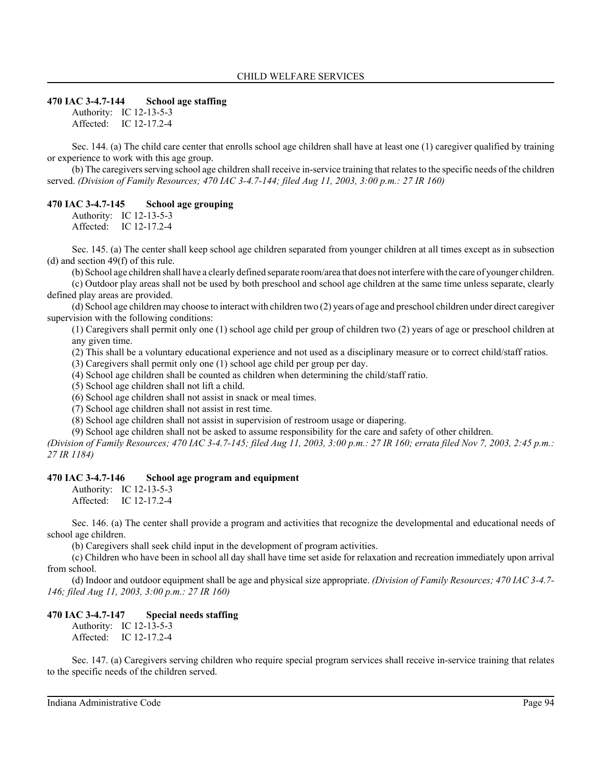#### **470 IAC 3-4.7-144 School age staffing**

Authority: IC 12-13-5-3 Affected: IC 12-17.2-4

Sec. 144. (a) The child care center that enrolls school age children shall have at least one (1) caregiver qualified by training or experience to work with this age group.

(b) The caregivers serving school age children shall receive in-service training that relates to the specific needs of the children served. *(Division of Family Resources; 470 IAC 3-4.7-144; filed Aug 11, 2003, 3:00 p.m.: 27 IR 160)*

#### **470 IAC 3-4.7-145 School age grouping**

Authority: IC 12-13-5-3 Affected: IC 12-17.2-4

Sec. 145. (a) The center shall keep school age children separated from younger children at all times except as in subsection (d) and section 49(f) of this rule.

(b) School age children shall have a clearly defined separate room/area that does not interfere with the care of younger children. (c) Outdoor play areas shall not be used by both preschool and school age children at the same time unless separate, clearly defined play areas are provided.

(d) School age children may choose to interact with children two (2) years of age and preschool children under direct caregiver supervision with the following conditions:

(1) Caregivers shall permit only one (1) school age child per group of children two (2) years of age or preschool children at any given time.

(2) This shall be a voluntary educational experience and not used as a disciplinary measure or to correct child/staff ratios.

(3) Caregivers shall permit only one (1) school age child per group per day.

(4) School age children shall be counted as children when determining the child/staff ratio.

(5) School age children shall not lift a child.

(6) School age children shall not assist in snack or meal times.

(7) School age children shall not assist in rest time.

(8) School age children shall not assist in supervision of restroom usage or diapering.

(9) School age children shall not be asked to assume responsibility for the care and safety of other children.

*(Division of Family Resources; 470 IAC 3-4.7-145; filed Aug 11, 2003, 3:00 p.m.: 27 IR 160; errata filed Nov 7, 2003, 2:45 p.m.: 27 IR 1184)*

#### **470 IAC 3-4.7-146 School age program and equipment**

Authority: IC 12-13-5-3 Affected: IC 12-17.2-4

Sec. 146. (a) The center shall provide a program and activities that recognize the developmental and educational needs of school age children.

(b) Caregivers shall seek child input in the development of program activities.

(c) Children who have been in school all day shall have time set aside for relaxation and recreation immediately upon arrival from school.

(d) Indoor and outdoor equipment shall be age and physical size appropriate. *(Division of Family Resources; 470 IAC 3-4.7- 146; filed Aug 11, 2003, 3:00 p.m.: 27 IR 160)*

#### **470 IAC 3-4.7-147 Special needs staffing**

Authority: IC 12-13-5-3 Affected: IC 12-17.2-4

Sec. 147. (a) Caregivers serving children who require special program services shall receive in-service training that relates to the specific needs of the children served.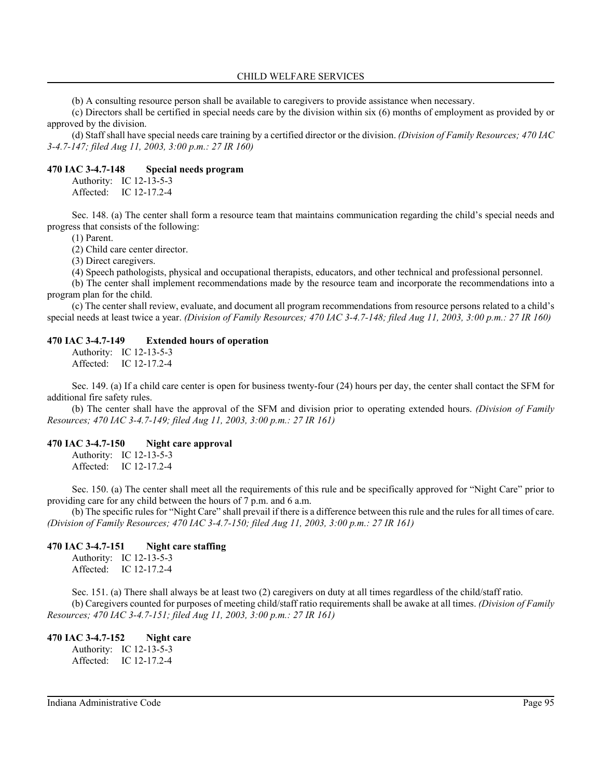(b) A consulting resource person shall be available to caregivers to provide assistance when necessary.

(c) Directors shall be certified in special needs care by the division within six (6) months of employment as provided by or approved by the division.

(d) Staff shall have special needs care training by a certified director or the division. *(Division of Family Resources; 470 IAC 3-4.7-147; filed Aug 11, 2003, 3:00 p.m.: 27 IR 160)*

#### **470 IAC 3-4.7-148 Special needs program**

Authority: IC 12-13-5-3 Affected: IC 12-17.2-4

Sec. 148. (a) The center shall form a resource team that maintains communication regarding the child's special needs and progress that consists of the following:

(1) Parent.

(2) Child care center director.

(3) Direct caregivers.

(4) Speech pathologists, physical and occupational therapists, educators, and other technical and professional personnel.

(b) The center shall implement recommendations made by the resource team and incorporate the recommendations into a program plan for the child.

(c) The center shall review, evaluate, and document all program recommendations from resource persons related to a child's special needs at least twice a year. *(Division of Family Resources; 470 IAC 3-4.7-148; filed Aug 11, 2003, 3:00 p.m.: 27 IR 160)*

#### **470 IAC 3-4.7-149 Extended hours of operation**

Authority: IC 12-13-5-3 Affected: IC 12-17.2-4

Sec. 149. (a) If a child care center is open for business twenty-four (24) hours per day, the center shall contact the SFM for additional fire safety rules.

(b) The center shall have the approval of the SFM and division prior to operating extended hours. *(Division of Family Resources; 470 IAC 3-4.7-149; filed Aug 11, 2003, 3:00 p.m.: 27 IR 161)*

#### **470 IAC 3-4.7-150 Night care approval**

Authority: IC 12-13-5-3 Affected: IC 12-17.2-4

Sec. 150. (a) The center shall meet all the requirements of this rule and be specifically approved for "Night Care" prior to providing care for any child between the hours of 7 p.m. and 6 a.m.

(b) The specific rules for "Night Care" shall prevail if there is a difference between this rule and the rules for all times of care. *(Division of Family Resources; 470 IAC 3-4.7-150; filed Aug 11, 2003, 3:00 p.m.: 27 IR 161)*

#### **470 IAC 3-4.7-151 Night care staffing**

Authority: IC 12-13-5-3 Affected: IC 12-17.2-4

Sec. 151. (a) There shall always be at least two (2) caregivers on duty at all times regardless of the child/staff ratio. (b) Caregivers counted for purposes of meeting child/staff ratio requirements shall be awake at all times. *(Division of Family Resources; 470 IAC 3-4.7-151; filed Aug 11, 2003, 3:00 p.m.: 27 IR 161)*

#### **470 IAC 3-4.7-152 Night care**

Authority: IC 12-13-5-3 Affected: IC 12-17.2-4